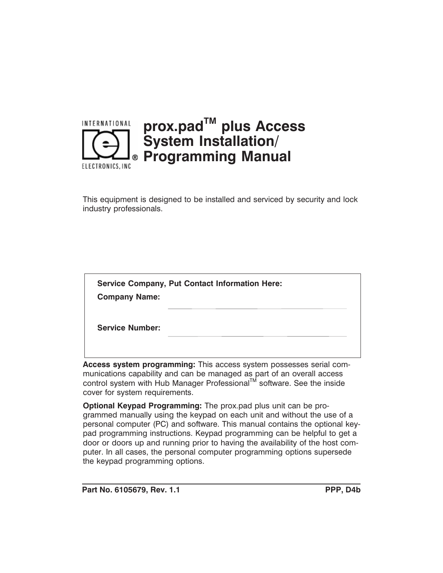

This equipment is designed to be installed and serviced by security and lock industry professionals.

| <b>Service Company, Put Contact Information Here:</b> |  |
|-------------------------------------------------------|--|
| <b>Company Name:</b>                                  |  |
| <b>Service Number:</b>                                |  |

**Access system programming:** This access system possesses serial communications capability and can be managed as part of an overall access control system with Hub Manager Professional™ software. See the inside cover for system requirements.

**Optional Keypad Programming:** The prox.pad plus unit can be programmed manually using the keypad on each unit and without the use of a personal computer (PC) and software. This manual contains the optional keypad programming instructions. Keypad programming can be helpful to get a door or doors up and running prior to having the availability of the host computer. In all cases, the personal computer programming options supersede the keypad programming options.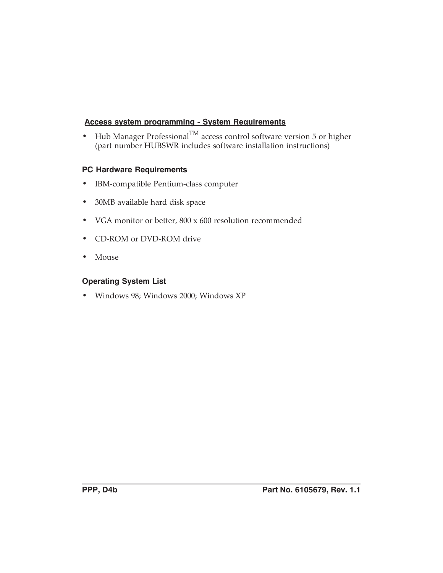#### **Access system programming - System Requirements**

• Hub Manager Professional<sup>TM</sup> access control software version 5 or higher (part number HUBSWR includes software installation instructions)

#### **PC Hardware Requirements**

- IBM-compatible Pentium-class computer
- 30MB available hard disk space
- VGA monitor or better, 800 x 600 resolution recommended
- CD-ROM or DVD-ROM drive
- Mouse

#### **Operating System List**

• Windows 98; Windows 2000; Windows XP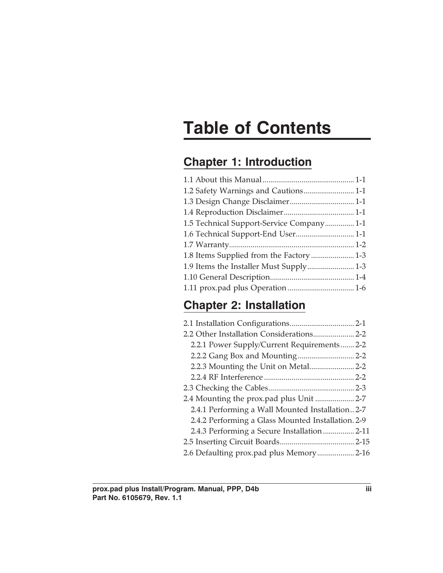# **Table of Contents**

# **Chapter 1: Introduction**

| 1.5 Technical Support-Service Company 1-1 |  |
|-------------------------------------------|--|
|                                           |  |
|                                           |  |
| 1.8 Items Supplied from the Factory  1-3  |  |
|                                           |  |
|                                           |  |
|                                           |  |
|                                           |  |

# **Chapter 2: Installation**

| 2.2.1 Power Supply/Current Requirements 2-2        |
|----------------------------------------------------|
|                                                    |
|                                                    |
|                                                    |
|                                                    |
| 2.4 Mounting the prox.pad plus Unit  2-7           |
| 2.4.1 Performing a Wall Mounted Installation 2-7   |
| 2.4.2 Performing a Glass Mounted Installation. 2-9 |
| 2.4.3 Performing a Secure Installation 2-11        |
|                                                    |
| 2.6 Defaulting prox.pad plus Memory 2-16           |
|                                                    |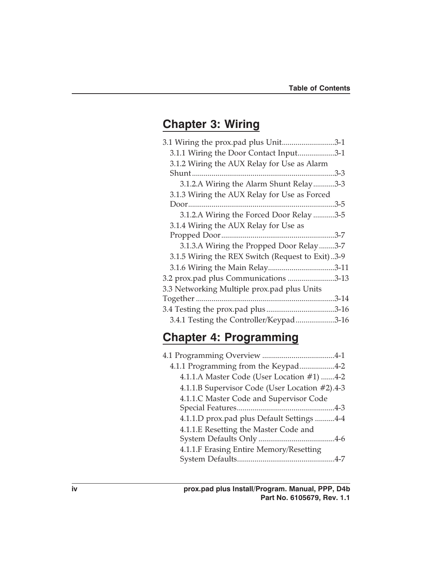## **Chapter 3: Wiring**

| 3.1 Wiring the prox.pad plus Unit3-1             |      |
|--------------------------------------------------|------|
| 3.1.1 Wiring the Door Contact Input3-1           |      |
| 3.1.2 Wiring the AUX Relay for Use as Alarm      |      |
|                                                  |      |
| 3.1.2.A Wiring the Alarm Shunt Relay3-3          |      |
| 3.1.3 Wiring the AUX Relay for Use as Forced     |      |
|                                                  | .3-5 |
| 3.1.2.A Wiring the Forced Door Relay 3-5         |      |
| 3.1.4 Wiring the AUX Relay for Use as            |      |
|                                                  |      |
| 3.1.3.A Wiring the Propped Door Relay3-7         |      |
| 3.1.5 Wiring the REX Switch (Request to Exit)3-9 |      |
|                                                  |      |
| 3.2 prox.pad plus Communications 3-13            |      |
| 3.3 Networking Multiple prox.pad plus Units      |      |
|                                                  |      |
|                                                  |      |
| 3.4.1 Testing the Controller/Keypad3-16          |      |

# **Chapter 4: Programming**

| 4.1.1 Programming from the Keypad4-2           |
|------------------------------------------------|
| 4.1.1.A Master Code (User Location #1) 4-2     |
| 4.1.1.B Supervisor Code (User Location #2).4-3 |
| 4.1.1.C Master Code and Supervisor Code        |
|                                                |
| 4.1.1.D prox.pad plus Default Settings 4-4     |
| 4.1.1.E Resetting the Master Code and          |
|                                                |
| 4.1.1.F Erasing Entire Memory/Resetting        |
|                                                |
|                                                |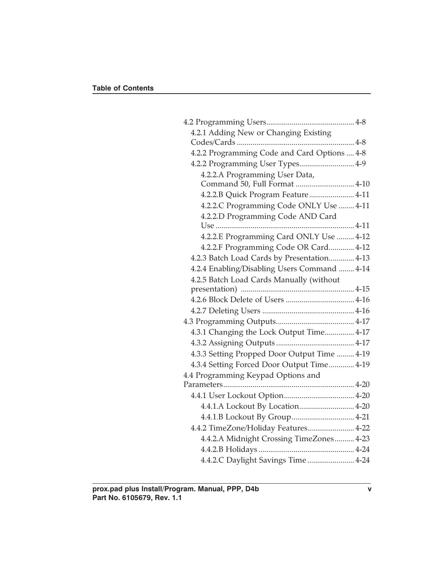| 4.2.1 Adding New or Changing Existing        |  |
|----------------------------------------------|--|
|                                              |  |
| 4.2.2 Programming Code and Card Options  4-8 |  |
| 4.2.2 Programming User Types 4-9             |  |
| 4.2.2.A Programming User Data,               |  |
| Command 50, Full Format  4-10                |  |
| 4.2.2.B Quick Program Feature 4-11           |  |
| 4.2.2.C Programming Code ONLY Use  4-11      |  |
| 4.2.2.D Programming Code AND Card            |  |
|                                              |  |
| 4.2.2.E Programming Card ONLY Use  4-12      |  |
| 4.2.2.F Programming Code OR Card 4-12        |  |
| 4.2.3 Batch Load Cards by Presentation 4-13  |  |
| 4.2.4 Enabling/Disabling Users Command  4-14 |  |
| 4.2.5 Batch Load Cards Manually (without     |  |
|                                              |  |
|                                              |  |
|                                              |  |
|                                              |  |
| 4.3.1 Changing the Lock Output Time 4-17     |  |
|                                              |  |
| 4.3.3 Setting Propped Door Output Time  4-19 |  |
| 4.3.4 Setting Forced Door Output Time 4-19   |  |
| 4.4 Programming Keypad Options and           |  |
|                                              |  |
|                                              |  |
| 4.4.1.A Lockout By Location 4-20             |  |
|                                              |  |
| 4.4.2 TimeZone/Holiday Features 4-22         |  |
| 4.4.2.A Midnight Crossing TimeZones 4-23     |  |
|                                              |  |
| 4.4.2.C Daylight Savings Time  4-24          |  |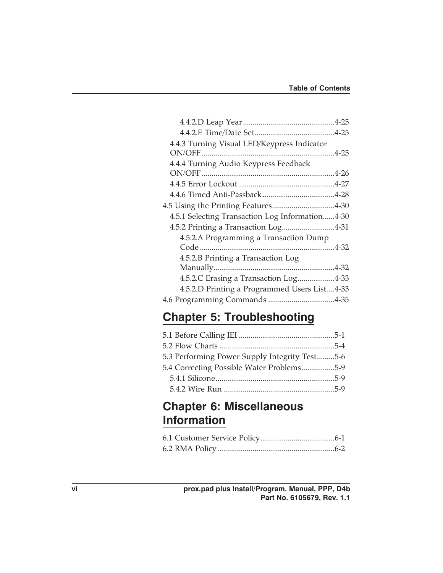| 4.4.3 Turning Visual LED/Keypress Indicator     |  |
|-------------------------------------------------|--|
| 4.4.4 Turning Audio Keypress Feedback           |  |
|                                                 |  |
|                                                 |  |
|                                                 |  |
| 4.5.1 Selecting Transaction Log Information4-30 |  |
| 4.5.2 Printing a Transaction Log4-31            |  |
| 4.5.2.A Programming a Transaction Dump          |  |
|                                                 |  |
| 4.5.2.B Printing a Transaction Log              |  |
|                                                 |  |
| 4.5.2.C Erasing a Transaction Log4-33           |  |
| 4.5.2.D Printing a Programmed Users List4-33    |  |
|                                                 |  |
|                                                 |  |

# **Chapter 5: Troubleshooting**

| 5.3 Performing Power Supply Integrity Test5-6 |  |
|-----------------------------------------------|--|
| 5.4 Correcting Possible Water Problems5-9     |  |
|                                               |  |
|                                               |  |

## **Chapter 6: Miscellaneous Information**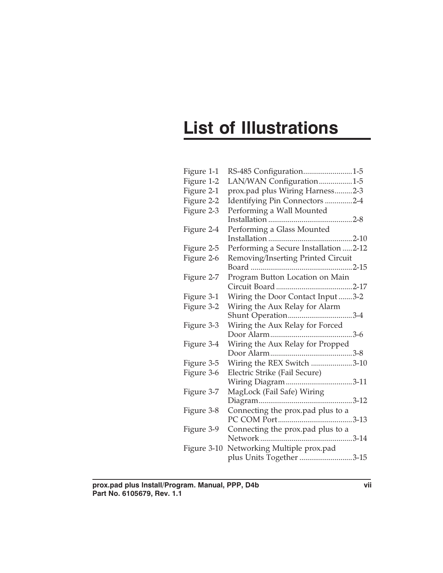# **List of Illustrations**

| Figure 1-1  | RS-485 Configuration1-5               |  |
|-------------|---------------------------------------|--|
| Figure 1-2  | LAN/WAN Configuration1-5              |  |
| Figure 2-1  | prox.pad plus Wiring Harness2-3       |  |
| Figure 2-2  | Identifying Pin Connectors 2-4        |  |
| Figure 2-3  | Performing a Wall Mounted             |  |
|             |                                       |  |
| Figure 2-4  | Performing a Glass Mounted            |  |
|             |                                       |  |
| Figure 2-5  | Performing a Secure Installation 2-12 |  |
| Figure 2-6  | Removing/Inserting Printed Circuit    |  |
|             |                                       |  |
| Figure 2-7  | Program Button Location on Main       |  |
|             |                                       |  |
| Figure 3-1  | Wiring the Door Contact Input3-2      |  |
| Figure 3-2  | Wiring the Aux Relay for Alarm        |  |
|             | Shunt Operation3-4                    |  |
| Figure 3-3  | Wiring the Aux Relay for Forced       |  |
|             |                                       |  |
| Figure 3-4  | Wiring the Aux Relay for Propped      |  |
|             |                                       |  |
| Figure 3-5  | Wiring the REX Switch 3-10            |  |
| Figure 3-6  | Electric Strike (Fail Secure)         |  |
|             | Wiring Diagram 3-11                   |  |
| Figure 3-7  | MagLock (Fail Safe) Wiring            |  |
|             |                                       |  |
| Figure 3-8  | Connecting the prox.pad plus to a     |  |
|             |                                       |  |
| Figure 3-9  | Connecting the prox.pad plus to a     |  |
|             |                                       |  |
| Figure 3-10 | Networking Multiple prox.pad          |  |
|             | plus Units Together 3-15              |  |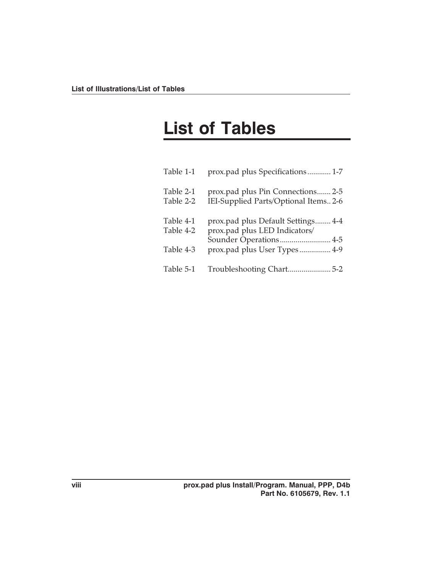# **List of Tables**

| Table 1-1              | prox.pad plus Specifications 1-7                                                              |
|------------------------|-----------------------------------------------------------------------------------------------|
| Table 2-1<br>Table 2-2 | prox.pad plus Pin Connections 2-5<br>IEI-Supplied Parts/Optional Items 2-6                    |
| Table 4-1<br>Table 4-2 | prox.pad plus Default Settings 4-4<br>prox.pad plus LED Indicators/<br>Sounder Operations 4-5 |
| Table 4-3              | prox.pad plus User Types 4-9                                                                  |
| Table 5-1              |                                                                                               |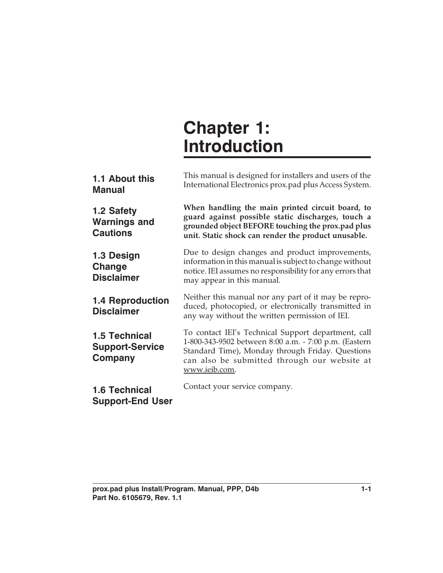# **Chapter 1: Introduction**

| 1.1 About this<br><b>Manual</b>                           | This manual is designed for installers and users of the<br>International Electronics prox.pad plus Access System.                                                                                                                 |
|-----------------------------------------------------------|-----------------------------------------------------------------------------------------------------------------------------------------------------------------------------------------------------------------------------------|
| 1.2 Safety<br><b>Warnings and</b><br><b>Cautions</b>      | When handling the main printed circuit board, to<br>guard against possible static discharges, touch a<br>grounded object BEFORE touching the prox.pad plus<br>unit. Static shock can render the product unusable.                 |
| 1.3 Design<br>Change<br><b>Disclaimer</b>                 | Due to design changes and product improvements,<br>information in this manual is subject to change without<br>notice. IEI assumes no responsibility for any errors that<br>may appear in this manual.                             |
| <b>1.4 Reproduction</b><br><b>Disclaimer</b>              | Neither this manual nor any part of it may be repro-<br>duced, photocopied, or electronically transmitted in<br>any way without the written permission of IEI.                                                                    |
| <b>1.5 Technical</b><br><b>Support-Service</b><br>Company | To contact IEI's Technical Support department, call<br>1-800-343-9502 between 8:00 a.m. - 7:00 p.m. (Eastern<br>Standard Time), Monday through Friday. Questions<br>can also be submitted through our website at<br>www.ieib.com. |
| <b>1.6 Technical</b><br><b>Support-End User</b>           | Contact your service company.                                                                                                                                                                                                     |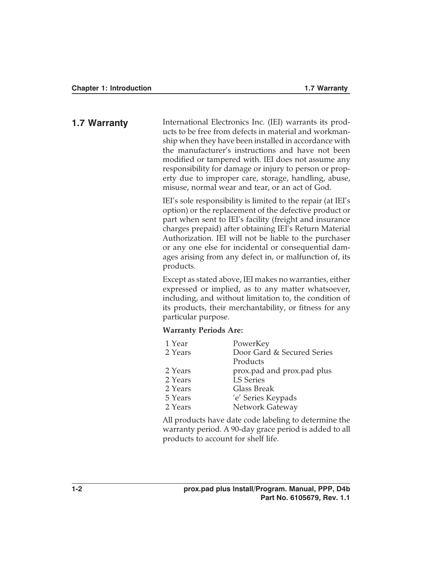**1.7 Warranty** International Electronics Inc. (IEI) warrants its products to be free from defects in material and workmanship when they have been installed in accordance with the manufacturer's instructions and have not been modified or tampered with. IEI does not assume any responsibility for damage or injury to person or property due to improper care, storage, handling, abuse, misuse, normal wear and tear, or an act of God.

> IEI's sole responsibility is limited to the repair (at IEI's option) or the replacement of the defective product or part when sent to IEI's facility (freight and insurance charges prepaid) after obtaining IEI's Return Material Authorization. IEI will not be liable to the purchaser or any one else for incidental or consequential damages arising from any defect in, or malfunction of, its products.

> Except as stated above, IEI makes no warranties, either expressed or implied, as to any matter whatsoever, including, and without limitation to, the condition of its products, their merchantability, or fitness for any particular purpose.

#### **Warranty Periods Are:**

| 1 Year  | PowerKey                   |
|---------|----------------------------|
| 2 Years | Door Gard & Secured Series |
|         | Products                   |
| 2 Years | prox.pad and prox.pad plus |
| 2 Years | <b>LS Series</b>           |
| 2 Years | Glass Break                |
| 5 Years | 'e' Series Keypads         |
| 2 Years | Network Gateway            |

All products have date code labeling to determine the warranty period. A 90-day grace period is added to all products to account for shelf life.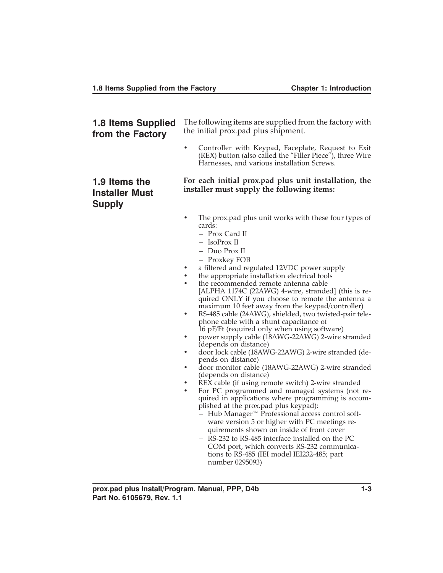| <b>1.8 Items Supplied</b><br>from the Factory           | The following items are supplied from the factory with<br>the initial prox.pad plus shipment.                                                                                                                                                                                                                                                                                                                                                                                                                                                                                                                                                                                                                                                                                                                                                                                                                                                                                                                                                                                                                                                                                         |  |  |
|---------------------------------------------------------|---------------------------------------------------------------------------------------------------------------------------------------------------------------------------------------------------------------------------------------------------------------------------------------------------------------------------------------------------------------------------------------------------------------------------------------------------------------------------------------------------------------------------------------------------------------------------------------------------------------------------------------------------------------------------------------------------------------------------------------------------------------------------------------------------------------------------------------------------------------------------------------------------------------------------------------------------------------------------------------------------------------------------------------------------------------------------------------------------------------------------------------------------------------------------------------|--|--|
|                                                         | Controller with Keypad, Faceplate, Request to Exit<br>$\bullet$<br>(REX) button (also called the "Filler Piece"), three Wire<br>Harnesses, and various installation Screws.                                                                                                                                                                                                                                                                                                                                                                                                                                                                                                                                                                                                                                                                                                                                                                                                                                                                                                                                                                                                           |  |  |
| 1.9 Items the<br><b>Installer Must</b><br><b>Supply</b> | For each initial prox.pad plus unit installation, the<br>installer must supply the following items:                                                                                                                                                                                                                                                                                                                                                                                                                                                                                                                                                                                                                                                                                                                                                                                                                                                                                                                                                                                                                                                                                   |  |  |
|                                                         | The prox.pad plus unit works with these four types of<br>cards:<br>- Prox Card II<br>- IsoProx II<br>- Duo Prox II<br>- Proxkey FOB<br>a filtered and regulated 12VDC power supply<br>the appropriate installation electrical tools<br>the recommended remote antenna cable<br>[ALPHA 1174C (22AWG) 4-wire, stranded] (this is re-<br>quired ONLY if you choose to remote the antenna a<br>maximum 10 feet away from the keypad/controller)<br>RS-485 cable (24AWG), shielded, two twisted-pair tele-<br>٠<br>phone cable with a shunt capacitance of<br>16 pF/Ft (required only when using software)<br>power supply cable (18AWG-22AWG) 2-wire stranded<br>(depends on distance)<br>door lock cable (18AWG-22AWG) 2-wire stranded (de-<br>٠<br>pends on distance)<br>door monitor cable (18AWG-22AWG) 2-wire stranded<br>(depends on distance)<br>REX cable (if using remote switch) 2-wire stranded<br>For PC programmed and managed systems (not re-<br>$\bullet$<br>quired in applications where programming is accom-<br>plished at the prox.pad plus keypad):<br>- Hub Manager <sup>™</sup> Professional access control soft-<br>ware version 5 or higher with PC meetings re- |  |  |

quirements shown on inside of front cover – RS-232 to RS-485 interface installed on the PC COM port, which converts RS-232 communications to RS-485 (IEI model IEI232-485; part number 0295093)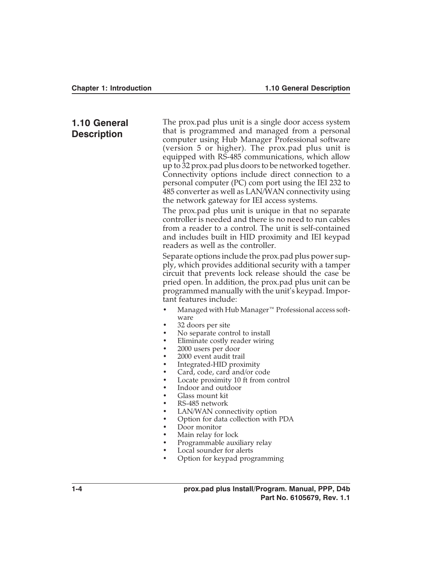#### **1.10 General Description**

The prox.pad plus unit is a single door access system that is programmed and managed from a personal computer using Hub Manager Professional software (version 5 or higher). The prox.pad plus unit is equipped with RS-485 communications, which allow up to 32 prox.pad plus doors to be networked together. Connectivity options include direct connection to a personal computer (PC) com port using the IEI 232 to 485 converter as well as LAN/WAN connectivity using the network gateway for IEI access systems.

The prox.pad plus unit is unique in that no separate controller is needed and there is no need to run cables from a reader to a control. The unit is self-contained and includes built in HID proximity and IEI keypad readers as well as the controller.

Separate options include the prox.pad plus power supply, which provides additional security with a tamper circuit that prevents lock release should the case be pried open. In addition, the prox.pad plus unit can be programmed manually with the unit's keypad. Important features include:

- Managed with Hub Manager™ Professional access software
- 32 doors per site
- No separate control to install
- Eliminate costly reader wiring
- 2000 users per door
- 2000 event audit trail
- Integrated-HID proximity
- Card, code, card and/or code
- Locate proximity 10 ft from control
- Indoor and outdoor
- Glass mount kit
- RS-485 network
- LAN/WAN connectivity option
- Option for data collection with PDA
- Door monitor
- Main relay for lock
- Programmable auxiliary relay
- Local sounder for alerts
- Option for keypad programming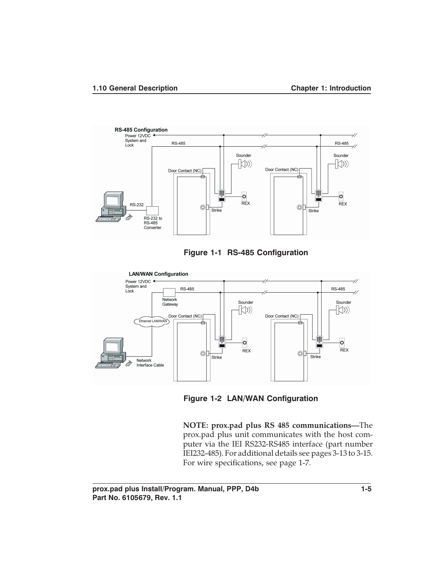





**Figure 1-2 LAN/WAN Configuration**

**NOTE: prox.pad plus RS 485 communications—**The prox.pad plus unit communicates with the host computer via the IEI RS232-RS485 interface (part number IEI232-485). For additional details see pages 3-13 to 3-15. For wire specifications, see page 1-7.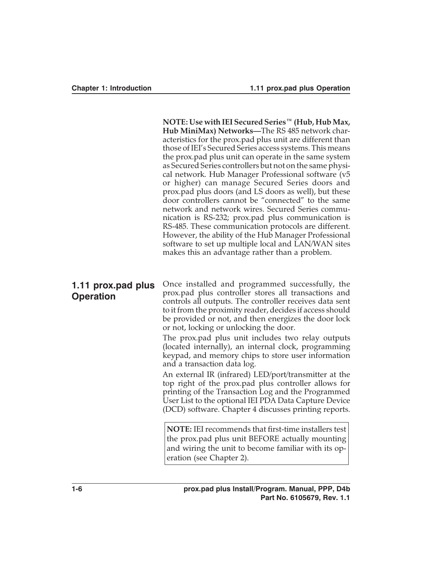**NOTE: Use with IEI Secured Series™ (Hub, Hub Max, Hub MiniMax) Networks—**The RS 485 network characteristics for the prox.pad plus unit are different than those of IEI's Secured Series access systems. This means the prox.pad plus unit can operate in the same system as Secured Series controllers but not on the same physical network. Hub Manager Professional software (v5 or higher) can manage Secured Series doors and prox.pad plus doors (and LS doors as well), but these door controllers cannot be "connected" to the same network and network wires. Secured Series communication is RS-232; prox.pad plus communication is RS-485. These communication protocols are different. However, the ability of the Hub Manager Professional software to set up multiple local and LAN/WAN sites makes this an advantage rather than a problem.

### **1.11 prox.pad plus Operation**

Once installed and programmed successfully, the prox.pad plus controller stores all transactions and controls all outputs. The controller receives data sent to it from the proximity reader, decides if access should be provided or not, and then energizes the door lock or not, locking or unlocking the door.

The prox.pad plus unit includes two relay outputs (located internally), an internal clock, programming keypad, and memory chips to store user information and a transaction data log.

An external IR (infrared) LED/port/transmitter at the top right of the prox.pad plus controller allows for printing of the Transaction Log and the Programmed User List to the optional IEI PDA Data Capture Device (DCD) software. Chapter 4 discusses printing reports.

**NOTE:** IEI recommends that first-time installers test the prox.pad plus unit BEFORE actually mounting and wiring the unit to become familiar with its operation (see Chapter 2).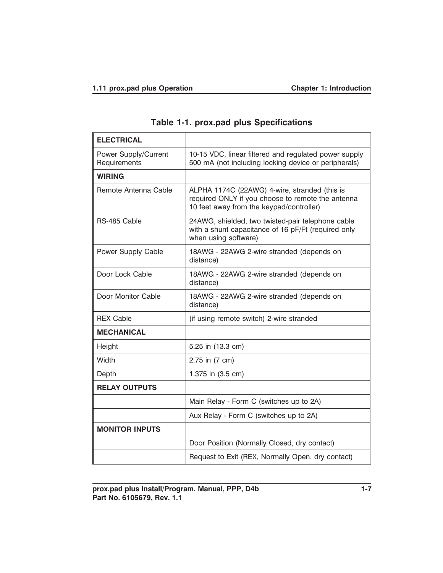| <b>ELECTRICAL</b>                           |                                                                                                                                                |
|---------------------------------------------|------------------------------------------------------------------------------------------------------------------------------------------------|
| <b>Power Supply/Current</b><br>Requirements | 10-15 VDC, linear filtered and regulated power supply<br>500 mA (not including locking device or peripherals)                                  |
| <b>WIRING</b>                               |                                                                                                                                                |
| Remote Antenna Cable                        | ALPHA 1174C (22AWG) 4-wire, stranded (this is<br>required ONLY if you choose to remote the antenna<br>10 feet away from the keypad/controller) |
| RS-485 Cable                                | 24AWG, shielded, two twisted-pair telephone cable<br>with a shunt capacitance of 16 pF/Ft (required only<br>when using software)               |
| Power Supply Cable                          | 18AWG - 22AWG 2-wire stranded (depends on<br>distance)                                                                                         |
| Door Lock Cable                             | 18AWG - 22AWG 2-wire stranded (depends on<br>distance)                                                                                         |
| Door Monitor Cable                          | 18AWG - 22AWG 2-wire stranded (depends on<br>distance)                                                                                         |
| <b>REX Cable</b>                            | (if using remote switch) 2-wire stranded                                                                                                       |
| <b>MECHANICAL</b>                           |                                                                                                                                                |
| Height                                      | 5.25 in (13.3 cm)                                                                                                                              |
| Width                                       | 2.75 in (7 cm)                                                                                                                                 |
| Depth                                       | 1.375 in (3.5 cm)                                                                                                                              |
| <b>RELAY OUTPUTS</b>                        |                                                                                                                                                |
|                                             | Main Relay - Form C (switches up to 2A)                                                                                                        |
|                                             | Aux Relay - Form C (switches up to 2A)                                                                                                         |
| <b>MONITOR INPUTS</b>                       |                                                                                                                                                |
|                                             | Door Position (Normally Closed, dry contact)                                                                                                   |
|                                             | Request to Exit (REX, Normally Open, dry contact)                                                                                              |

## **Table 1-1. prox.pad plus Specifications**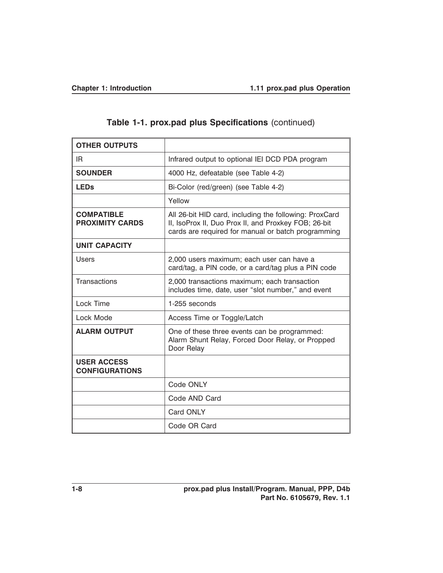| <b>OTHER OUTPUTS</b>                        |                                                                                                                                                                      |  |
|---------------------------------------------|----------------------------------------------------------------------------------------------------------------------------------------------------------------------|--|
| IR.                                         | Infrared output to optional IEI DCD PDA program                                                                                                                      |  |
| <b>SOUNDER</b>                              | 4000 Hz, defeatable (see Table 4-2)                                                                                                                                  |  |
| <b>LEDs</b>                                 | Bi-Color (red/green) (see Table 4-2)                                                                                                                                 |  |
|                                             | Yellow                                                                                                                                                               |  |
| <b>COMPATIBLE</b><br><b>PROXIMITY CARDS</b> | All 26-bit HID card, including the following: ProxCard<br>II, IsoProx II, Duo Prox II, and Proxkey FOB; 26-bit<br>cards are required for manual or batch programming |  |
| <b>UNIT CAPACITY</b>                        |                                                                                                                                                                      |  |
| <b>Users</b>                                | 2,000 users maximum; each user can have a<br>card/tag, a PIN code, or a card/tag plus a PIN code                                                                     |  |
| Transactions                                | 2,000 transactions maximum; each transaction<br>includes time, date, user "slot number," and event                                                                   |  |
| Lock Time                                   | 1-255 seconds                                                                                                                                                        |  |
| Lock Mode                                   | Access Time or Toggle/Latch                                                                                                                                          |  |
| <b>ALARM OUTPUT</b>                         | One of these three events can be programmed:<br>Alarm Shunt Relay, Forced Door Relay, or Propped<br>Door Relay                                                       |  |
| <b>USER ACCESS</b><br><b>CONFIGURATIONS</b> |                                                                                                                                                                      |  |
|                                             | Code ONLY                                                                                                                                                            |  |
|                                             | Code AND Card                                                                                                                                                        |  |
|                                             | Card ONLY                                                                                                                                                            |  |
|                                             | Code OR Card                                                                                                                                                         |  |

## **Table 1-1. prox.pad plus Specifications** (continued)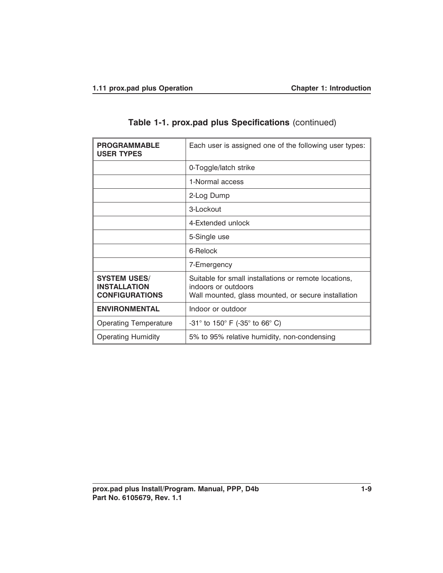| <b>PROGRAMMABLE</b><br><b>USER TYPES</b>                            | Each user is assigned one of the following user types:                                                                              |
|---------------------------------------------------------------------|-------------------------------------------------------------------------------------------------------------------------------------|
|                                                                     | 0-Toggle/latch strike                                                                                                               |
|                                                                     | 1-Normal access                                                                                                                     |
|                                                                     | 2-Log Dump                                                                                                                          |
|                                                                     | 3-Lockout                                                                                                                           |
|                                                                     | 4-Extended unlock                                                                                                                   |
|                                                                     | 5-Single use                                                                                                                        |
|                                                                     | 6-Relock                                                                                                                            |
|                                                                     | 7-Emergency                                                                                                                         |
| <b>SYSTEM USES/</b><br><b>INSTALLATION</b><br><b>CONFIGURATIONS</b> | Suitable for small installations or remote locations,<br>indoors or outdoors<br>Wall mounted, glass mounted, or secure installation |
| <b>ENVIRONMENTAL</b>                                                | Indoor or outdoor                                                                                                                   |
| <b>Operating Temperature</b>                                        | $-31^{\circ}$ to 150 $^{\circ}$ F ( $-35^{\circ}$ to 66 $^{\circ}$ C)                                                               |
| <b>Operating Humidity</b>                                           | 5% to 95% relative humidity, non-condensing                                                                                         |

## **Table 1-1. prox.pad plus Specifications** (continued)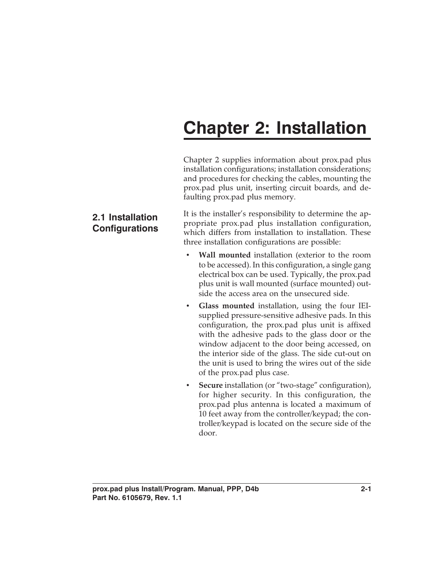# **Chapter 2: Installation**

Chapter 2 supplies information about prox.pad plus installation configurations; installation considerations; and procedures for checking the cables, mounting the prox.pad plus unit, inserting circuit boards, and defaulting prox.pad plus memory.

It is the installer's responsibility to determine the appropriate prox.pad plus installation configuration, which differs from installation to installation. These three installation configurations are possible:

- **Wall mounted** installation (exterior to the room to be accessed). In this configuration, a single gang electrical box can be used. Typically, the prox.pad plus unit is wall mounted (surface mounted) outside the access area on the unsecured side.
- **Glass mounted** installation, using the four IEIsupplied pressure-sensitive adhesive pads. In this configuration, the prox.pad plus unit is affixed with the adhesive pads to the glass door or the window adjacent to the door being accessed, on the interior side of the glass. The side cut-out on the unit is used to bring the wires out of the side of the prox.pad plus case.
- **Secure** installation (or "two-stage" configuration), for higher security. In this configuration, the prox.pad plus antenna is located a maximum of 10 feet away from the controller/keypad; the controller/keypad is located on the secure side of the door.

## **2.1 Installation Configurations**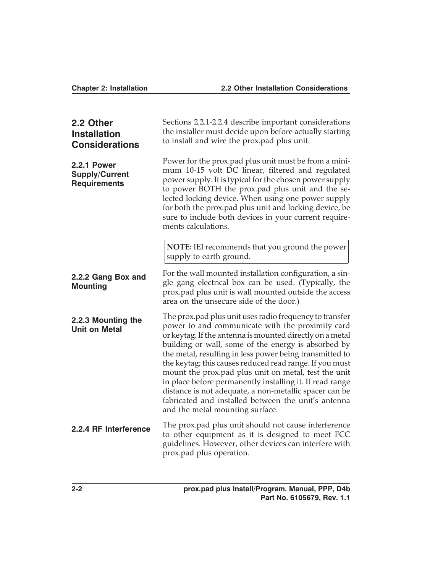#### **Chapter 2: Installation 2.2 Other Installation Considerations**

| 2.2 Other<br><b>Installation</b><br><b>Considerations</b>          | Sections 2.2.1-2.2.4 describe important considerations<br>the installer must decide upon before actually starting<br>to install and wire the prox.pad plus unit.                                                                                                                                                                                                                                                                                                                                                                                                                                                             |  |
|--------------------------------------------------------------------|------------------------------------------------------------------------------------------------------------------------------------------------------------------------------------------------------------------------------------------------------------------------------------------------------------------------------------------------------------------------------------------------------------------------------------------------------------------------------------------------------------------------------------------------------------------------------------------------------------------------------|--|
| <b>2.2.1 Power</b><br><b>Supply/Current</b><br><b>Requirements</b> | Power for the prox.pad plus unit must be from a mini-<br>mum 10-15 volt DC linear, filtered and regulated<br>power supply. It is typical for the chosen power supply<br>to power BOTH the prox.pad plus unit and the se-<br>lected locking device. When using one power supply<br>for both the prox.pad plus unit and locking device, be<br>sure to include both devices in your current require-<br>ments calculations.                                                                                                                                                                                                     |  |
|                                                                    | NOTE: IEI recommends that you ground the power<br>supply to earth ground.                                                                                                                                                                                                                                                                                                                                                                                                                                                                                                                                                    |  |
| 2.2.2 Gang Box and<br><b>Mounting</b>                              | For the wall mounted installation configuration, a sin-<br>gle gang electrical box can be used. (Typically, the<br>prox.pad plus unit is wall mounted outside the access<br>area on the unsecure side of the door.)                                                                                                                                                                                                                                                                                                                                                                                                          |  |
| 2.2.3 Mounting the<br><b>Unit on Metal</b>                         | The prox.pad plus unit uses radio frequency to transfer<br>power to and communicate with the proximity card<br>or keytag. If the antenna is mounted directly on a metal<br>building or wall, some of the energy is absorbed by<br>the metal, resulting in less power being transmitted to<br>the keytag; this causes reduced read range. If you must<br>mount the prox.pad plus unit on metal, test the unit<br>in place before permanently installing it. If read range<br>distance is not adequate, a non-metallic spacer can be<br>fabricated and installed between the unit's antenna<br>and the metal mounting surface. |  |
| 2.2.4 RF Interference                                              | The prox.pad plus unit should not cause interference<br>to other equipment as it is designed to meet FCC<br>guidelines. However, other devices can interfere with<br>prox.pad plus operation.                                                                                                                                                                                                                                                                                                                                                                                                                                |  |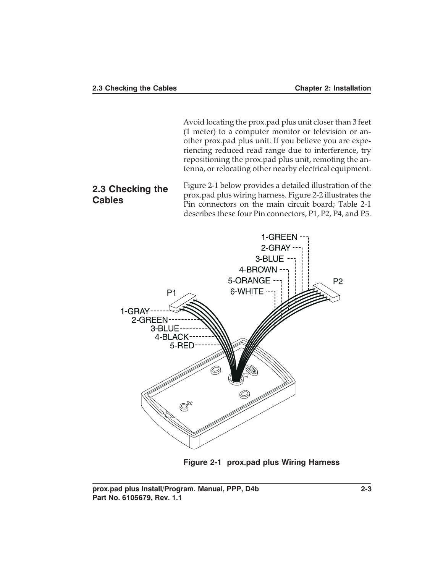Avoid locating the prox.pad plus unit closer than 3 feet (1 meter) to a computer monitor or television or another prox.pad plus unit. If you believe you are experiencing reduced read range due to interference, try repositioning the prox.pad plus unit, remoting the antenna, or relocating other nearby electrical equipment.

### **2.3 Checking the Cables**

Figure 2-1 below provides a detailed illustration of the prox.pad plus wiring harness. Figure 2-2 illustrates the Pin connectors on the main circuit board; Table 2-1 describes these four Pin connectors, P1, P2, P4, and P5.



**Figure 2-1 prox.pad plus Wiring Harness**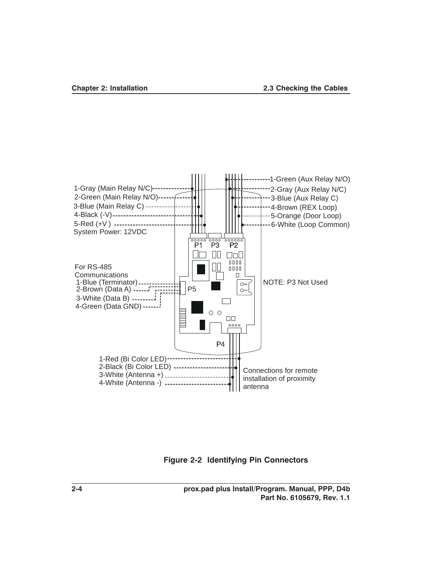

**Figure 2-2 Identifying Pin Connectors**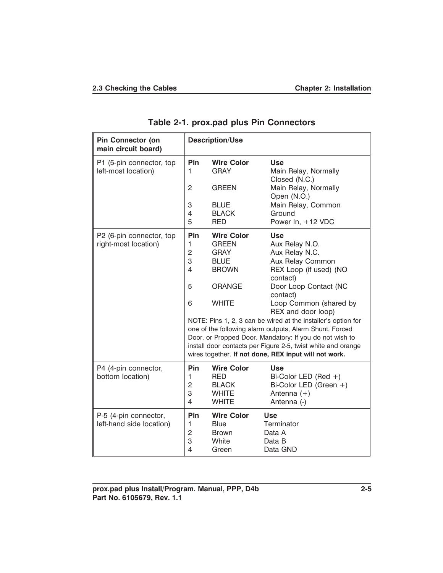| <b>Pin Connector (on</b><br>main circuit board)   |                                                          | <b>Description/Use</b>                                                          |                                                                                                                                                                                                                                                                                                              |
|---------------------------------------------------|----------------------------------------------------------|---------------------------------------------------------------------------------|--------------------------------------------------------------------------------------------------------------------------------------------------------------------------------------------------------------------------------------------------------------------------------------------------------------|
| P1 (5-pin connector, top<br>left-most location)   | <b>Pin</b><br>1                                          | <b>Wire Color</b><br><b>GRAY</b>                                                | <b>Use</b><br>Main Relay, Normally<br>Closed (N.C.)                                                                                                                                                                                                                                                          |
|                                                   | $\overline{c}$                                           | <b>GREEN</b>                                                                    | Main Relay, Normally<br>Open (N.O.)                                                                                                                                                                                                                                                                          |
|                                                   | 3                                                        | <b>BLUE</b>                                                                     | Main Relay, Common                                                                                                                                                                                                                                                                                           |
|                                                   | 4<br>5                                                   | <b>BLACK</b><br><b>RED</b>                                                      | Ground<br>Power In, +12 VDC                                                                                                                                                                                                                                                                                  |
| P2 (6-pin connector, top                          | <b>Pin</b>                                               | <b>Wire Color</b>                                                               | <b>Use</b>                                                                                                                                                                                                                                                                                                   |
| right-most location)                              | 1                                                        | <b>GREEN</b>                                                                    | Aux Relay N.O.                                                                                                                                                                                                                                                                                               |
|                                                   | $\overline{c}$                                           | <b>GRAY</b>                                                                     | Aux Relay N.C.                                                                                                                                                                                                                                                                                               |
|                                                   | 3                                                        | <b>BLUE</b>                                                                     | Aux Relay Common                                                                                                                                                                                                                                                                                             |
|                                                   | 4                                                        | <b>BROWN</b>                                                                    | REX Loop (if used) (NO<br>contact)                                                                                                                                                                                                                                                                           |
|                                                   | 5                                                        | <b>ORANGE</b>                                                                   | Door Loop Contact (NC<br>contact)                                                                                                                                                                                                                                                                            |
|                                                   | 6                                                        | <b>WHITE</b>                                                                    | Loop Common (shared by<br>REX and door loop)                                                                                                                                                                                                                                                                 |
|                                                   |                                                          |                                                                                 | NOTE: Pins 1, 2, 3 can be wired at the installer's option for<br>one of the following alarm outputs, Alarm Shunt, Forced<br>Door, or Propped Door. Mandatory: If you do not wish to<br>install door contacts per Figure 2-5, twist white and orange<br>wires together. If not done, REX input will not work. |
| P4 (4-pin connector,<br>bottom location)          | <b>Pin</b><br>1<br>$\overline{c}$<br>3<br>$\overline{4}$ | <b>Wire Color</b><br><b>RED</b><br><b>BLACK</b><br><b>WHITE</b><br><b>WHITE</b> | Use<br>Bi-Color LED (Red $+)$<br>Bi-Color LED (Green +)<br>Antenna $(+)$<br>Antenna (-)                                                                                                                                                                                                                      |
| P-5 (4-pin connector,<br>left-hand side location) | <b>Pin</b><br>1<br>$\overline{c}$<br>3<br>4              | <b>Wire Color</b><br><b>Blue</b><br><b>Brown</b><br>White<br>Green              | <b>Use</b><br>Terminator<br>Data A<br>Data B<br>Data GND                                                                                                                                                                                                                                                     |

### **Table 2-1. prox.pad plus Pin Connectors**

**prox.pad plus Install/Program. Manual, PPP, D4b 2-5 Part No. 6105679, Rev. 1.1**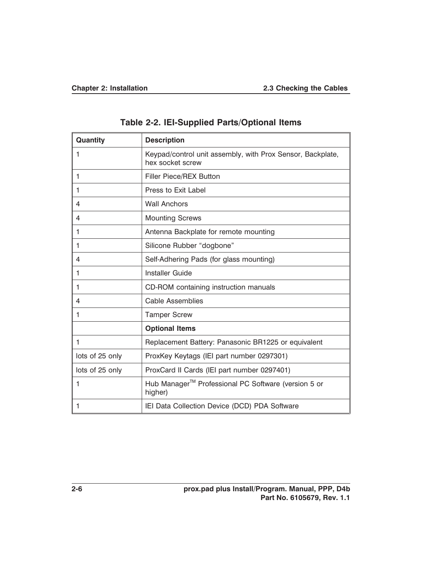| Quantity        | <b>Description</b>                                                             |
|-----------------|--------------------------------------------------------------------------------|
| 1               | Keypad/control unit assembly, with Prox Sensor, Backplate,<br>hex socket screw |
| 1               | Filler Piece/REX Button                                                        |
| 1               | Press to Exit Label                                                            |
| 4               | <b>Wall Anchors</b>                                                            |
| 4               | <b>Mounting Screws</b>                                                         |
| 1               | Antenna Backplate for remote mounting                                          |
| 1               | Silicone Rubber "dogbone"                                                      |
| 4               | Self-Adhering Pads (for glass mounting)                                        |
| 1               | <b>Installer Guide</b>                                                         |
| 1               | CD-ROM containing instruction manuals                                          |
| 4               | <b>Cable Assemblies</b>                                                        |
| 1               | <b>Tamper Screw</b>                                                            |
|                 | <b>Optional Items</b>                                                          |
| $\mathbf{1}$    | Replacement Battery: Panasonic BR1225 or equivalent                            |
| lots of 25 only | ProxKey Keytags (IEI part number 0297301)                                      |
| lots of 25 only | ProxCard II Cards (IEI part number 0297401)                                    |
| 1               | Hub Manager <sup>™</sup> Professional PC Software (version 5 or<br>higher)     |
| 1               | IEI Data Collection Device (DCD) PDA Software                                  |

**Table 2-2. IEI-Supplied Parts/Optional Items**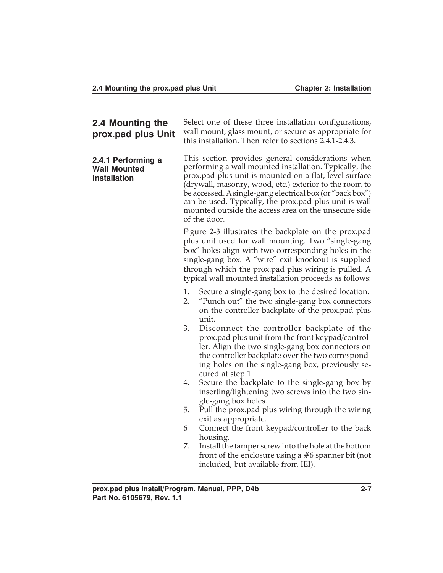| 2.4 Mounting the<br>prox.pad plus Unit                           | Select one of these three installation configurations,<br>wall mount, glass mount, or secure as appropriate for<br>this installation. Then refer to sections 2.4.1-2.4.3.                                                                                                                                                                                                                                                                                                                                                                                                                                                                                                                                                                                                    |                                                                                                                                                                                                                                                                                  |
|------------------------------------------------------------------|------------------------------------------------------------------------------------------------------------------------------------------------------------------------------------------------------------------------------------------------------------------------------------------------------------------------------------------------------------------------------------------------------------------------------------------------------------------------------------------------------------------------------------------------------------------------------------------------------------------------------------------------------------------------------------------------------------------------------------------------------------------------------|----------------------------------------------------------------------------------------------------------------------------------------------------------------------------------------------------------------------------------------------------------------------------------|
| 2.4.1 Performing a<br><b>Wall Mounted</b><br><b>Installation</b> | This section provides general considerations when<br>performing a wall mounted installation. Typically, the<br>prox.pad plus unit is mounted on a flat, level surface<br>(drywall, masonry, wood, etc.) exterior to the room to<br>be accessed. A single-gang electrical box (or "back box")<br>can be used. Typically, the prox.pad plus unit is wall<br>mounted outside the access area on the unsecure side<br>of the door.<br>Figure 2-3 illustrates the backplate on the prox.pad<br>plus unit used for wall mounting. Two "single-gang<br>box" holes align with two corresponding holes in the<br>single-gang box. A "wire" exit knockout is supplied<br>through which the prox.pad plus wiring is pulled. A<br>typical wall mounted installation proceeds as follows: |                                                                                                                                                                                                                                                                                  |
|                                                                  |                                                                                                                                                                                                                                                                                                                                                                                                                                                                                                                                                                                                                                                                                                                                                                              |                                                                                                                                                                                                                                                                                  |
|                                                                  | 1.<br>2.                                                                                                                                                                                                                                                                                                                                                                                                                                                                                                                                                                                                                                                                                                                                                                     | Secure a single-gang box to the desired location.<br>"Punch out" the two single-gang box connectors<br>on the controller backplate of the prox.pad plus<br>unit.                                                                                                                 |
|                                                                  | 3.                                                                                                                                                                                                                                                                                                                                                                                                                                                                                                                                                                                                                                                                                                                                                                           | Disconnect the controller backplate of the<br>prox.pad plus unit from the front keypad/control-<br>ler. Align the two single-gang box connectors on<br>the controller backplate over the two correspond-<br>ing holes on the single-gang box, previously se-<br>cured at step 1. |
|                                                                  | 4.                                                                                                                                                                                                                                                                                                                                                                                                                                                                                                                                                                                                                                                                                                                                                                           | Secure the backplate to the single-gang box by<br>inserting/tightening two screws into the two sin-<br>gle-gang box holes.                                                                                                                                                       |
|                                                                  | 5.                                                                                                                                                                                                                                                                                                                                                                                                                                                                                                                                                                                                                                                                                                                                                                           | Pull the prox.pad plus wiring through the wiring<br>exit as appropriate.                                                                                                                                                                                                         |
|                                                                  | 6                                                                                                                                                                                                                                                                                                                                                                                                                                                                                                                                                                                                                                                                                                                                                                            | Connect the front keypad/controller to the back<br>housing.                                                                                                                                                                                                                      |
|                                                                  | 7.                                                                                                                                                                                                                                                                                                                                                                                                                                                                                                                                                                                                                                                                                                                                                                           | Install the tamper screw into the hole at the bottom<br>front of the enclosure using a $#6$ spanner bit (not<br>included, but available from IEI).                                                                                                                               |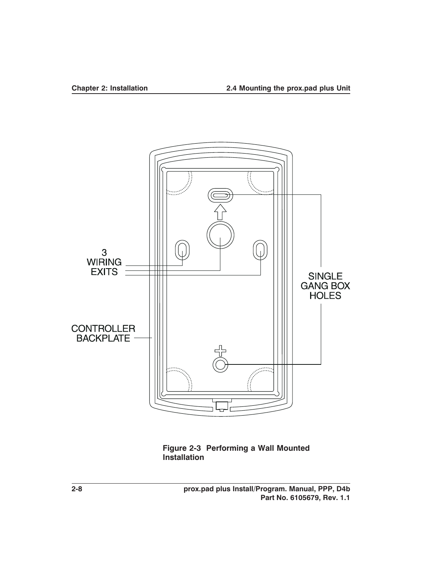

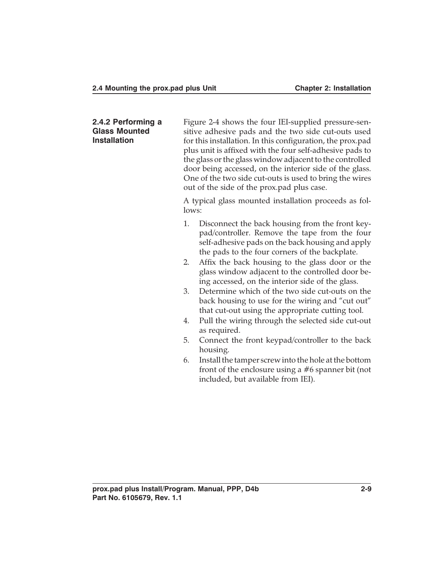**2.4.2 Performing a Glass Mounted Installation** Figure 2-4 shows the four IEI-supplied pressure-sensitive adhesive pads and the two side cut-outs used for this installation. In this configuration, the prox.pad plus unit is affixed with the four self-adhesive pads to the glass or the glass window adjacent to the controlled door being accessed, on the interior side of the glass. One of the two side cut-outs is used to bring the wires out of the side of the prox.pad plus case. A typical glass mounted installation proceeds as follows: 1. Disconnect the back housing from the front keypad/controller. Remove the tape from the four self-adhesive pads on the back housing and apply the pads to the four corners of the backplate. 2. Affix the back housing to the glass door or the glass window adjacent to the controlled door being accessed, on the interior side of the glass. 3. Determine which of the two side cut-outs on the back housing to use for the wiring and "cut out" that cut-out using the appropriate cutting tool. 4. Pull the wiring through the selected side cut-out as required. 5. Connect the front keypad/controller to the back housing. 6. Install the tamper screw into the hole at the bottom front of the enclosure using a #6 spanner bit (not included, but available from IEI).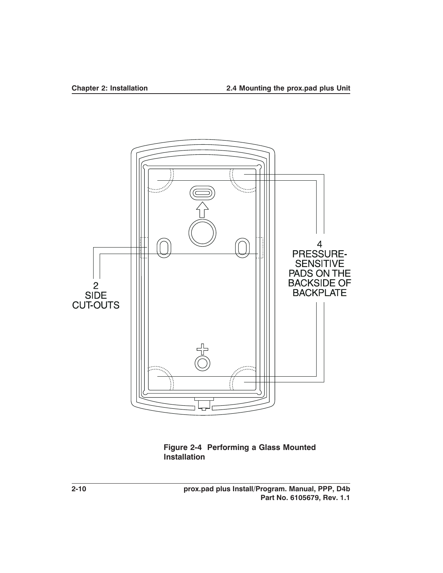

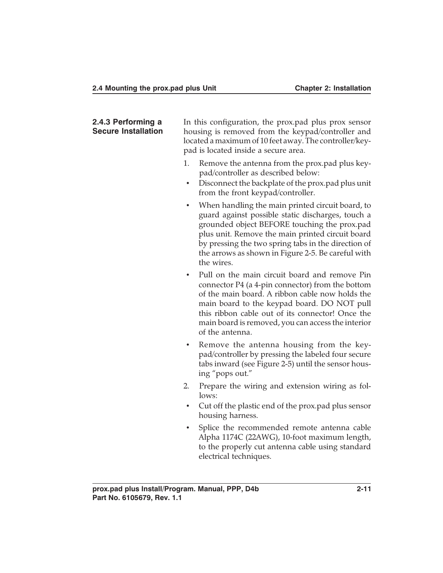#### **2.4.3 Performing a Secure Installation**

In this configuration, the prox.pad plus prox sensor housing is removed from the keypad/controller and located a maximum of 10 feet away. The controller/keypad is located inside a secure area.

- 1. Remove the antenna from the prox.pad plus keypad/controller as described below:
- Disconnect the backplate of the prox.pad plus unit from the front keypad/controller.
- When handling the main printed circuit board, to guard against possible static discharges, touch a grounded object BEFORE touching the prox.pad plus unit. Remove the main printed circuit board by pressing the two spring tabs in the direction of the arrows as shown in Figure 2-5. Be careful with the wires.
- Pull on the main circuit board and remove Pin connector P4 (a 4-pin connector) from the bottom of the main board. A ribbon cable now holds the main board to the keypad board. DO NOT pull this ribbon cable out of its connector! Once the main board is removed, you can access the interior of the antenna.
- Remove the antenna housing from the keypad/controller by pressing the labeled four secure tabs inward (see Figure 2-5) until the sensor housing "pops out."
- 2. Prepare the wiring and extension wiring as follows:
- Cut off the plastic end of the prox.pad plus sensor housing harness.
- Splice the recommended remote antenna cable Alpha 1174C (22AWG), 10-foot maximum length, to the properly cut antenna cable using standard electrical techniques.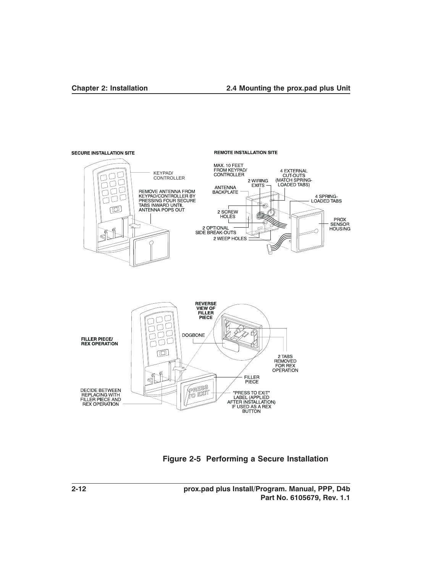#### **Chapter 2: Installation 2.4 Mounting the prox.pad plus Unit**



#### **Figure 2-5 Performing a Secure Installation**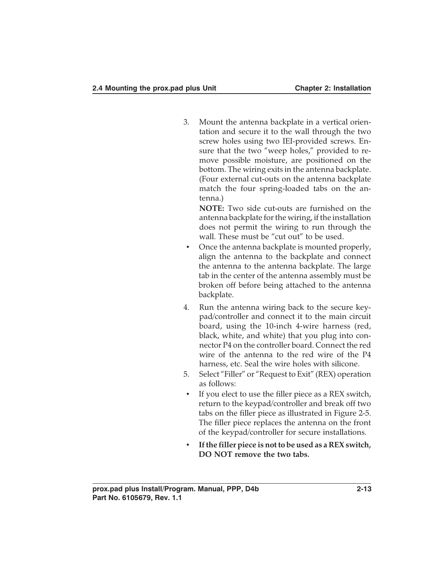3. Mount the antenna backplate in a vertical orientation and secure it to the wall through the two screw holes using two IEI-provided screws. Ensure that the two "weep holes," provided to remove possible moisture, are positioned on the bottom. The wiring exits in the antenna backplate. (Four external cut-outs on the antenna backplate match the four spring-loaded tabs on the antenna.)

**NOTE:** Two side cut-outs are furnished on the antenna backplate for the wiring, if the installation does not permit the wiring to run through the wall. These must be "cut out" to be used.

- Once the antenna backplate is mounted properly, align the antenna to the backplate and connect the antenna to the antenna backplate. The large tab in the center of the antenna assembly must be broken off before being attached to the antenna backplate.
- 4. Run the antenna wiring back to the secure keypad/controller and connect it to the main circuit board, using the 10-inch 4-wire harness (red, black, white, and white) that you plug into connector P4 on the controller board. Connect the red wire of the antenna to the red wire of the P4 harness, etc. Seal the wire holes with silicone.
- 5. Select "Filler" or "Request to Exit" (REX) operation as follows:
- If you elect to use the filler piece as a REX switch, return to the keypad/controller and break off two tabs on the filler piece as illustrated in Figure 2-5. The filler piece replaces the antenna on the front of the keypad/controller for secure installations.
- **If the filler piece is not to be used as a REX switch, DO NOT remove the two tabs.**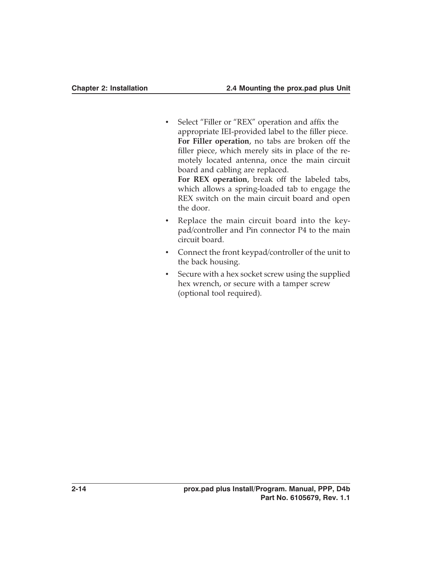- Select "Filler or "REX" operation and affix the appropriate IEI-provided label to the filler piece. **For Filler operation**, no tabs are broken off the filler piece, which merely sits in place of the remotely located antenna, once the main circuit board and cabling are replaced. **For REX operation**, break off the labeled tabs, which allows a spring-loaded tab to engage the REX switch on the main circuit board and open
- Replace the main circuit board into the keypad/controller and Pin connector P4 to the main circuit board.

the door.

- Connect the front keypad/controller of the unit to the back housing.
- Secure with a hex socket screw using the supplied hex wrench, or secure with a tamper screw (optional tool required).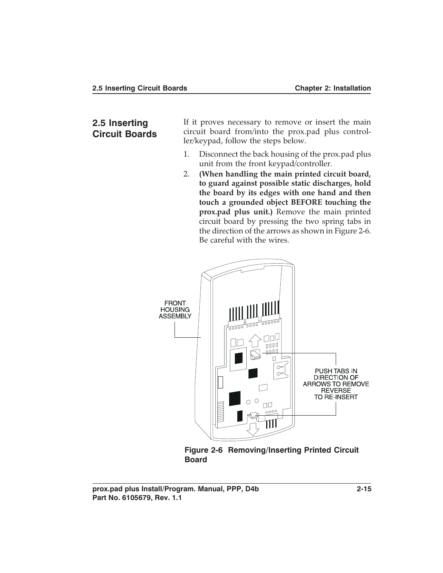### **2.5 Inserting Circuit Boards**

If it proves necessary to remove or insert the main circuit board from/into the prox.pad plus controller/keypad, follow the steps below.

- 1. Disconnect the back housing of the prox.pad plus unit from the front keypad/controller.
- 2. **(When handling the main printed circuit board, to guard against possible static discharges, hold the board by its edges with one hand and then touch a grounded object BEFORE touching the prox.pad plus unit.)** Remove the main printed circuit board by pressing the two spring tabs in the direction of the arrows as shown in Figure 2-6. Be careful with the wires.



**Figure 2-6 Removing/Inserting Printed Circuit Board**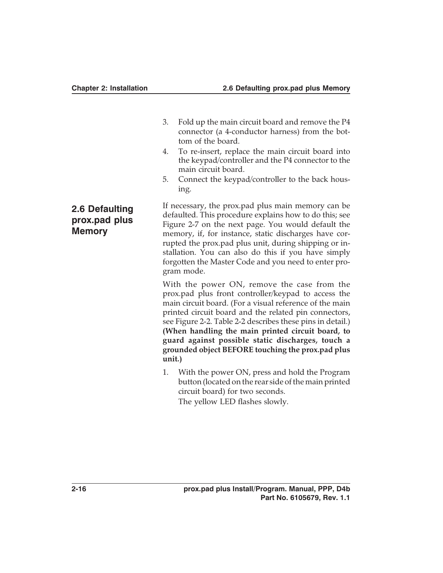- 3. Fold up the main circuit board and remove the P4 connector (a 4-conductor harness) from the bottom of the board.
- 4. To re-insert, replace the main circuit board into the keypad/controller and the P4 connector to the main circuit board.
- 5. Connect the keypad/controller to the back housing.

If necessary, the prox.pad plus main memory can be defaulted. This procedure explains how to do this; see Figure 2-7 on the next page. You would default the memory, if, for instance, static discharges have corrupted the prox.pad plus unit, during shipping or installation. You can also do this if you have simply forgotten the Master Code and you need to enter program mode.

With the power ON, remove the case from the prox.pad plus front controller/keypad to access the main circuit board. (For a visual reference of the main printed circuit board and the related pin connectors, see Figure 2-2. Table 2-2 describes these pins in detail.) **(When handling the main printed circuit board, to guard against possible static discharges, touch a grounded object BEFORE touching the prox.pad plus unit.)**

1. With the power ON, press and hold the Program button (located on the rear side of the main printed circuit board) for two seconds. The yellow LED flashes slowly.

## **2.6 Defaulting prox.pad plus Memory**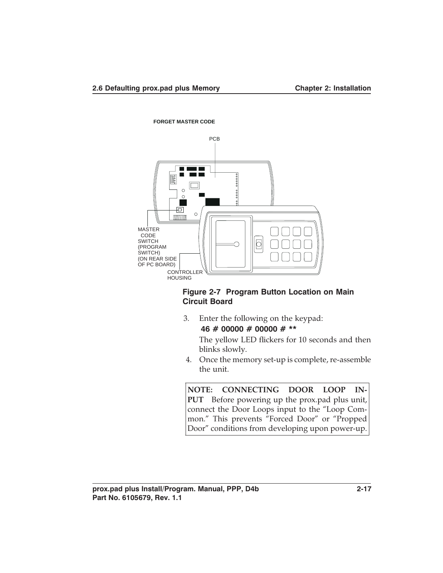

#### **Figure 2-7 Program Button Location on Main Circuit Board**

3. Enter the following on the keypad:

**46 # 00000 # 00000 # \*\***

The yellow LED flickers for 10 seconds and then blinks slowly.

4. Once the memory set-up is complete, re-assemble the unit.

**NOTE: CONNECTING DOOR LOOP IN-**PUT—Before powering up the prox.pad plus unit, connect the Door Loops input to the "Loop Common." This prevents "Forced Door" or "Propped Door" conditions from developing upon power-up.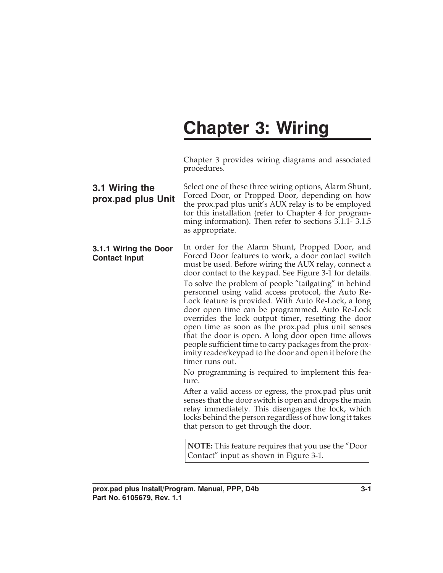# **Chapter 3: Wiring**

Chapter 3 provides wiring diagrams and associated procedures.

| 3.1 Wiring the<br>prox.pad plus Unit          | Select one of these three wiring options, Alarm Shunt,<br>Forced Door, or Propped Door, depending on how<br>the prox.pad plus unit's AUX relay is to be employed<br>for this installation (refer to Chapter 4 for program-<br>ming information). Then refer to sections 3.1.1-3.1.5<br>as appropriate.                                                                                                                                                                                                                                                                                                                                                                                                                                                                                                                                                                                                                                                                                                                                                                                                                                                                                                           |
|-----------------------------------------------|------------------------------------------------------------------------------------------------------------------------------------------------------------------------------------------------------------------------------------------------------------------------------------------------------------------------------------------------------------------------------------------------------------------------------------------------------------------------------------------------------------------------------------------------------------------------------------------------------------------------------------------------------------------------------------------------------------------------------------------------------------------------------------------------------------------------------------------------------------------------------------------------------------------------------------------------------------------------------------------------------------------------------------------------------------------------------------------------------------------------------------------------------------------------------------------------------------------|
| 3.1.1 Wiring the Door<br><b>Contact Input</b> | In order for the Alarm Shunt, Propped Door, and<br>Forced Door features to work, a door contact switch<br>must be used. Before wiring the AUX relay, connect a<br>door contact to the keypad. See Figure 3-1 for details.<br>To solve the problem of people "tailgating" in behind<br>personnel using valid access protocol, the Auto Re-<br>Lock feature is provided. With Auto Re-Lock, a long<br>door open time can be programmed. Auto Re-Lock<br>overrides the lock output timer, resetting the door<br>open time as soon as the prox.pad plus unit senses<br>that the door is open. A long door open time allows<br>people sufficient time to carry packages from the prox-<br>imity reader/keypad to the door and open it before the<br>timer runs out.<br>No programming is required to implement this fea-<br>ture.<br>After a valid access or egress, the prox.pad plus unit<br>senses that the door switch is open and drops the main<br>relay immediately. This disengages the lock, which<br>locks behind the person regardless of how long it takes<br>that person to get through the door.<br><b>NOTE:</b> This feature requires that you use the "Door<br>Contact" input as shown in Figure 3-1. |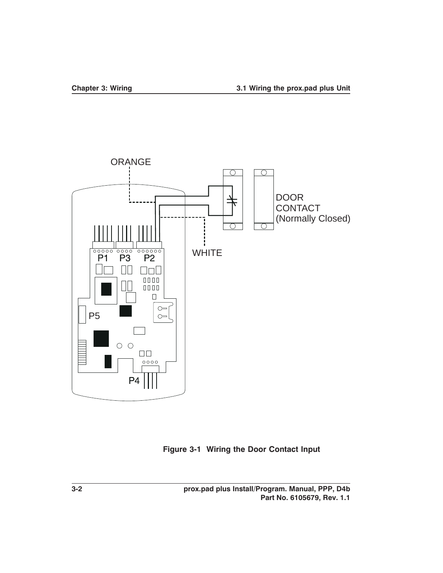

**Figure 3-1 Wiring the Door Contact Input**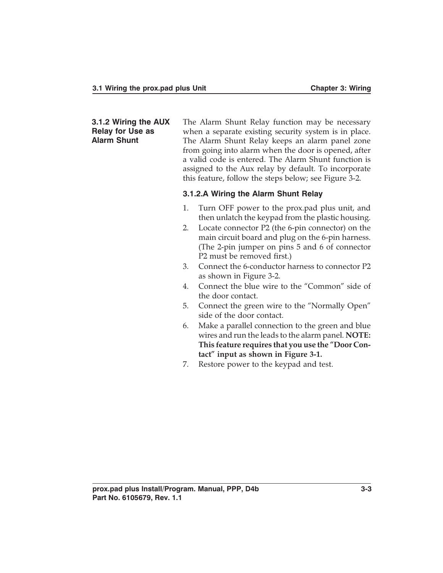**3.1.2 Wiring the AUX Relay for Use as Alarm Shunt**

The Alarm Shunt Relay function may be necessary when a separate existing security system is in place. The Alarm Shunt Relay keeps an alarm panel zone from going into alarm when the door is opened, after a valid code is entered. The Alarm Shunt function is assigned to the Aux relay by default. To incorporate this feature, follow the steps below; see Figure 3-2.

#### **3.1.2.A Wiring the Alarm Shunt Relay**

- 1. Turn OFF power to the prox.pad plus unit, and then unlatch the keypad from the plastic housing.
- 2. Locate connector P2 (the 6-pin connector) on the main circuit board and plug on the 6-pin harness. (The 2-pin jumper on pins 5 and 6 of connector P2 must be removed first.)
- 3. Connect the 6-conductor harness to connector P2 as shown in Figure 3-2.
- 4. Connect the blue wire to the "Common" side of the door contact.
- 5. Connect the green wire to the "Normally Open" side of the door contact.
- 6. Make a parallel connection to the green and blue wires and run the leads to the alarm panel. **NOTE: This feature requires that you use the "Door Contact" input as shown in Figure 3-1.**
- 7. Restore power to the keypad and test.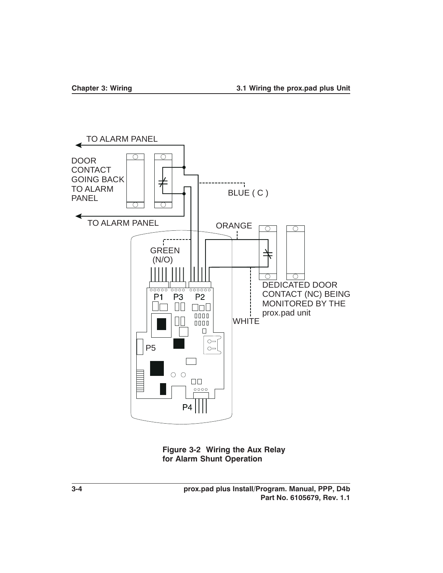

**Figure 3-2 Wiring the Aux Relay for Alarm Shunt Operation**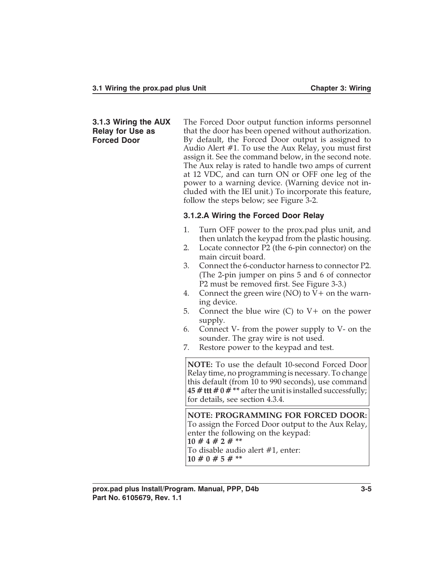#### **3.1.3 Wiring the AUX Relay for Use as Forced Door**

The Forced Door output function informs personnel that the door has been opened without authorization. By default, the Forced Door output is assigned to Audio Alert #1. To use the Aux Relay, you must first assign it. See the command below, in the second note. The Aux relay is rated to handle two amps of current at 12 VDC, and can turn ON or OFF one leg of the power to a warning device. (Warning device not included with the IEI unit.) To incorporate this feature, follow the steps below; see Figure 3-2.

#### **3.1.2.A Wiring the Forced Door Relay**

- 1. Turn OFF power to the prox.pad plus unit, and then unlatch the keypad from the plastic housing.
- 2. Locate connector P2 (the 6-pin connector) on the main circuit board.
- 3. Connect the 6-conductor harness to connector P2. (The 2-pin jumper on pins 5 and 6 of connector P2 must be removed first. See Figure 3-3.)
- 4. Connect the green wire  $(NO)$  to  $V+$  on the warning device.
- 5. Connect the blue wire (C) to V+ on the power supply.
- 6. Connect V- from the power supply to V- on the sounder. The gray wire is not used.
- 7. Restore power to the keypad and test.

**NOTE:** To use the default 10-second Forced Door Relay time, no programming is necessary. To change this default (from 10 to 990 seconds), use command **45 # ttt # 0 # \*\*** after the unit is installed successfully; for details, see section 4.3.4.

**NOTE: PROGRAMMING FOR FORCED DOOR:** To assign the Forced Door output to the Aux Relay, enter the following on the keypad: **10 # 4 # 2 # \*\*** To disable audio alert #1, enter: **10 # 0 # 5 # \*\***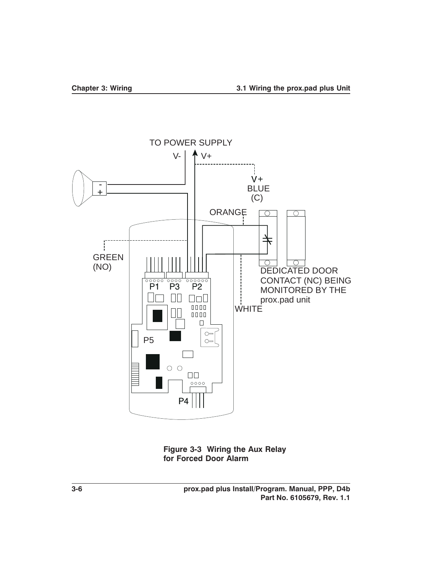

**Figure 3-3 Wiring the Aux Relay for Forced Door Alarm**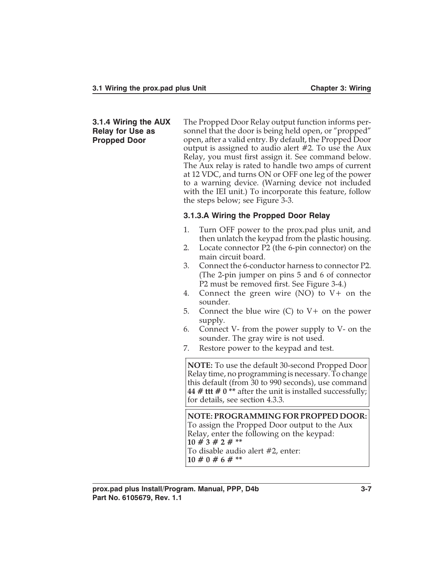#### **3.1.4 Wiring the AUX Relay for Use as Propped Door**

The Propped Door Relay output function informs personnel that the door is being held open, or "propped" open, after a valid entry. By default, the Propped Door output is assigned to audio alert #2. To use the Aux Relay, you must first assign it. See command below. The Aux relay is rated to handle two amps of current at 12 VDC, and turns ON or OFF one leg of the power to a warning device. (Warning device not included with the IEI unit.) To incorporate this feature, follow the steps below; see Figure 3-3.

### **3.1.3.A Wiring the Propped Door Relay**

- 1. Turn OFF power to the prox.pad plus unit, and then unlatch the keypad from the plastic housing.
- 2. Locate connector P2 (the 6-pin connector) on the main circuit board.
- 3. Connect the 6-conductor harness to connector P2. (The 2-pin jumper on pins 5 and 6 of connector P2 must be removed first. See Figure 3-4.)
- 4. Connect the green wire (NO) to V+ on the sounder.
- 5. Connect the blue wire (C) to V+ on the power supply.
- 6. Connect V- from the power supply to V- on the sounder. The gray wire is not used.
- 7. Restore power to the keypad and test.

**NOTE:** To use the default 30-second Propped Door Relay time, no programming is necessary. To change this default (from 30 to 990 seconds), use command **44 # ttt # 0 \*\*** after the unit is installed successfully; for details, see section 4.3.3.

**NOTE: PROGRAMMING FOR PROPPED DOOR:** To assign the Propped Door output to the Aux Relay, enter the following on the keypad: **10 # 3 # 2 # \*\*** To disable audio alert #2, enter: **10 # 0 # 6 # \*\***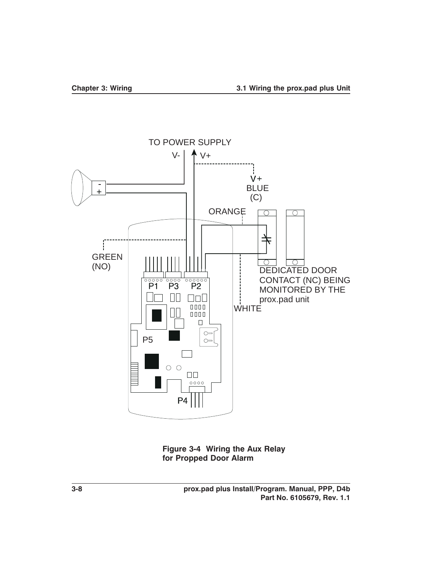

**Figure 3-4 Wiring the Aux Relay for Propped Door Alarm**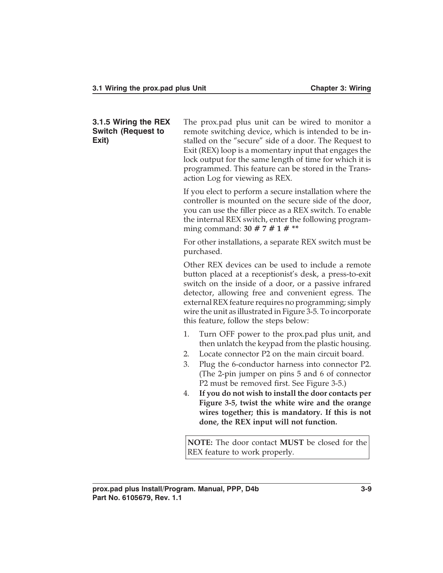#### **3.1.5 Wiring the REX Switch (Request to Exit)**

The prox.pad plus unit can be wired to monitor a remote switching device, which is intended to be installed on the "secure" side of a door. The Request to Exit (REX) loop is a momentary input that engages the lock output for the same length of time for which it is programmed. This feature can be stored in the Transaction Log for viewing as REX.

If you elect to perform a secure installation where the controller is mounted on the secure side of the door, you can use the filler piece as a REX switch. To enable the internal REX switch, enter the following programming command: **30 # 7 # 1 # \*\***

For other installations, a separate REX switch must be purchased.

Other REX devices can be used to include a remote button placed at a receptionist's desk, a press-to-exit switch on the inside of a door, or a passive infrared detector, allowing free and convenient egress. The external REX feature requires no programming; simply wire the unit as illustrated in Figure 3-5. To incorporate this feature, follow the steps below:

- 1. Turn OFF power to the prox.pad plus unit, and then unlatch the keypad from the plastic housing.
- 2. Locate connector P2 on the main circuit board.
- 3. Plug the 6-conductor harness into connector P2. (The 2-pin jumper on pins 5 and 6 of connector P2 must be removed first. See Figure 3-5.)
- 4. **If you do not wish to install the door contacts per Figure 3-5, twist the white wire and the orange wires together; this is mandatory. If this is not done, the REX input will not function.**

**NOTE:** The door contact **MUST** be closed for the REX feature to work properly.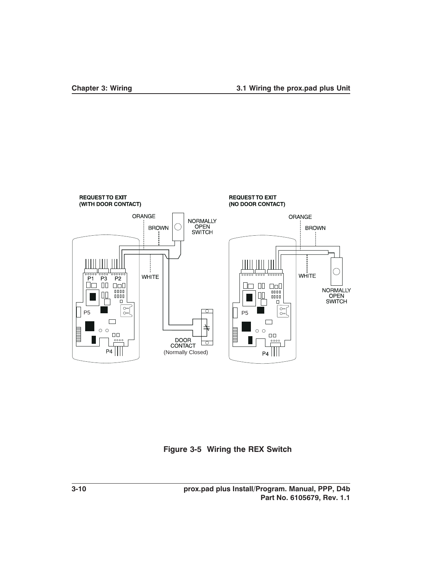

**Figure 3-5 Wiring the REX Switch**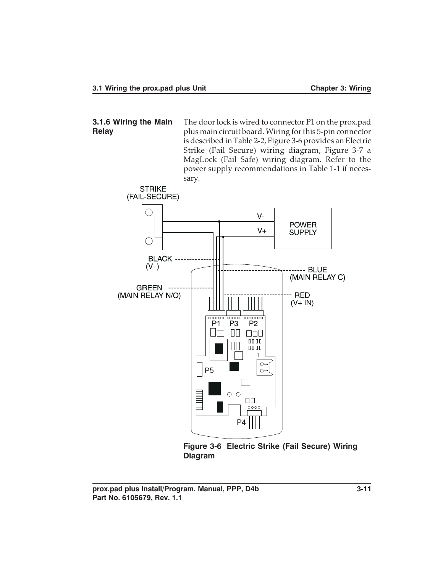**3.1.6 Wiring the Main Relay**

The door lock is wired to connector P1 on the prox.pad plus main circuit board. Wiring for this 5-pin connector is described in Table 2-2, Figure 3-6 provides an Electric Strike (Fail Secure) wiring diagram, Figure 3-7 a MagLock (Fail Safe) wiring diagram. Refer to the power supply recommendations in Table 1-1 if necessary.



**Figure 3-6 Electric Strike (Fail Secure) Wiring Diagram**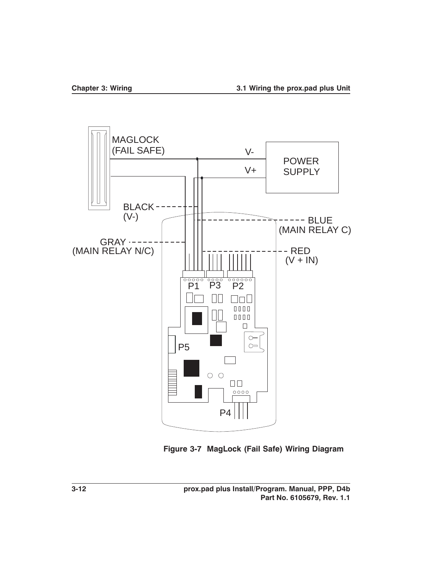

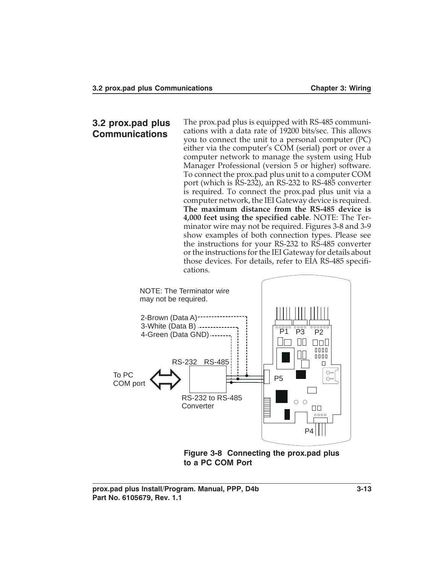### **3.2 prox.pad plus Communications**

The prox.pad plus is equipped with RS-485 communications with a data rate of 19200 bits/sec. This allows you to connect the unit to a personal computer (PC) either via the computer's COM (serial) port or over a computer network to manage the system using Hub Manager Professional (version 5 or higher) software. To connect the prox.pad plus unit to a computer COM port (which is RS-232), an RS-232 to RS-485 converter is required. To connect the prox.pad plus unit via a computer network, the IEI Gateway device is required. **The maximum distance from the RS-485 device is 4,000 feet using the specified cable**. NOTE: The Terminator wire may not be required. Figures 3-8 and 3-9 show examples of both connection types. Please see the instructions for your RS-232 to RS-485 converter or the instructions for the IEI Gateway for details about those devices. For details, refer to EIA RS-485 specifications.



**to a PC COM Port**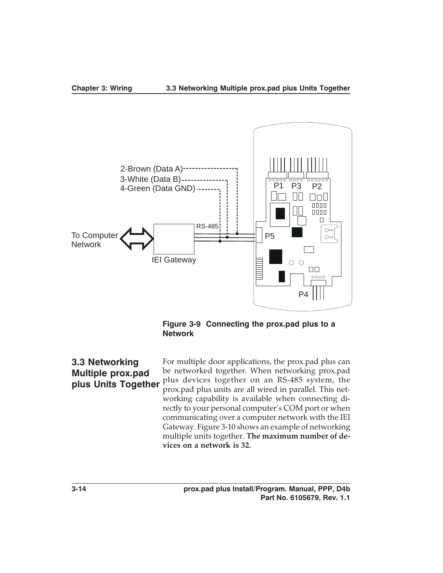

**Figure 3-9 Connecting the prox.pad plus to a Network**

**3.3 Networking Multiple prox.pad plus Units Together** For multiple door applications, the prox.pad plus can be networked together. When networking prox.pad plus devices together on an RS-485 system, the prox.pad plus units are all wired in parallel. This networking capability is available when connecting directly to your personal computer's COM port or when communicating over a computer network with the IEI Gateway. Figure 3-10 shows an example of networking multiple units together. **The maximum number of devices on a network is 32.**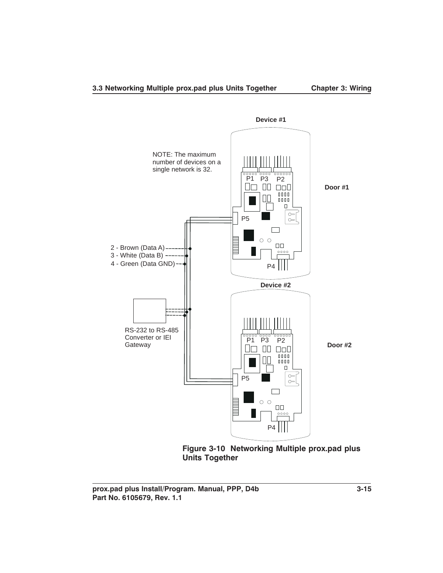

**Device #1**

**Figure 3-10 Networking Multiple prox.pad plus Units Together**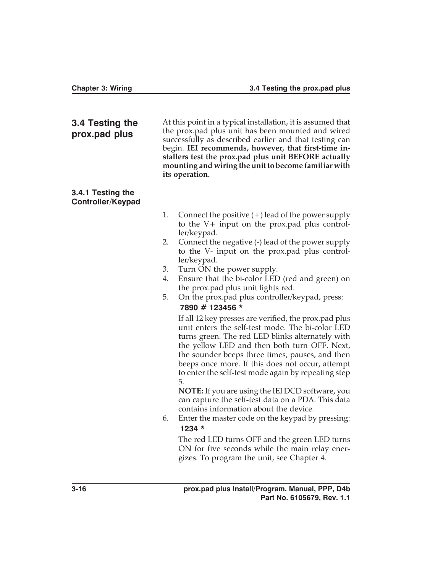| 3.4 Testing the<br>prox.pad plus              | At this point in a typical installation, it is assumed that<br>the prox.pad plus unit has been mounted and wired<br>successfully as described earlier and that testing can<br>begin. IEI recommends, however, that first-time in-<br>stallers test the prox.pad plus unit BEFORE actually<br>mounting and wiring the unit to become familiar with<br>its operation.                                                                                                                                                                                                                                                                                                                                                                                                                                                                                                                                                                                                                                                                                                                                                                                                                                                                |  |
|-----------------------------------------------|------------------------------------------------------------------------------------------------------------------------------------------------------------------------------------------------------------------------------------------------------------------------------------------------------------------------------------------------------------------------------------------------------------------------------------------------------------------------------------------------------------------------------------------------------------------------------------------------------------------------------------------------------------------------------------------------------------------------------------------------------------------------------------------------------------------------------------------------------------------------------------------------------------------------------------------------------------------------------------------------------------------------------------------------------------------------------------------------------------------------------------------------------------------------------------------------------------------------------------|--|
| 3.4.1 Testing the<br><b>Controller/Keypad</b> |                                                                                                                                                                                                                                                                                                                                                                                                                                                                                                                                                                                                                                                                                                                                                                                                                                                                                                                                                                                                                                                                                                                                                                                                                                    |  |
|                                               | 1.<br>Connect the positive $(+)$ lead of the power supply<br>to the $V$ + input on the prox.pad plus control-<br>ler/keypad.<br>2.<br>Connect the negative (-) lead of the power supply<br>to the V- input on the prox.pad plus control-<br>ler/keypad.<br>3.<br>Turn ON the power supply.<br>Ensure that the bi-color LED (red and green) on<br>4.<br>the prox.pad plus unit lights red.<br>5.<br>On the prox.pad plus controller/keypad, press:<br>7890 # 123456 *<br>If all 12 key presses are verified, the prox.pad plus<br>unit enters the self-test mode. The bi-color LED<br>turns green. The red LED blinks alternately with<br>the yellow LED and then both turn OFF. Next,<br>the sounder beeps three times, pauses, and then<br>beeps once more. If this does not occur, attempt<br>to enter the self-test mode again by repeating step<br>5.<br>NOTE: If you are using the IEI DCD software, you<br>can capture the self-test data on a PDA. This data<br>contains information about the device.<br>Enter the master code on the keypad by pressing:<br>6.<br>1234 *<br>The red LED turns OFF and the green LED turns<br>ON for five seconds while the main relay ener-<br>gizes. To program the unit, see Chapter 4. |  |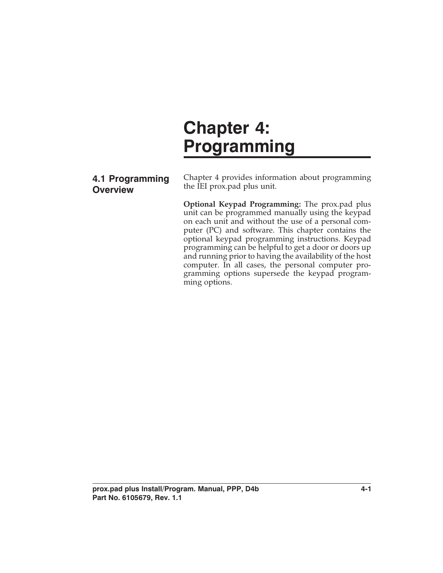# **Chapter 4: Programming**

## **4.1 Programming Overview**

Chapter 4 provides information about programming the IEI prox.pad plus unit.

**Optional Keypad Programming:** The prox.pad plus unit can be programmed manually using the keypad on each unit and without the use of a personal computer (PC) and software. This chapter contains the optional keypad programming instructions. Keypad programming can be helpful to get a door or doors up and running prior to having the availability of the host computer. In all cases, the personal computer programming options supersede the keypad programming options.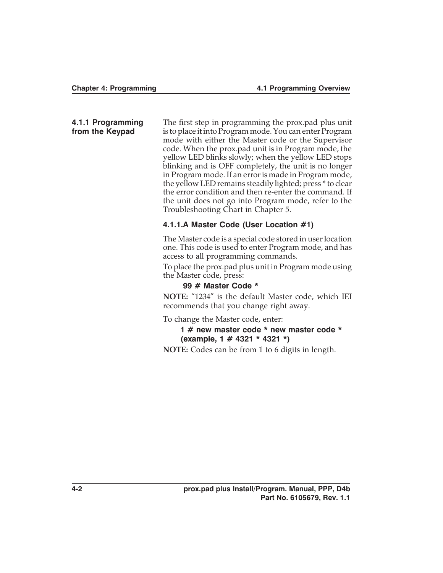**4.1.1 Programming from the Keypad**

The first step in programming the prox.pad plus unit is to place it into Program mode. You can enter Program mode with either the Master code or the Supervisor code. When the prox.pad unit is in Program mode, the yellow LED blinks slowly; when the yellow LED stops blinking and is OFF completely, the unit is no longer in Program mode. If an error is made in Program mode, the yellow LED remains steadily lighted; press **\*** to clear the error condition and then re-enter the command. If the unit does not go into Program mode, refer to the Troubleshooting Chart in Chapter 5.

#### **4.1.1.A Master Code (User Location #1)**

The Master code is a special code stored in user location one. This code is used to enter Program mode, and has access to all programming commands.

To place the prox.pad plus unit in Program mode using the Master code, press:

#### **99 # Master Code \***

**NOTE:** "1234" is the default Master code, which IEI recommends that you change right away.

To change the Master code, enter:

#### **1 # new master code \* new master code \* (example, 1 # 4321 \* 4321 \*)**

**NOTE:** Codes can be from 1 to 6 digits in length.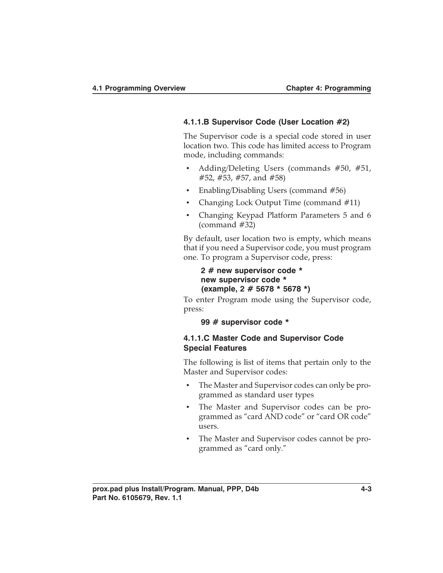#### **4.1.1.B Supervisor Code (User Location #2)**

The Supervisor code is a special code stored in user location two. This code has limited access to Program mode, including commands:

- Adding/Deleting Users (commands #50, #51, #52, #53, #57, and #58)
- Enabling/Disabling Users (command #56)
- Changing Lock Output Time (command #11)
- Changing Keypad Platform Parameters 5 and 6 (command #32)

By default, user location two is empty, which means that if you need a Supervisor code, you must program one. To program a Supervisor code, press:

**2 # new supervisor code \* new supervisor code \* (example, 2 # 5678 \* 5678 \*)**

To enter Program mode using the Supervisor code, press:

**99 # supervisor code \***

#### **4.1.1.C Master Code and Supervisor Code Special Features**

The following is list of items that pertain only to the Master and Supervisor codes:

- The Master and Supervisor codes can only be programmed as standard user types
- The Master and Supervisor codes can be programmed as "card AND code" or "card OR code" users.
- The Master and Supervisor codes cannot be programmed as "card only."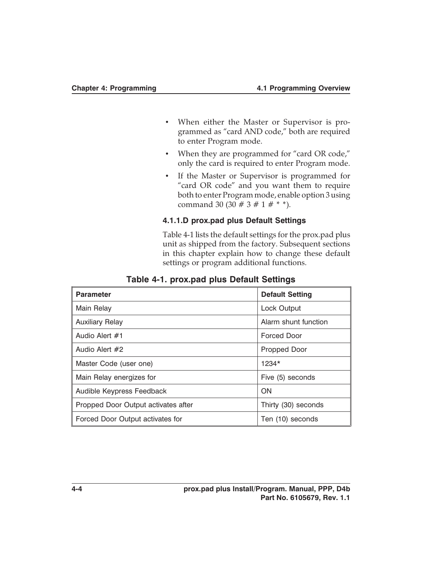- When either the Master or Supervisor is programmed as "card AND code," both are required to enter Program mode.
- When they are programmed for "card OR code," only the card is required to enter Program mode.
- If the Master or Supervisor is programmed for "card OR code" and you want them to require both to enter Program mode, enable option 3 using command 30 (30 # 3 # 1 # \* \*).

#### **4.1.1.D prox.pad plus Default Settings**

Table 4-1 lists the default settings for the prox.pad plus unit as shipped from the factory. Subsequent sections in this chapter explain how to change these default settings or program additional functions.

| <b>Parameter</b>                    | <b>Default Setting</b> |
|-------------------------------------|------------------------|
| Main Relay                          | Lock Output            |
| <b>Auxiliary Relay</b>              | Alarm shunt function   |
| Audio Alert #1                      | <b>Forced Door</b>     |
| Audio Alert #2                      | Propped Door           |
| Master Code (user one)              | $1234*$                |
| Main Relay energizes for            | Five (5) seconds       |
| Audible Keypress Feedback           | ON                     |
| Propped Door Output activates after | Thirty (30) seconds    |
| Forced Door Output activates for    | Ten (10) seconds       |

#### **Table 4-1. prox.pad plus Default Settings**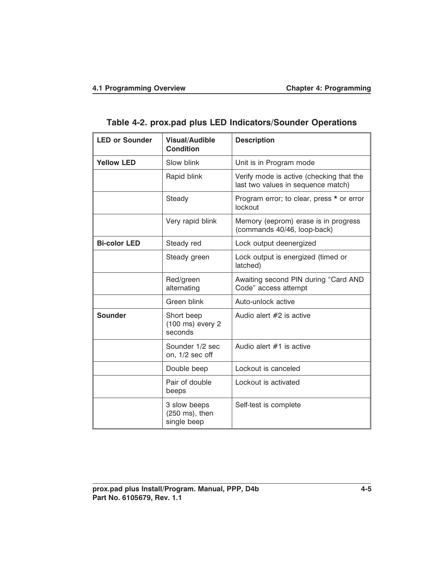|  | Table 4-2. prox.pad plus LED Indicators/Sounder Operations |
|--|------------------------------------------------------------|
|--|------------------------------------------------------------|

| <b>LED or Sounder</b> | <b>Visual/Audible</b><br><b>Condition</b>           | <b>Description</b>                                                             |
|-----------------------|-----------------------------------------------------|--------------------------------------------------------------------------------|
| <b>Yellow LED</b>     | Slow blink                                          | Unit is in Program mode                                                        |
|                       | Rapid blink                                         | Verify mode is active (checking that the<br>last two values in sequence match) |
|                       | Steady                                              | Program error; to clear, press * or error<br>lockout                           |
|                       | Very rapid blink                                    | Memory (eeprom) erase is in progress<br>(commands 40/46, loop-back)            |
| <b>Bi-color LED</b>   | Steady red                                          | Lock output deenergized                                                        |
|                       | Steady green                                        | Lock output is energized (timed or<br>latched)                                 |
|                       | Red/green<br>alternating                            | Awaiting second PIN during "Card AND<br>Code" access attempt                   |
|                       | Green blink                                         | Auto-unlock active                                                             |
| <b>Sounder</b>        | Short beep<br>$(100 \text{ ms})$ every 2<br>seconds | Audio alert #2 is active                                                       |
|                       | Sounder 1/2 sec<br>on, 1/2 sec off                  | Audio alert $#1$ is active                                                     |
|                       | Double beep                                         | Lockout is canceled                                                            |
|                       | Pair of double<br>beeps                             | Lockout is activated                                                           |
|                       | 3 slow beeps<br>(250 ms), then<br>single beep       | Self-test is complete                                                          |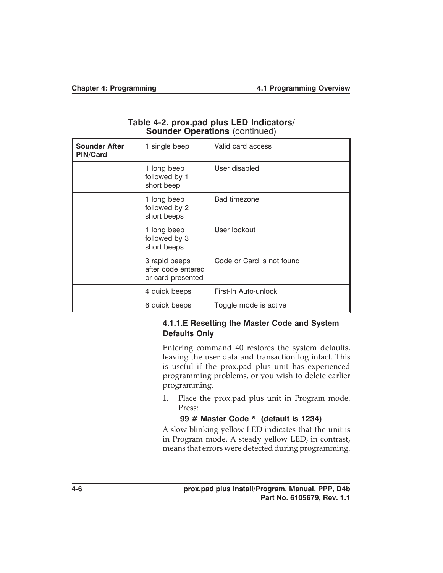| <u> International (metrostrate</u>      |                                                          |                           |
|-----------------------------------------|----------------------------------------------------------|---------------------------|
| <b>Sounder After</b><br><b>PIN/Card</b> | 1 single beep                                            | Valid card access         |
|                                         | 1 long beep<br>followed by 1<br>short beep               | User disabled             |
|                                         | 1 long beep<br>followed by 2<br>short beeps              | <b>Bad timezone</b>       |
|                                         | 1 long beep<br>followed by 3<br>short beeps              | User lockout              |
|                                         | 3 rapid beeps<br>after code entered<br>or card presented | Code or Card is not found |
|                                         | 4 quick beeps                                            | First-In Auto-unlock      |
|                                         | 6 quick beeps                                            | Toggle mode is active     |

#### **Table 4-2. prox.pad plus LED Indicators/ Sounder Operations** (continued)

#### **4.1.1.E Resetting the Master Code and System Defaults Only**

Entering command 40 restores the system defaults, leaving the user data and transaction log intact. This is useful if the prox.pad plus unit has experienced programming problems, or you wish to delete earlier programming.

1. Place the prox.pad plus unit in Program mode. Press:

### **99 # Master Code \* (default is 1234)**

A slow blinking yellow LED indicates that the unit is in Program mode. A steady yellow LED, in contrast, means that errors were detected during programming.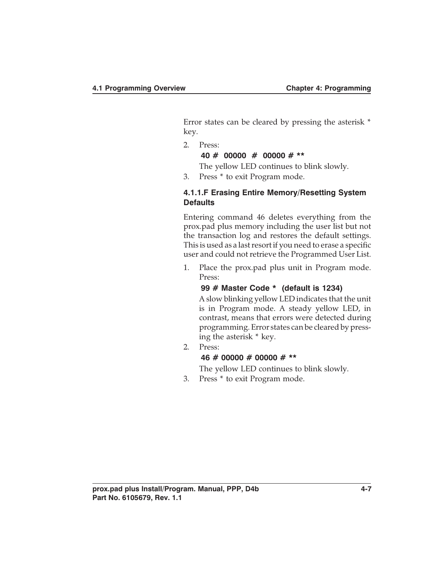Error states can be cleared by pressing the asterisk \* key.

2. Press:

#### **40 # 00000 # 00000 # \*\***

The yellow LED continues to blink slowly.

3. Press \* to exit Program mode.

#### **4.1.1.F Erasing Entire Memory/Resetting System Defaults**

Entering command 46 deletes everything from the prox.pad plus memory including the user list but not the transaction log and restores the default settings. This is used as a last resort if you need to erase a specific user and could not retrieve the Programmed User List.

1. Place the prox.pad plus unit in Program mode. Press:

#### **99 # Master Code \* (default is 1234)**

A slow blinking yellow LED indicates that the unit is in Program mode. A steady yellow LED, in contrast, means that errors were detected during programming. Error states can be cleared by pressing the asterisk \* key.

2. Press:

#### **46 # 00000 # 00000 # \*\***

The yellow LED continues to blink slowly.

3. Press \* to exit Program mode.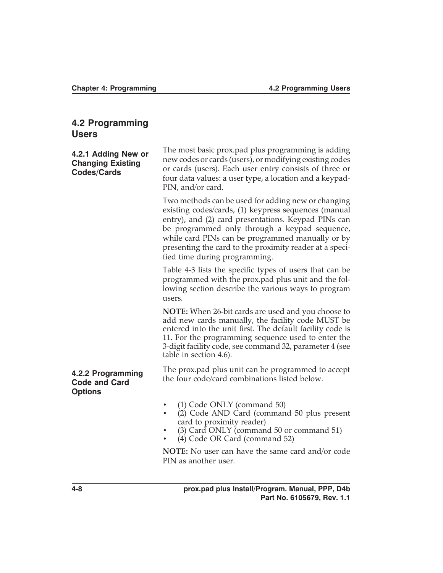# **4.2 Programming Users**

| 4.2.1 Adding New or<br><b>Changing Existing</b><br><b>Codes/Cards</b> | The most basic prox.pad plus programming is adding<br>new codes or cards (users), or modifying existing codes<br>or cards (users). Each user entry consists of three or<br>four data values: a user type, a location and a keypad-<br>PIN, and/or card.                                                                                                            |  |
|-----------------------------------------------------------------------|--------------------------------------------------------------------------------------------------------------------------------------------------------------------------------------------------------------------------------------------------------------------------------------------------------------------------------------------------------------------|--|
|                                                                       | Two methods can be used for adding new or changing<br>existing codes/cards, (1) keypress sequences (manual<br>entry), and (2) card presentations. Keypad PINs can<br>be programmed only through a keypad sequence,<br>while card PINs can be programmed manually or by<br>presenting the card to the proximity reader at a speci-<br>fied time during programming. |  |
|                                                                       | Table 4-3 lists the specific types of users that can be<br>programmed with the prox.pad plus unit and the fol-<br>lowing section describe the various ways to program<br>users.                                                                                                                                                                                    |  |
|                                                                       | NOTE: When 26-bit cards are used and you choose to<br>add new cards manually, the facility code MUST be<br>entered into the unit first. The default facility code is<br>11. For the programming sequence used to enter the<br>3-digit facility code, see command 32, parameter 4 (see<br>table in section 4.6).                                                    |  |
| 4.2.2 Programming<br><b>Code and Card</b><br><b>Options</b>           | The prox.pad plus unit can be programmed to accept<br>the four code/card combinations listed below.                                                                                                                                                                                                                                                                |  |
|                                                                       | (1) Code ONLY (command 50)<br>(2) Code AND Card (command 50 plus present<br>$\bullet$<br>card to proximity reader)<br>(3) Card ONLY (command 50 or command 51)<br>(4) Code OR Card (command 52)                                                                                                                                                                    |  |
|                                                                       | <b>NOTE:</b> No user can have the same card and/or code<br>PIN as another user.                                                                                                                                                                                                                                                                                    |  |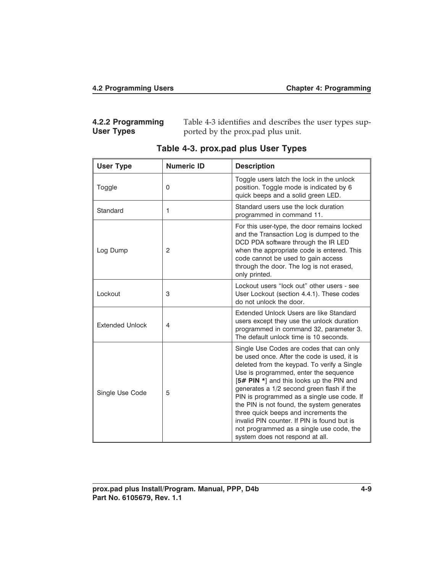| 4.2.2 Programming | Table 4-3 identifies and describes the user types sup- |
|-------------------|--------------------------------------------------------|
| <b>User Types</b> | ported by the prox.pad plus unit.                      |

| <b>User Type</b>       | <b>Numeric ID</b> | <b>Description</b>                                                                                                                                                                                                                                                                                                                                                                                                                                                                                                                         |
|------------------------|-------------------|--------------------------------------------------------------------------------------------------------------------------------------------------------------------------------------------------------------------------------------------------------------------------------------------------------------------------------------------------------------------------------------------------------------------------------------------------------------------------------------------------------------------------------------------|
| Toggle                 | $\Omega$          | Toggle users latch the lock in the unlock<br>position. Toggle mode is indicated by 6<br>quick beeps and a solid green LED.                                                                                                                                                                                                                                                                                                                                                                                                                 |
| Standard               | 1                 | Standard users use the lock duration<br>programmed in command 11.                                                                                                                                                                                                                                                                                                                                                                                                                                                                          |
| Log Dump               | 2                 | For this user-type, the door remains locked<br>and the Transaction Log is dumped to the<br>DCD PDA software through the IR LED<br>when the appropriate code is entered. This<br>code cannot be used to gain access<br>through the door. The log is not erased,<br>only printed.                                                                                                                                                                                                                                                            |
| Lockout                | 3                 | Lockout users "lock out" other users - see<br>User Lockout (section 4.4.1). These codes<br>do not unlock the door.                                                                                                                                                                                                                                                                                                                                                                                                                         |
| <b>Extended Unlock</b> | $\overline{4}$    | Extended Unlock Users are like Standard<br>users except they use the unlock duration<br>programmed in command 32, parameter 3.<br>The default unlock time is 10 seconds.                                                                                                                                                                                                                                                                                                                                                                   |
| Single Use Code        | 5                 | Single Use Codes are codes that can only<br>be used once. After the code is used, it is<br>deleted from the keypad. To verify a Single<br>Use is programmed, enter the sequence<br>[5# PIN *] and this looks up the PIN and<br>generates a 1/2 second green flash if the<br>PIN is programmed as a single use code. If<br>the PIN is not found, the system generates<br>three quick beeps and increments the<br>invalid PIN counter. If PIN is found but is<br>not programmed as a single use code, the<br>system does not respond at all. |

|  | Table 4-3. prox.pad plus User Types |  |  |  |
|--|-------------------------------------|--|--|--|
|--|-------------------------------------|--|--|--|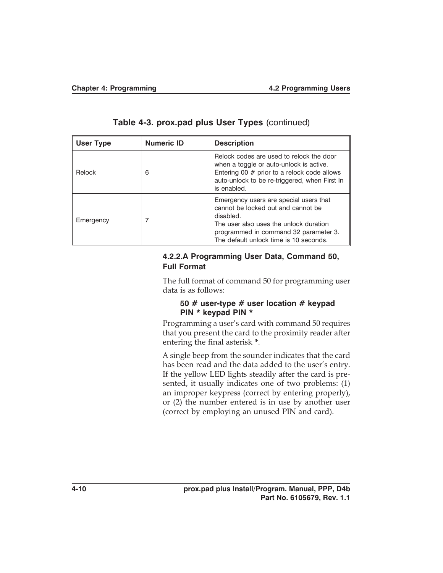| User Type | <b>Numeric ID</b> | <b>Description</b>                                                                                                                                                                                                     |
|-----------|-------------------|------------------------------------------------------------------------------------------------------------------------------------------------------------------------------------------------------------------------|
| Relock    | 6                 | Relock codes are used to relock the door<br>when a toggle or auto-unlock is active.<br>Entering 00 $#$ prior to a relock code allows<br>auto-unlock to be re-triggered, when First In<br>is enabled.                   |
| Emergency | 7                 | Emergency users are special users that<br>cannot be locked out and cannot be<br>disabled.<br>The user also uses the unlock duration<br>programmed in command 32 parameter 3.<br>The default unlock time is 10 seconds. |

**Table 4-3. prox.pad plus User Types** (continued)

#### **4.2.2.A Programming User Data, Command 50, Full Format**

The full format of command 50 for programming user data is as follows:

#### **50 # user-type # user location # keypad PIN \* keypad PIN \***

Programming a user's card with command 50 requires that you present the card to the proximity reader after entering the final asterisk **\***.

A single beep from the sounder indicates that the card has been read and the data added to the user's entry. If the yellow LED lights steadily after the card is presented, it usually indicates one of two problems: (1) an improper keypress (correct by entering properly), or (2) the number entered is in use by another user (correct by employing an unused PIN and card).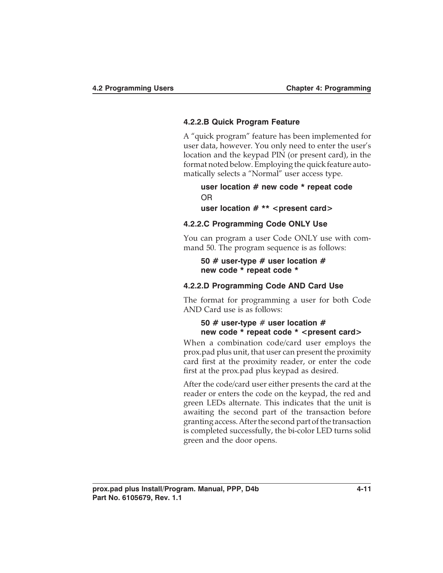#### **4.2.2.B Quick Program Feature**

A "quick program" feature has been implemented for user data, however. You only need to enter the user's location and the keypad PIN (or present card), in the format noted below. Employing the quick feature automatically selects a "Normal" user access type.

**user location # new code \* repeat code** OR

**user location # \*\* <present card>**

#### **4.2.2.C Programming Code ONLY Use**

You can program a user Code ONLY use with command 50. The program sequence is as follows:

**50 # user-type # user location # new code \* repeat code \***

#### **4.2.2.D Programming Code AND Card Use**

The format for programming a user for both Code AND Card use is as follows:

#### **50 # user-type** # **user location # new code \* repeat code \* <present card>**

When a combination code/card user employs the prox.pad plus unit, that user can present the proximity card first at the proximity reader, or enter the code first at the prox.pad plus keypad as desired.

After the code/card user either presents the card at the reader or enters the code on the keypad, the red and green LEDs alternate. This indicates that the unit is awaiting the second part of the transaction before granting access. After the second part of the transaction is completed successfully, the bi-color LED turns solid green and the door opens.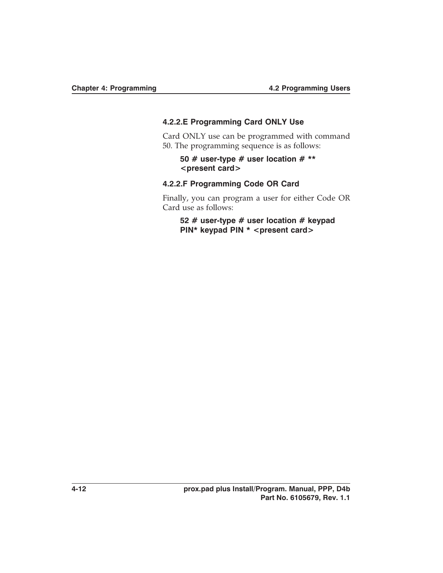#### **4.2.2.E Programming Card ONLY Use**

Card ONLY use can be programmed with command 50. The programming sequence is as follows:

#### **50 # user-type # user location # \*\* <present card>**

#### **4.2.2.F Programming Code OR Card**

Finally, you can program a user for either Code OR Card use as follows:

**52 # user-type # user location # keypad PIN\* keypad PIN \* < present card>**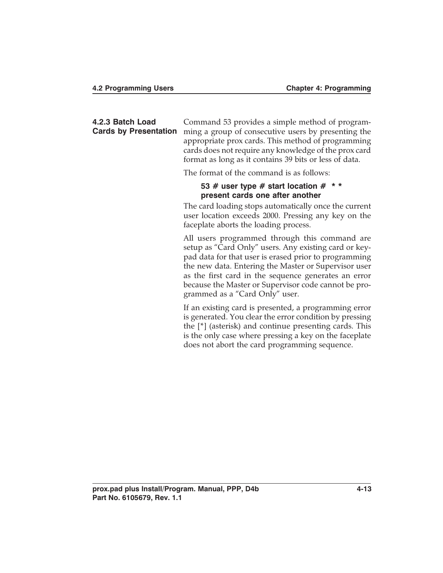| 4.2.3 Batch Load<br><b>Cards by Presentation</b> | Command 53 provides a simple method of program-<br>ming a group of consecutive users by presenting the<br>appropriate prox cards. This method of programming<br>cards does not require any knowledge of the prox card<br>format as long as it contains 39 bits or less of data.                                                                                           |
|--------------------------------------------------|---------------------------------------------------------------------------------------------------------------------------------------------------------------------------------------------------------------------------------------------------------------------------------------------------------------------------------------------------------------------------|
|                                                  | The format of the command is as follows:                                                                                                                                                                                                                                                                                                                                  |
|                                                  | 53 # user type # start location # $**$<br>present cards one after another                                                                                                                                                                                                                                                                                                 |
|                                                  | The card loading stops automatically once the current<br>user location exceeds 2000. Pressing any key on the<br>faceplate aborts the loading process.                                                                                                                                                                                                                     |
|                                                  | All users programmed through this command are<br>setup as "Card Only" users. Any existing card or key-<br>pad data for that user is erased prior to programming<br>the new data. Entering the Master or Supervisor user<br>as the first card in the sequence generates an error<br>because the Master or Supervisor code cannot be pro-<br>grammed as a "Card Only" user. |
|                                                  | If an existing card is presented, a programming error                                                                                                                                                                                                                                                                                                                     |

is generated. You clear the error condition by pressing the [\*] (asterisk) and continue presenting cards. This is the only case where pressing a key on the faceplate does not abort the card programming sequence.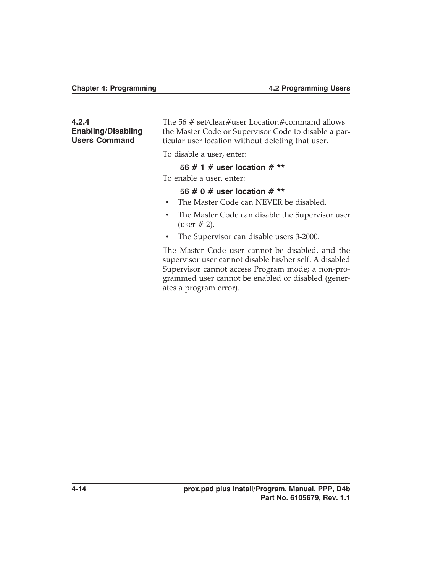#### **4.2.4 Enabling/Disabling Users Command**

The 56 # set/clear#user Location#command allows the Master Code or Supervisor Code to disable a particular user location without deleting that user.

To disable a user, enter:

#### **56 # 1 # user location # \*\***

To enable a user, enter:

#### **56 # 0 # user location # \*\***

- The Master Code can NEVER be disabled.
- The Master Code can disable the Supervisor user (user  $# 2$ ).
- The Supervisor can disable users 3-2000.

The Master Code user cannot be disabled, and the supervisor user cannot disable his/her self. A disabled Supervisor cannot access Program mode; a non-programmed user cannot be enabled or disabled (generates a program error).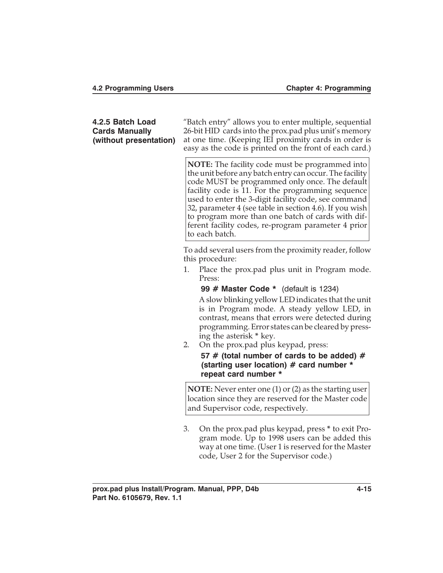| 4.2.5 Batch Load<br><b>Cards Manually</b><br>(without presentation) | "Batch entry" allows you to enter multiple, sequential<br>26-bit HID cards into the prox.pad plus unit's memory<br>at one time. (Keeping IEI proximity cards in order is<br>easy as the code is printed on the front of each card.)                                                                                                                                                                                                                                       |  |  |
|---------------------------------------------------------------------|---------------------------------------------------------------------------------------------------------------------------------------------------------------------------------------------------------------------------------------------------------------------------------------------------------------------------------------------------------------------------------------------------------------------------------------------------------------------------|--|--|
|                                                                     | <b>NOTE:</b> The facility code must be programmed into<br>the unit before any batch entry can occur. The facility<br>code MUST be programmed only once. The default<br>facility code is 11. For the programming sequence<br>used to enter the 3-digit facility code, see command<br>32, parameter 4 (see table in section 4.6). If you wish<br>to program more than one batch of cards with dif-<br>ferent facility codes, re-program parameter 4 prior<br>to each batch. |  |  |
|                                                                     | To add several users from the proximity reader, follow<br>this procedure:                                                                                                                                                                                                                                                                                                                                                                                                 |  |  |
|                                                                     | Place the prox.pad plus unit in Program mode.<br>1.<br>Press:                                                                                                                                                                                                                                                                                                                                                                                                             |  |  |
|                                                                     | 99 # Master Code * (default is 1234)<br>A slow blinking yellow LED indicates that the unit<br>is in Program mode. A steady yellow LED, in<br>contrast, means that errors were detected during<br>programming. Error states can be cleared by press-<br>ing the asterisk * key.<br>On the prox.pad plus keypad, press:<br>2.<br>57 # (total number of cards to be added) #                                                                                                 |  |  |
|                                                                     | (starting user location) # card number *<br>repeat card number *                                                                                                                                                                                                                                                                                                                                                                                                          |  |  |
|                                                                     | <b>NOTE:</b> Never enter one $(1)$ or $(2)$ as the starting user<br>location since they are reserved for the Master code<br>and Supervisor code, respectively.                                                                                                                                                                                                                                                                                                            |  |  |
|                                                                     | 3.<br>On the prox.pad plus keypad, press * to exit Pro-<br>gram mode. Up to 1998 users can be added this                                                                                                                                                                                                                                                                                                                                                                  |  |  |

way at one time. (User 1 is reserved for the Master

code, User 2 for the Supervisor code.)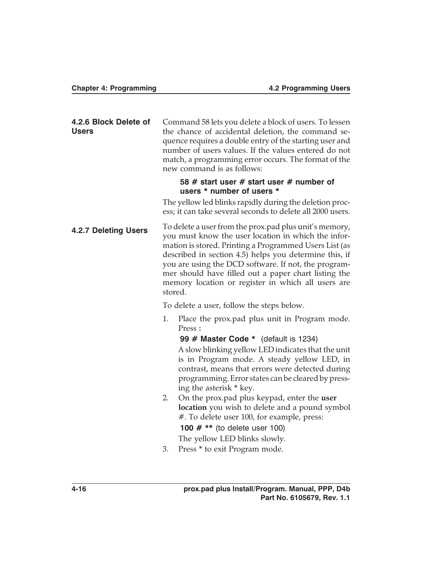| 4.2.6 Block Delete of<br><b>Users</b> |                                                                                                                                                                                                                                                                                                                                                                                                                    | Command 58 lets you delete a block of users. To lessen<br>the chance of accidental deletion, the command se-<br>quence requires a double entry of the starting user and<br>number of users values. If the values entered do not<br>match, a programming error occurs. The format of the<br>new command is as follows: |
|---------------------------------------|--------------------------------------------------------------------------------------------------------------------------------------------------------------------------------------------------------------------------------------------------------------------------------------------------------------------------------------------------------------------------------------------------------------------|-----------------------------------------------------------------------------------------------------------------------------------------------------------------------------------------------------------------------------------------------------------------------------------------------------------------------|
|                                       |                                                                                                                                                                                                                                                                                                                                                                                                                    | 58 # start user # start user # number of<br>users * number of users *                                                                                                                                                                                                                                                 |
|                                       |                                                                                                                                                                                                                                                                                                                                                                                                                    | The yellow led blinks rapidly during the deletion proc-<br>ess; it can take several seconds to delete all 2000 users.                                                                                                                                                                                                 |
| <b>4.2.7 Deleting Users</b>           | To delete a user from the prox.pad plus unit's memory,<br>you must know the user location in which the infor-<br>mation is stored. Printing a Programmed Users List (as<br>described in section 4.5) helps you determine this, if<br>you are using the DCD software. If not, the program-<br>mer should have filled out a paper chart listing the<br>memory location or register in which all users are<br>stored. |                                                                                                                                                                                                                                                                                                                       |
|                                       |                                                                                                                                                                                                                                                                                                                                                                                                                    | To delete a user, follow the steps below.                                                                                                                                                                                                                                                                             |
|                                       | 1.                                                                                                                                                                                                                                                                                                                                                                                                                 | Place the prox.pad plus unit in Program mode.<br>Press:                                                                                                                                                                                                                                                               |
|                                       |                                                                                                                                                                                                                                                                                                                                                                                                                    | 99 # Master Code * (default is 1234)<br>A slow blinking yellow LED indicates that the unit<br>is in Program mode. A steady yellow LED, in<br>contrast, means that errors were detected during<br>programming. Error states can be cleared by press-<br>ing the asterisk * key.                                        |
|                                       | 2.                                                                                                                                                                                                                                                                                                                                                                                                                 | On the prox.pad plus keypad, enter the user<br>location you wish to delete and a pound symbol<br>#. To delete user 100, for example, press:                                                                                                                                                                           |
|                                       |                                                                                                                                                                                                                                                                                                                                                                                                                    | 100 $#**$ (to delete user 100)                                                                                                                                                                                                                                                                                        |
|                                       |                                                                                                                                                                                                                                                                                                                                                                                                                    | The yellow LED blinks slowly.                                                                                                                                                                                                                                                                                         |
|                                       | 3.                                                                                                                                                                                                                                                                                                                                                                                                                 | Press * to exit Program mode.                                                                                                                                                                                                                                                                                         |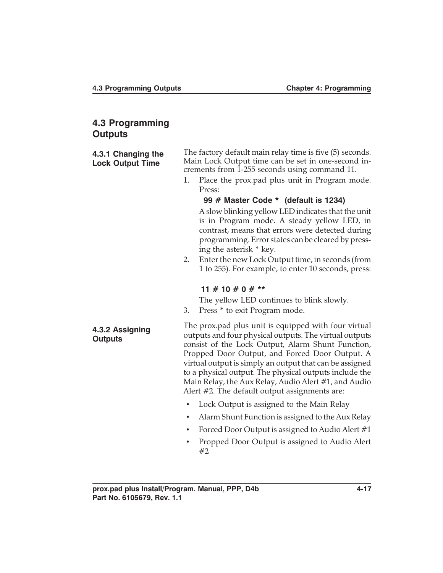# **4.3 Programming Outputs**

| 4.3.1 Changing the<br><b>Lock Output Time</b> | The factory default main relay time is five (5) seconds.<br>Main Lock Output time can be set in one-second in-<br>crements from 1-255 seconds using command 11.<br>Place the prox.pad plus unit in Program mode.<br>1.<br>Press:                                                                                                                                                                                                                    |  |
|-----------------------------------------------|-----------------------------------------------------------------------------------------------------------------------------------------------------------------------------------------------------------------------------------------------------------------------------------------------------------------------------------------------------------------------------------------------------------------------------------------------------|--|
|                                               | 99 # Master Code * (default is 1234)<br>A slow blinking yellow LED indicates that the unit<br>is in Program mode. A steady yellow LED, in<br>contrast, means that errors were detected during<br>programming. Error states can be cleared by press-<br>ing the asterisk * key.                                                                                                                                                                      |  |
|                                               | Enter the new Lock Output time, in seconds (from<br>2.<br>1 to 255). For example, to enter 10 seconds, press:                                                                                                                                                                                                                                                                                                                                       |  |
|                                               | 11 # 10 # 0 # **                                                                                                                                                                                                                                                                                                                                                                                                                                    |  |
|                                               | The yellow LED continues to blink slowly.<br>Press * to exit Program mode.<br>3.                                                                                                                                                                                                                                                                                                                                                                    |  |
| 4.3.2 Assigning<br><b>Outputs</b>             | The prox.pad plus unit is equipped with four virtual<br>outputs and four physical outputs. The virtual outputs<br>consist of the Lock Output, Alarm Shunt Function,<br>Propped Door Output, and Forced Door Output. A<br>virtual output is simply an output that can be assigned<br>to a physical output. The physical outputs include the<br>Main Relay, the Aux Relay, Audio Alert #1, and Audio<br>Alert #2. The default output assignments are: |  |
|                                               | Lock Output is assigned to the Main Relay<br>$\bullet$                                                                                                                                                                                                                                                                                                                                                                                              |  |
|                                               | Alarm Shunt Function is assigned to the Aux Relay<br>$\bullet$                                                                                                                                                                                                                                                                                                                                                                                      |  |
|                                               | Forced Door Output is assigned to Audio Alert #1<br>$\bullet$                                                                                                                                                                                                                                                                                                                                                                                       |  |
|                                               | Propped Door Output is assigned to Audio Alert<br>#2                                                                                                                                                                                                                                                                                                                                                                                                |  |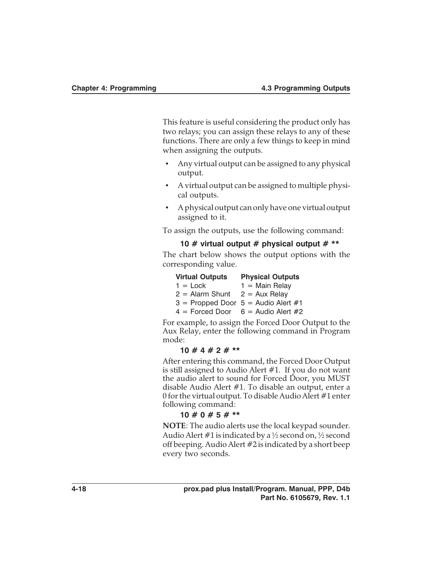This feature is useful considering the product only has two relays; you can assign these relays to any of these functions. There are only a few things to keep in mind when assigning the outputs.

- Any virtual output can be assigned to any physical output.
- A virtual output can be assigned to multiple physical outputs.
- A physical output can only have one virtual output assigned to it.

To assign the outputs, use the following command:

#### **10 # virtual output # physical output # \*\***

The chart below shows the output options with the corresponding value.

| <b>Virtual Outputs</b> | <b>Physical Outputs</b>                 |
|------------------------|-----------------------------------------|
| $1 =$ Lock             | $1 =$ Main Relay                        |
| $2 =$ Alarm Shunt      | $2 = Aux$ Relay                         |
|                        | $3 =$ Propped Door $5 =$ Audio Alert #1 |
|                        | $4 =$ Forced Door $6 =$ Audio Alert #2  |

For example, to assign the Forced Door Output to the Aux Relay, enter the following command in Program mode:

#### **10 # 4 # 2 # \*\***

After entering this command, the Forced Door Output is still assigned to Audio Alert #1. If you do not want the audio alert to sound for Forced Door, you MUST disable Audio Alert #1. To disable an output, enter a 0 for the virtual output. To disable Audio Alert #1 enter following command:

#### **10 # 0 # 5 # \*\***

**NOTE**: The audio alerts use the local keypad sounder. Audio Alert #1 is indicated by a  $\frac{1}{2}$  second on,  $\frac{1}{2}$  second off beeping. Audio Alert #2 is indicated by a short beep every two seconds.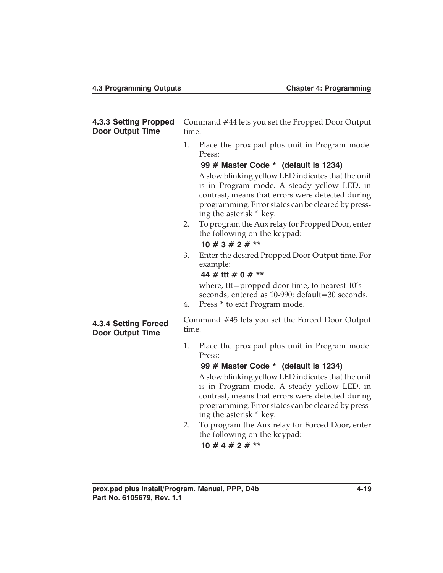#### **4.3.3 Setting Propped Door Output Time** Command #44 lets you set the Propped Door Output time.

1. Place the prox.pad plus unit in Program mode. Press:

**99 # Master Code \* (default is 1234)** A slow blinking yellow LED indicates that the unit is in Program mode. A steady yellow LED, in contrast, means that errors were detected during programming. Error states can be cleared by pressing the asterisk \* key.

2. To program the Aux relay for Propped Door, enter the following on the keypad:

#### **10 # 3 # 2 # \*\***

3. Enter the desired Propped Door Output time. For example:

#### **44 # ttt # 0 # \*\***

where, ttt=propped door time, to nearest 10's seconds, entered as 10-990; default=30 seconds.

4. Press \* to exit Program mode.

#### **4.3.4 Setting Forced Door Output Time**

Command #45 lets you set the Forced Door Output time.

1. Place the prox.pad plus unit in Program mode. Press:

#### **99 # Master Code \* (default is 1234)**

A slow blinking yellow LED indicates that the unit is in Program mode. A steady yellow LED, in contrast, means that errors were detected during programming. Error states can be cleared by pressing the asterisk \* key.

- 2. To program the Aux relay for Forced Door, enter the following on the keypad:
	- **10 # 4 # 2 # \*\***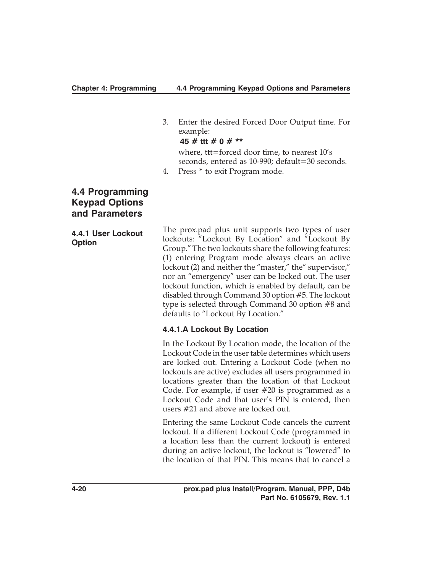3. Enter the desired Forced Door Output time. For example:

**45 # ttt # 0 # \*\***

where, ttt=forced door time, to nearest 10's seconds, entered as 10-990; default=30 seconds.

4. Press \* to exit Program mode.

# **4.4 Programming Keypad Options and Parameters**

**4.4.1 User Lockout Option**

The prox.pad plus unit supports two types of user lockouts: "Lockout By Location" and "Lockout By Group." The two lockouts share the following features: (1) entering Program mode always clears an active lockout (2) and neither the "master," the "supervisor," nor an "emergency" user can be locked out. The user lockout function, which is enabled by default, can be disabled through Command 30 option #5. The lockout type is selected through Command 30 option #8 and defaults to "Lockout By Location."

#### **4.4.1.A Lockout By Location**

In the Lockout By Location mode, the location of the Lockout Code in the user table determines which users are locked out. Entering a Lockout Code (when no lockouts are active) excludes all users programmed in locations greater than the location of that Lockout Code. For example, if user #20 is programmed as a Lockout Code and that user's PIN is entered, then users #21 and above are locked out.

Entering the same Lockout Code cancels the current lockout. If a different Lockout Code (programmed in a location less than the current lockout) is entered during an active lockout, the lockout is "lowered" to the location of that PIN. This means that to cancel a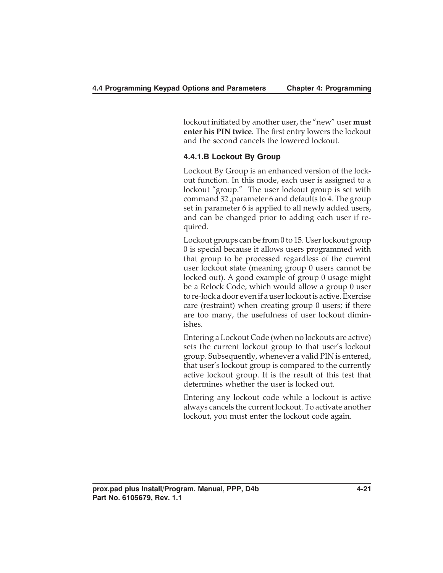lockout initiated by another user, the "new" user **must enter his PIN twice**. The first entry lowers the lockout and the second cancels the lowered lockout.

# **4.4.1.B Lockout By Group**

Lockout By Group is an enhanced version of the lockout function. In this mode, each user is assigned to a lockout "group." The user lockout group is set with command 32 ,parameter 6 and defaults to 4. The group set in parameter 6 is applied to all newly added users, and can be changed prior to adding each user if required.

Lockout groups can be from 0 to 15. User lockout group 0 is special because it allows users programmed with that group to be processed regardless of the current user lockout state (meaning group 0 users cannot be locked out). A good example of group 0 usage might be a Relock Code, which would allow a group 0 user to re-lock a door even if a user lockout is active. Exercise care (restraint) when creating group 0 users; if there are too many, the usefulness of user lockout diminishes.

Entering a Lockout Code (when no lockouts are active) sets the current lockout group to that user's lockout group. Subsequently, whenever a valid PIN is entered, that user's lockout group is compared to the currently active lockout group. It is the result of this test that determines whether the user is locked out.

Entering any lockout code while a lockout is active always cancels the current lockout. To activate another lockout, you must enter the lockout code again.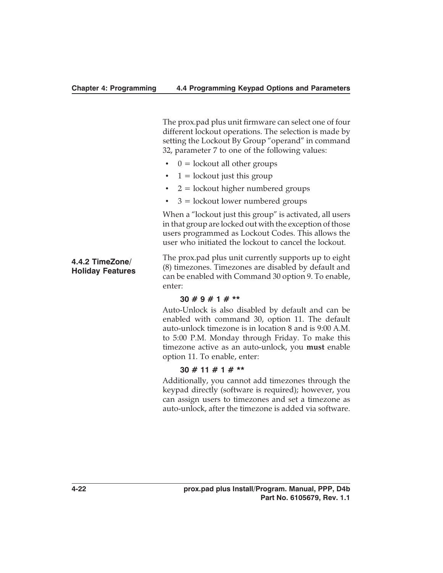The prox.pad plus unit firmware can select one of four different lockout operations. The selection is made by setting the Lockout By Group "operand" in command 32, parameter 7 to one of the following values:

- $\bullet$  0 = lockout all other groups
- $1 =$  lockout just this group
- $2 =$  lockout higher numbered groups
- $3 =$ lockout lower numbered groups

When a "lockout just this group" is activated, all users in that group are locked out with the exception of those users programmed as Lockout Codes. This allows the user who initiated the lockout to cancel the lockout.

The prox.pad plus unit currently supports up to eight (8) timezones. Timezones are disabled by default and can be enabled with Command 30 option 9. To enable, enter:

#### **30 # 9 # 1 # \*\***

Auto-Unlock is also disabled by default and can be enabled with command 30, option 11. The default auto-unlock timezone is in location 8 and is 9:00 A.M. to 5:00 P.M. Monday through Friday. To make this timezone active as an auto-unlock, you **must** enable option 11. To enable, enter:

#### **30 # 11 # 1 # \*\***

Additionally, you cannot add timezones through the keypad directly (software is required); however, you can assign users to timezones and set a timezone as auto-unlock, after the timezone is added via software.

**4.4.2 TimeZone/ Holiday Features**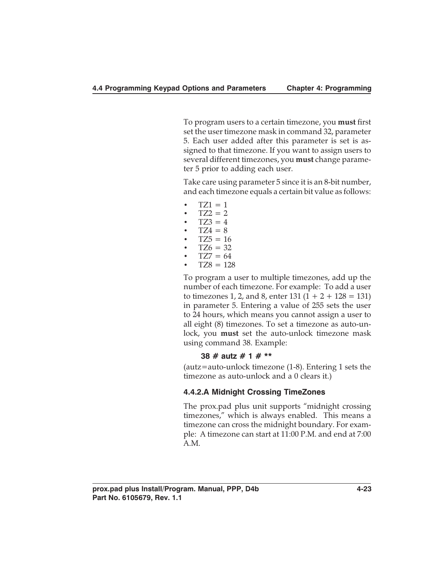To program users to a certain timezone, you **must** first set the user timezone mask in command 32, parameter 5. Each user added after this parameter is set is assigned to that timezone. If you want to assign users to several different timezones, you **must** change parameter 5 prior to adding each user.

Take care using parameter 5 since it is an 8-bit number, and each timezone equals a certain bit value as follows:

- $TZ1 = 1$
- $TZ2 = 2$
- $TZ3 = 4$
- $TZ4 = 8$  $TZ5 = 16$
- $TZ6 = 32$
- $TZ7 = 64$
- $TZ8 = 128$

To program a user to multiple timezones, add up the number of each timezone. For example: To add a user to timezones 1, 2, and 8, enter 131  $(1 + 2 + 128 = 131)$ in parameter 5. Entering a value of 255 sets the user to 24 hours, which means you cannot assign a user to all eight (8) timezones. To set a timezone as auto-unlock, you **must** set the auto-unlock timezone mask using command 38. Example:

#### **38 # autz # 1 # \*\***

(autz=auto-unlock timezone (1-8). Entering 1 sets the timezone as auto-unlock and a 0 clears it.)

#### **4.4.2.A Midnight Crossing TimeZones**

The prox.pad plus unit supports "midnight crossing timezones," which is always enabled. This means a timezone can cross the midnight boundary. For example: A timezone can start at 11:00 P.M. and end at 7:00 A.M.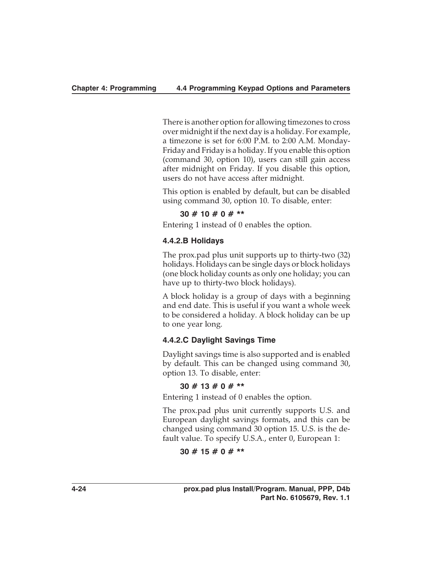There is another option for allowing timezones to cross over midnight if the next day is a holiday. For example, a timezone is set for 6:00 P.M. to 2:00 A.M. Monday-Friday and Friday is a holiday. If you enable this option (command 30, option 10), users can still gain access after midnight on Friday. If you disable this option, users do not have access after midnight.

This option is enabled by default, but can be disabled using command 30, option 10. To disable, enter:

## **30 # 10 # 0 # \*\***

Entering 1 instead of 0 enables the option.

# **4.4.2.B Holidays**

The prox.pad plus unit supports up to thirty-two (32) holidays. Holidays can be single days or block holidays (one block holiday counts as only one holiday; you can have up to thirty-two block holidays).

A block holiday is a group of days with a beginning and end date. This is useful if you want a whole week to be considered a holiday. A block holiday can be up to one year long.

# **4.4.2.C Daylight Savings Time**

Daylight savings time is also supported and is enabled by default. This can be changed using command 30, option 13. To disable, enter:

## **30 # 13 # 0 # \*\***

Entering 1 instead of 0 enables the option.

The prox.pad plus unit currently supports U.S. and European daylight savings formats, and this can be changed using command 30 option 15. U.S. is the default value. To specify U.S.A., enter 0, European 1:

## **30 # 15 # 0 # \*\***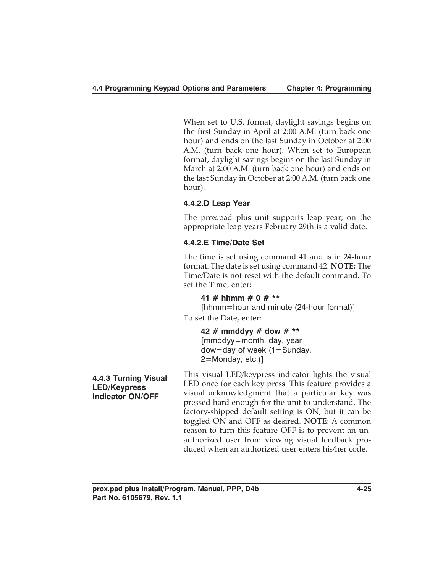When set to U.S. format, daylight savings begins on the first Sunday in April at 2:00 A.M. (turn back one hour) and ends on the last Sunday in October at 2:00 A.M. (turn back one hour). When set to European format, daylight savings begins on the last Sunday in March at 2:00 A.M. (turn back one hour) and ends on the last Sunday in October at 2:00 A.M. (turn back one hour).

# **4.4.2.D Leap Year**

The prox.pad plus unit supports leap year; on the appropriate leap years February 29th is a valid date.

# **4.4.2.E Time/Date Set**

The time is set using command 41 and is in 24-hour format. The date is set using command 42. **NOTE:** The Time/Date is not reset with the default command. To set the Time, enter:

**41 # hhmm # 0 # \*\***

[hhmm=hour and minute (24-hour format)]

To set the Date, enter:

**42 # mmddyy # dow # \*\*** [mmddyy=month, day, year dow=day of week (1=Sunday, 2=Monday, etc.)**]**

**4.4.3 Turning Visual LED/Keypress Indicator ON/OFF**

This visual LED/keypress indicator lights the visual LED once for each key press. This feature provides a visual acknowledgment that a particular key was pressed hard enough for the unit to understand. The factory-shipped default setting is ON, but it can be toggled ON and OFF as desired. **NOTE**: A common reason to turn this feature OFF is to prevent an unauthorized user from viewing visual feedback produced when an authorized user enters his/her code.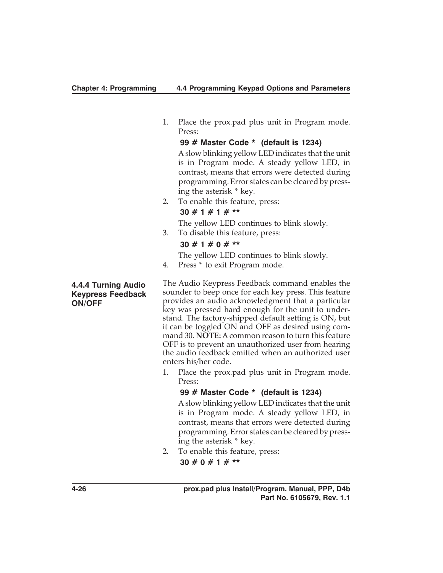1. Place the prox.pad plus unit in Program mode. Press:

**99 # Master Code \* (default is 1234)** A slow blinking yellow LED indicates that the unit is in Program mode. A steady yellow LED, in contrast, means that errors were detected during programming. Error states can be cleared by pressing the asterisk \* key.

2. To enable this feature, press:

# **30 # 1 # 1 # \*\***

The yellow LED continues to blink slowly.

3. To disable this feature, press:

# **30 # 1 # 0 # \*\***

The yellow LED continues to blink slowly.

4. Press \* to exit Program mode.

The Audio Keypress Feedback command enables the sounder to beep once for each key press. This feature provides an audio acknowledgment that a particular key was pressed hard enough for the unit to understand. The factory-shipped default setting is ON, but it can be toggled ON and OFF as desired using command 30. **NOTE:** A common reason to turn this feature OFF is to prevent an unauthorized user from hearing the audio feedback emitted when an authorized user enters his/her code.

1. Place the prox.pad plus unit in Program mode. Press:

## **99 # Master Code \* (default is 1234)**

A slow blinking yellow LED indicates that the unit is in Program mode. A steady yellow LED, in contrast, means that errors were detected during programming. Error states can be cleared by pressing the asterisk \* key.

2. To enable this feature, press:

**30 # 0 # 1 # \*\***

**4.4.4 Turning Audio Keypress Feedback ON/OFF**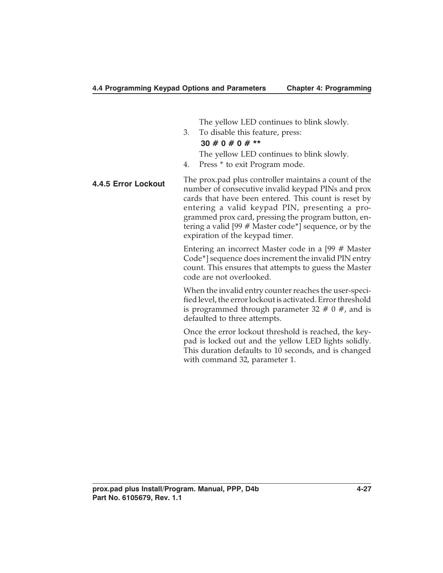The yellow LED continues to blink slowly.

3. To disable this feature, press:

# **30 # 0 # 0 # \*\***

- The yellow LED continues to blink slowly.
- 4. Press \* to exit Program mode.
- **4.4.5 Error Lockout** The prox.pad plus controller maintains a count of the number of consecutive invalid keypad PINs and prox cards that have been entered. This count is reset by entering a valid keypad PIN, presenting a programmed prox card, pressing the program button, entering a valid [99 # Master code\*] sequence, or by the expiration of the keypad timer.

Entering an incorrect Master code in a [99 # Master Code\*] sequence does increment the invalid PIN entry count. This ensures that attempts to guess the Master code are not overlooked.

When the invalid entry counter reaches the user-specified level, the error lockout is activated. Error threshold is programmed through parameter  $32 \# 0 \#$ , and is defaulted to three attempts.

Once the error lockout threshold is reached, the keypad is locked out and the yellow LED lights solidly. This duration defaults to 10 seconds, and is changed with command 32, parameter 1.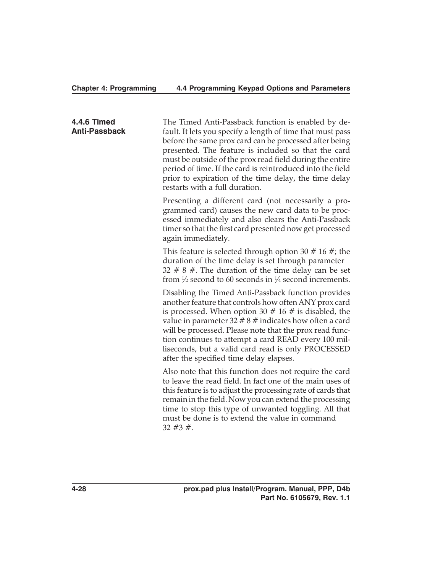#### **Chapter 4: Programming 4.4 Programming Keypad Options and Parameters**

**4.4.6 Timed Anti-Passback** The Timed Anti-Passback function is enabled by default. It lets you specify a length of time that must pass before the same prox card can be processed after being presented. The feature is included so that the card must be outside of the prox read field during the entire period of time. If the card is reintroduced into the field prior to expiration of the time delay, the time delay restarts with a full duration.

Presenting a different card (not necessarily a programmed card) causes the new card data to be processed immediately and also clears the Anti-Passback timer so that the first card presented now get processed again immediately.

This feature is selected through option 30  $#$  16  $#$ ; the duration of the time delay is set through parameter  $32 \# 8 \#$ . The duration of the time delay can be set from  $\frac{1}{2}$  second to 60 seconds in  $\frac{1}{4}$  second increments.

Disabling the Timed Anti-Passback function provides another feature that controls how often ANY prox card is processed. When option 30  $#$  16  $#$  is disabled, the value in parameter  $32 \# 8 \#$  indicates how often a card will be processed. Please note that the prox read function continues to attempt a card READ every 100 milliseconds, but a valid card read is only PROCESSED after the specified time delay elapses.

Also note that this function does not require the card to leave the read field. In fact one of the main uses of this feature is to adjust the processing rate of cards that remain in the field. Now you can extend the processing time to stop this type of unwanted toggling. All that must be done is to extend the value in command  $32 \#3 \#$ .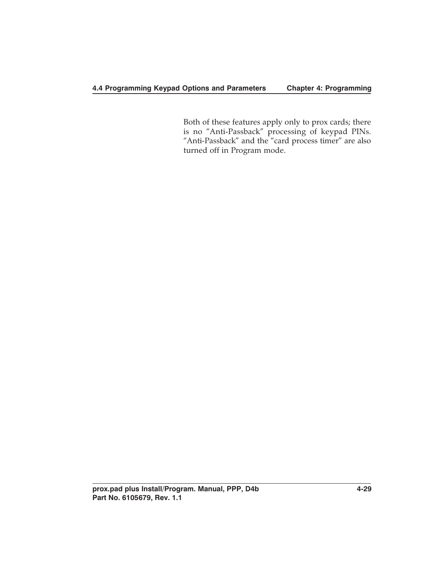# **4.4 Programming Keypad Options and Parameters Chapter 4: Programming**

Both of these features apply only to prox cards; there is no "Anti-Passback" processing of keypad PINs. "Anti-Passback" and the "card process timer" are also turned off in Program mode.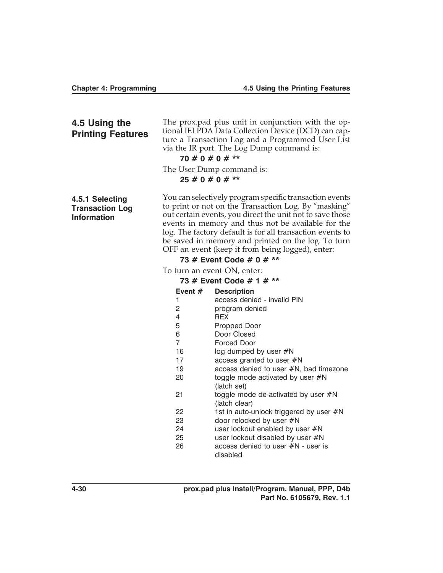# **4.5 Using the Printing Features**

The prox.pad plus unit in conjunction with the optional IEI PDA Data Collection Device (DCD) can capture a Transaction Log and a Programmed User List via the IR port. The Log Dump command is:

# **70 # 0 # 0 # \*\***

The User Dump command is:

**25 # 0 # 0 # \*\***

**4.5.1 Selecting Transaction Log Information**

You can selectively program specific transaction events to print or not on the Transaction Log. By "masking" out certain events, you direct the unit not to save those events in memory and thus not be available for the log. The factory default is for all transaction events to be saved in memory and printed on the log. To turn OFF an event (keep it from being logged), enter:

# **73 # Event Code # 0 # \*\***

To turn an event ON, enter:

| 73 # Event Code # 1 # ** |                                         |  |
|--------------------------|-----------------------------------------|--|
| Event $#$                | <b>Description</b>                      |  |
| 1                        | access denied - invalid PIN             |  |
| 2                        | program denied                          |  |
| 4                        | <b>REX</b>                              |  |
| 5                        | Propped Door                            |  |
| 6                        | Door Closed                             |  |
| 7                        | Forced Door                             |  |
| 16                       | log dumped by user #N                   |  |
| 17                       | access granted to user #N               |  |
| 19                       | access denied to user #N, bad timezone  |  |
| 20                       | toggle mode activated by user $\#N$     |  |
|                          | (latch set)                             |  |
| 21                       | toggle mode de-activated by user $\#N$  |  |
|                          | (latch clear)                           |  |
| 22                       | 1st in auto-unlock triggered by user #N |  |
| 23                       | door relocked by user #N                |  |
| 24                       | user lockout enabled by user $\#N$      |  |
| 25                       | user lockout disabled by user #N        |  |
| 26                       | access denied to user #N - user is      |  |
|                          | disabled                                |  |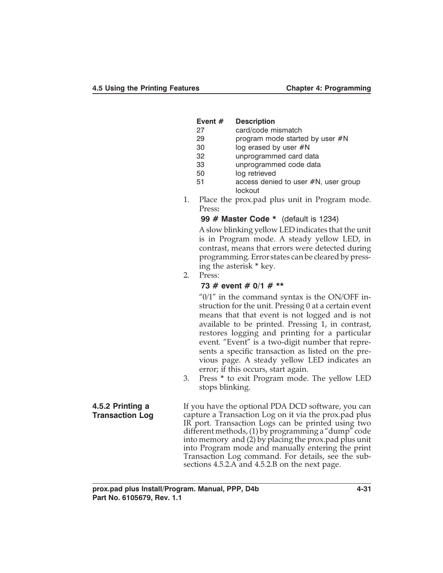| Event # | <b>Description</b> |
|---------|--------------------|
|         |                    |

- 27 card/code mismatch
- 29 program mode started by user #N
- 30 log erased by user #N
- 32 unprogrammed card data
- 33 unprogrammed code data
- 50 log retrieved
- 51 access denied to user #N, user group lockout
- 1. Place the prox.pad plus unit in Program mode. Press**:**

#### **99 # Master Code \*** (default is 1234)

A slow blinking yellow LED indicates that the unit is in Program mode. A steady yellow LED, in contrast, means that errors were detected during programming. Error states can be cleared by pressing the asterisk **\*** key.

2. Press:

# **73 # event # 0/1 # \*\***

" $0/1$ " in the command syntax is the ON/OFF instruction for the unit. Pressing 0 at a certain event means that that event is not logged and is not available to be printed. Pressing 1, in contrast, restores logging and printing for a particular event. "Event" is a two-digit number that represents a specific transaction as listed on the previous page. A steady yellow LED indicates an error; if this occurs, start again.

3. Press **\*** to exit Program mode. The yellow LED stops blinking.

**4.5.2 Printing a Transaction Log** If you have the optional PDA DCD software, you can capture a Transaction Log on it via the prox.pad plus IR port. Transaction Logs can be printed using two different methods, (1) by programming a "dump" code into memory and (2) by placing the prox.pad plus unit into Program mode and manually entering the print Transaction Log command. For details, see the subsections 4.5.2.A and 4.5.2.B on the next page.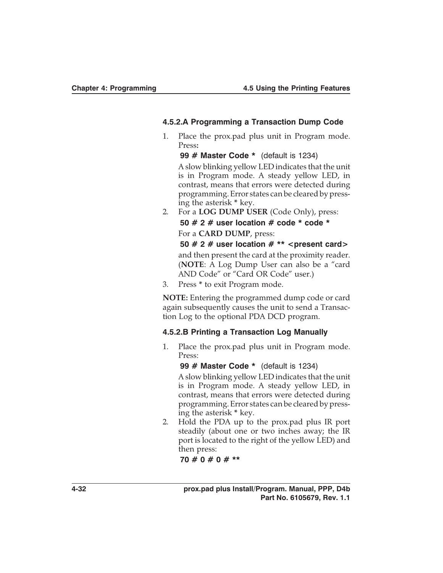#### **4.5.2.A Programming a Transaction Dump Code**

1. Place the prox.pad plus unit in Program mode. Press**:**

**99 # Master Code \*** (default is 1234)

A slow blinking yellow LED indicates that the unit is in Program mode. A steady yellow LED, in contrast, means that errors were detected during programming. Error states can be cleared by pressing the asterisk **\*** key.

2. For a **LOG DUMP USER** (Code Only), press:

**50 # 2 # user location # code \* code \*** For a **CARD DUMP**, press:

**50 # 2 # user location # \*\* <present card>**

and then present the card at the proximity reader. (**NOTE**: A Log Dump User can also be a "card AND Code" or "Card OR Code" user.)

3. Press **\*** to exit Program mode.

**NOTE:** Entering the programmed dump code or card again subsequently causes the unit to send a Transaction Log to the optional PDA DCD program.

#### **4.5.2.B Printing a Transaction Log Manually**

1. Place the prox.pad plus unit in Program mode. Press:

**99 # Master Code \*** (default is 1234)

A slow blinking yellow LED indicates that the unit is in Program mode. A steady yellow LED, in contrast, means that errors were detected during programming. Error states can be cleared by pressing the asterisk **\*** key.

2. Hold the PDA up to the prox.pad plus IR port steadily (about one or two inches away; the IR port is located to the right of the yellow LED) and then press:

**70 # 0 # 0 # \*\***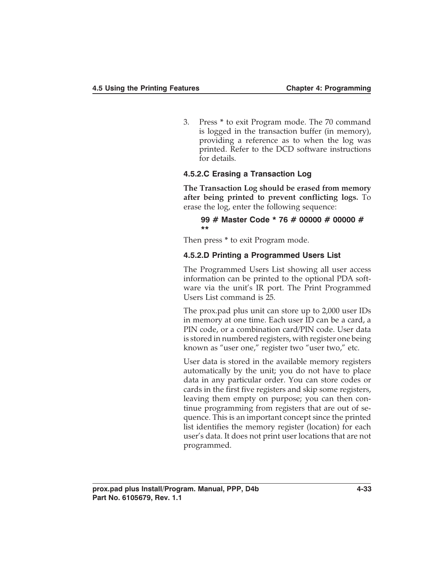3. Press **\*** to exit Program mode. The 70 command is logged in the transaction buffer (in memory), providing a reference as to when the log was printed. Refer to the DCD software instructions for details.

## **4.5.2.C Erasing a Transaction Log**

**The Transaction Log should be erased from memory after being printed to prevent conflicting logs.** To erase the log, enter the following sequence:

#### **99 # Master Code \* 76 # 00000 # 00000 # \*\***

Then press **\*** to exit Program mode.

#### **4.5.2.D Printing a Programmed Users List**

The Programmed Users List showing all user access information can be printed to the optional PDA software via the unit's IR port. The Print Programmed Users List command is 25.

The prox.pad plus unit can store up to 2,000 user IDs in memory at one time. Each user ID can be a card, a PIN code, or a combination card/PIN code. User data is stored in numbered registers, with register one being known as "user one," register two "user two," etc.

User data is stored in the available memory registers automatically by the unit; you do not have to place data in any particular order. You can store codes or cards in the first five registers and skip some registers, leaving them empty on purpose; you can then continue programming from registers that are out of sequence. This is an important concept since the printed list identifies the memory register (location) for each user's data. It does not print user locations that are not programmed.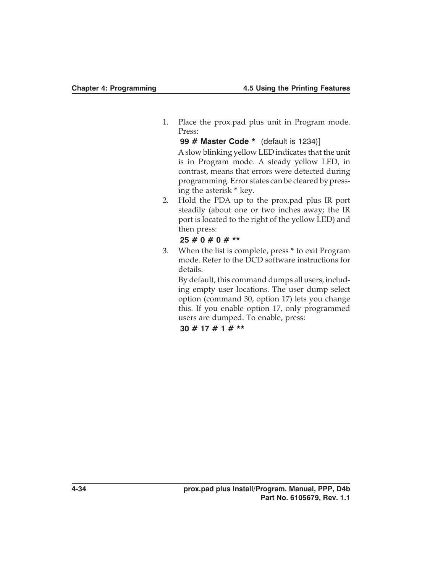1. Place the prox.pad plus unit in Program mode. Press:

**99 # Master Code \*** (default is 1234)] A slow blinking yellow LED indicates that the unit is in Program mode. A steady yellow LED, in contrast, means that errors were detected during programming. Error states can be cleared by pressing the asterisk **\*** key.

2. Hold the PDA up to the prox.pad plus IR port steadily (about one or two inches away; the IR port is located to the right of the yellow LED) and then press:

#### **25 # 0 # 0 # \*\***

3. When the list is complete, press **\*** to exit Program mode. Refer to the DCD software instructions for details.

By default, this command dumps all users, including empty user locations. The user dump select option (command 30, option 17) lets you change this. If you enable option 17, only programmed users are dumped. To enable, press:

**30 # 17 # 1 # \*\***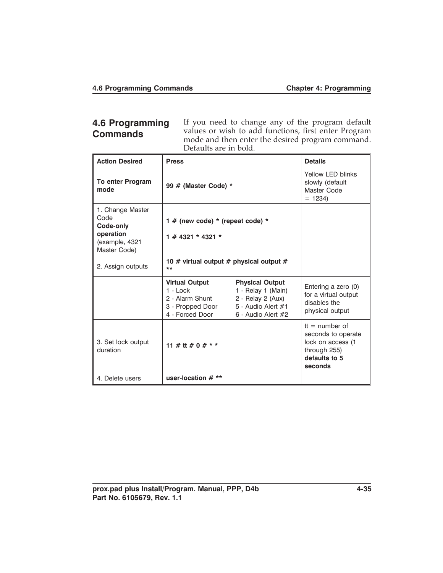# **4.6 Programming Commands**

If you need to change any of the program default values or wish to add functions, first enter Program mode and then enter the desired program command. Defaults are in bold.

| <b>Action Desired</b>                                                                | <b>Press</b>                                                                                  |                                                                                                                   | <b>Details</b>                                                                                         |
|--------------------------------------------------------------------------------------|-----------------------------------------------------------------------------------------------|-------------------------------------------------------------------------------------------------------------------|--------------------------------------------------------------------------------------------------------|
| <b>To enter Program</b><br>mode                                                      | 99 # (Master Code) *                                                                          |                                                                                                                   | Yellow LED blinks<br>slowly (default<br>Master Code<br>$= 1234$                                        |
| 1. Change Master<br>Code<br>Code-only<br>operation<br>(example, 4321<br>Master Code) | 1 # (new code) $*$ (repeat code) $*$<br>1 # 4321 * 4321 *                                     |                                                                                                                   |                                                                                                        |
| 2. Assign outputs                                                                    | 10 # virtual output # physical output #<br>**                                                 |                                                                                                                   |                                                                                                        |
|                                                                                      | <b>Virtual Output</b><br>$1 -$ Lock<br>2 - Alarm Shunt<br>3 - Propped Door<br>4 - Forced Door | <b>Physical Output</b><br>1 - Relay 1 (Main)<br>2 - Relay 2 (Aux)<br>5 - Audio Alert #1<br>$6$ - Audio Alert $#2$ | Entering a zero (0)<br>for a virtual output<br>disables the<br>physical output                         |
| 3. Set lock output<br>duration                                                       | 11 # tt # 0 # * *                                                                             |                                                                                                                   | $t =$ number of<br>seconds to operate<br>lock on access (1<br>through 255)<br>defaults to 5<br>seconds |
| 4. Delete users                                                                      | user-location $#**$                                                                           |                                                                                                                   |                                                                                                        |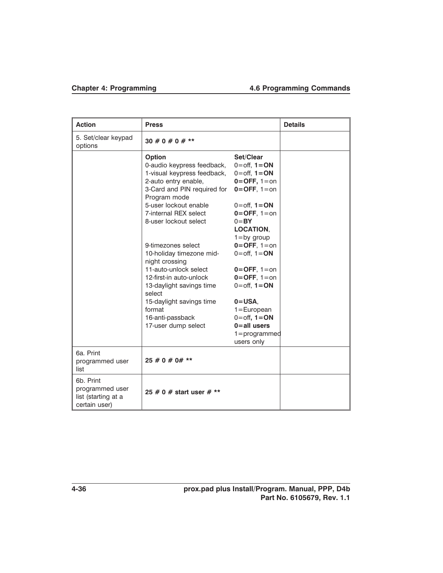| <b>Action</b>                                                        | <b>Press</b>                                                                                                                                                                                                          |                                                                                                                                                                          | <b>Details</b> |
|----------------------------------------------------------------------|-----------------------------------------------------------------------------------------------------------------------------------------------------------------------------------------------------------------------|--------------------------------------------------------------------------------------------------------------------------------------------------------------------------|----------------|
| 5. Set/clear keypad<br>options                                       | $30 \# 0 \# 0 \# **$                                                                                                                                                                                                  |                                                                                                                                                                          |                |
|                                                                      | Option<br>0-audio keypress feedback,<br>1-visual keypress feedback,<br>2-auto entry enable,<br>3-Card and PIN required for<br>Program mode<br>5-user lockout enable<br>7-internal REX select<br>8-user lockout select | Set/Clear<br>$0=$ off, $1=ON$<br>$0=$ off, $1=ON$<br>$0 =$ OFF, $1 =$ on<br>$0 =$ OFF, $1 =$ on<br>$0=$ off, $1=ON$<br>$0=$ OFF, $1=$ on<br>$0 = BY$<br><b>LOCATION.</b> |                |
|                                                                      | 9-timezones select<br>10-holiday timezone mid-<br>night crossing<br>11-auto-unlock select<br>12-first-in auto-unlock                                                                                                  | $1 = by group$<br>$0=$ OFF, $1=$ on<br>$0=$ off, $1=$ ON<br>$0=$ OFF, $1=$ on<br>$0 =$ OFF, $1 =$ on                                                                     |                |
|                                                                      | 13-daylight savings time<br>select<br>15-daylight savings time<br>format<br>16-anti-passback<br>17-user dump select                                                                                                   | $0=$ off, $1=ON$<br>$0 = USA$ .<br>$1 = European$<br>$0=$ off, $1=ON$<br>$0 = all$ users<br>$1 = programmed$<br>users only                                               |                |
| 6a. Print<br>programmed user<br>list                                 | $25 \# 0 \# 0 \# **$                                                                                                                                                                                                  |                                                                                                                                                                          |                |
| 6b. Print<br>programmed user<br>list (starting at a<br>certain user) | 25 # 0 # start user # **                                                                                                                                                                                              |                                                                                                                                                                          |                |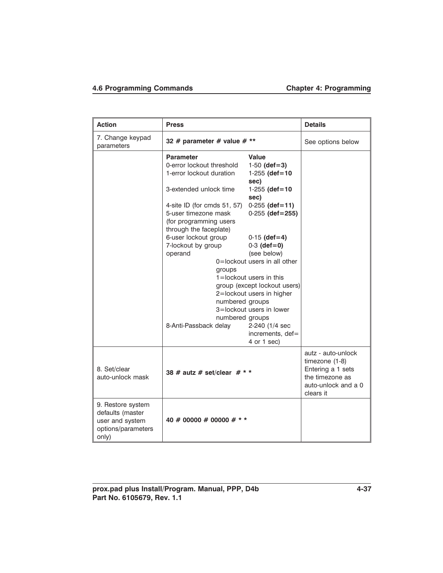# **4.6 Programming Commands Chapter 4: Programming**

| Action                                                                                  | <b>Press</b>                                                                                                                                                                                                                                                                                                                                     |                                                                                                                                                                                                                                                                                                                                                                                       | <b>Details</b>                                                                                                   |
|-----------------------------------------------------------------------------------------|--------------------------------------------------------------------------------------------------------------------------------------------------------------------------------------------------------------------------------------------------------------------------------------------------------------------------------------------------|---------------------------------------------------------------------------------------------------------------------------------------------------------------------------------------------------------------------------------------------------------------------------------------------------------------------------------------------------------------------------------------|------------------------------------------------------------------------------------------------------------------|
| 7. Change keypad<br>parameters                                                          | 32 # parameter # value # **                                                                                                                                                                                                                                                                                                                      |                                                                                                                                                                                                                                                                                                                                                                                       | See options below                                                                                                |
|                                                                                         | <b>Parameter</b><br>0-error lockout threshold<br>1-error lockout duration<br>3-extended unlock time<br>4-site ID (for cmds 51, 57)<br>5-user timezone mask<br>(for programming users<br>through the faceplate)<br>6-user lockout group<br>7-lockout by group<br>operand<br>groups<br>numbered groups<br>numbered groups<br>8-Anti-Passback delay | Value<br>$1-50$ (def=3)<br>$1-255$ (def=10<br>sec)<br>$1-255$ (def=10<br>sec)<br>$0-255$ (def=11)<br>$0-255$ (def=255)<br>$0-15$ (def=4)<br>$0-3$ (def=0)<br>(see below)<br>0=lockout users in all other<br>$1 =$ lockout users in this<br>group (except lockout users)<br>2=lockout users in higher<br>3=lockout users in lower<br>2-240 (1/4 sec<br>increments, def=<br>4 or 1 sec) |                                                                                                                  |
| 8. Set/clear<br>auto-unlock mask                                                        | 38 # autz # set/clear $#$ * *                                                                                                                                                                                                                                                                                                                    |                                                                                                                                                                                                                                                                                                                                                                                       | autz - auto-unlock<br>timezone (1-8)<br>Entering a 1 sets<br>the timezone as<br>auto-unlock and a 0<br>clears it |
| 9. Restore system<br>defaults (master<br>user and system<br>options/parameters<br>only) | 40 # 00000 # 00000 # * *                                                                                                                                                                                                                                                                                                                         |                                                                                                                                                                                                                                                                                                                                                                                       |                                                                                                                  |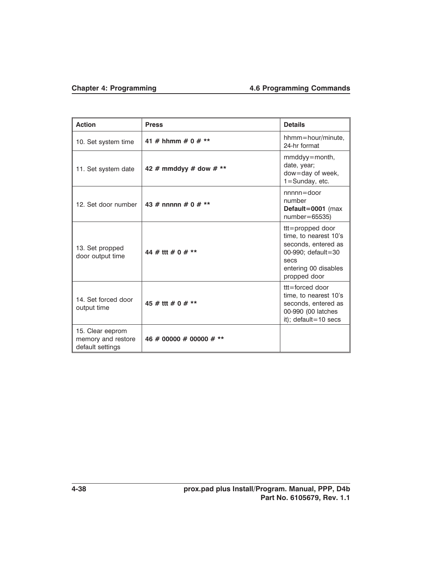# **Chapter 4: Programming 4.6 Programming Commands**

| <b>Action</b>                                              | <b>Press</b>            | <b>Details</b>                                                                                                                            |
|------------------------------------------------------------|-------------------------|-------------------------------------------------------------------------------------------------------------------------------------------|
| 10. Set system time                                        | 41 # hhmm # 0 # **      | hhmm=hour/minute,<br>24-hr format                                                                                                         |
| 11. Set system date                                        | 42 # mmddyy # dow # **  | mmddyy=month,<br>date, year;<br>dow=day of week,<br>$1 =$ Sunday, etc.                                                                    |
| 12. Set door number                                        | 43 # nnnnn # 0 # **     | $nnnn = door$<br>number<br>Default=0001 (max<br>$number=65535$                                                                            |
| 13. Set propped<br>door output time                        | 44 # ttt # 0 # **       | $tt =$ propped door<br>time, to nearest 10's<br>seconds, entered as<br>00-990; default=30<br>secs<br>entering 00 disables<br>propped door |
| 14. Set forced door<br>output time                         | 45 # ttt # 0 # **       | $tt =$ forced door<br>time, to nearest 10's<br>seconds, entered as<br>00-990 (00 latches<br>it); default=10 secs                          |
| 15. Clear eeprom<br>memory and restore<br>default settings | 46 # 00000 # 00000 # ** |                                                                                                                                           |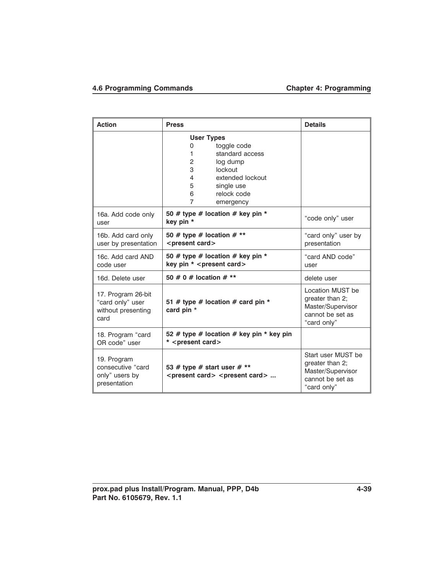# **4.6 Programming Commands Chapter 4: Programming**

| <b>Action</b>                                                        | <b>Press</b>                                                                                                                                                                                               | <b>Details</b>                                                                                |
|----------------------------------------------------------------------|------------------------------------------------------------------------------------------------------------------------------------------------------------------------------------------------------------|-----------------------------------------------------------------------------------------------|
|                                                                      | <b>User Types</b><br>toggle code<br>0<br>standard access<br>1<br>$\overline{2}$<br>log dump<br>3<br>lockout<br>extended lockout<br>4<br>single use<br>5<br>relock code<br>6<br>$\overline{7}$<br>emergency |                                                                                               |
| 16a. Add code only<br>user                                           | 50 # type # location # key pin $*$<br>key pin *                                                                                                                                                            | "code only" user                                                                              |
| 16b. Add card only<br>user by presentation                           | 50 # type # location # **<br><present card=""></present>                                                                                                                                                   | "card only" user by<br>presentation                                                           |
| 16c. Add card AND<br>code user                                       | 50 # type # location # key pin *<br>key pin * <present card=""></present>                                                                                                                                  | "card AND code"<br>user                                                                       |
| 16d. Delete user                                                     | 50 # 0 # location # **                                                                                                                                                                                     | delete user                                                                                   |
| 17. Program 26-bit<br>"card only" user<br>without presenting<br>card | 51 # type # location # card pin $*$<br>card pin *                                                                                                                                                          | Location MUST be<br>greater than 2;<br>Master/Supervisor<br>cannot be set as<br>"card only"   |
| 18. Program "card<br>OR code" user                                   | 52 # type # location # key pin * key pin<br>* <present card=""></present>                                                                                                                                  |                                                                                               |
| 19. Program<br>consecutive "card<br>only" users by<br>presentation   | 53 # type # start user # **<br><present card=""> <present card=""> </present></present>                                                                                                                    | Start user MUST be<br>greater than 2;<br>Master/Supervisor<br>cannot be set as<br>"card only" |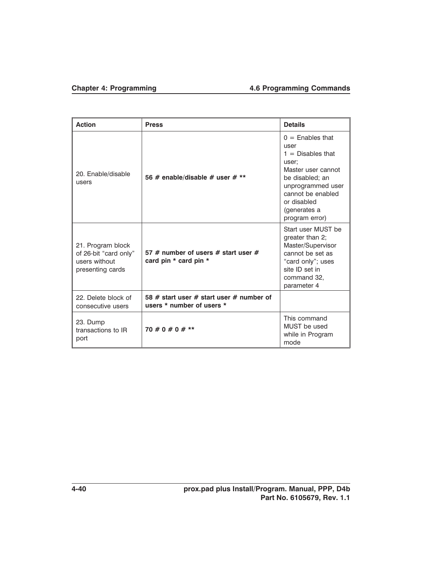# **Chapter 4: Programming 4.6 Programming Commands**

| <b>Action</b>                                                                   | <b>Press</b>                                                          | <b>Details</b>                                                                                                                                                                                 |
|---------------------------------------------------------------------------------|-----------------------------------------------------------------------|------------------------------------------------------------------------------------------------------------------------------------------------------------------------------------------------|
| 20. Enable/disable<br>users                                                     | 56 # enable/disable # user # $**$                                     | $0 =$ Enables that<br>user<br>$1 =$ Disables that<br>user;<br>Master user cannot<br>be disabled; an<br>unprogrammed user<br>cannot be enabled<br>or disabled<br>(generates a<br>program error) |
| 21. Program block<br>of 26-bit "card only"<br>users without<br>presenting cards | 57 # number of users # start user #<br>card pin * card pin *          | Start user MUST be<br>greater than 2;<br>Master/Supervisor<br>cannot be set as<br>"card only"; uses<br>site ID set in<br>command 32.<br>parameter 4                                            |
| 22. Delete block of<br>consecutive users                                        | 58 # start user # start user # number of<br>users * number of users * |                                                                                                                                                                                                |
| 23. Dump<br>transactions to IR<br>port                                          | $70 \# 0 \# 0 \# **$                                                  | This command<br>MUST be used<br>while in Program<br>mode                                                                                                                                       |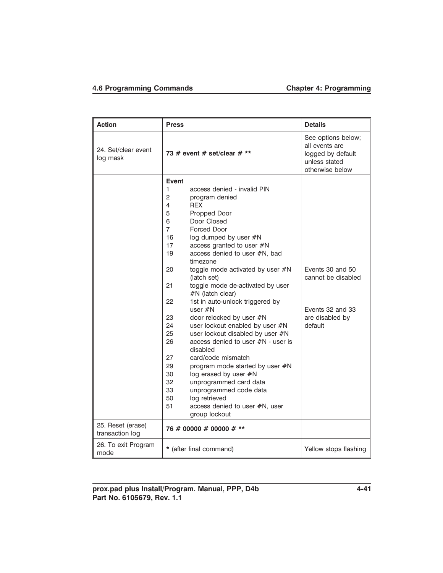# **4.6 Programming Commands Chapter 4: Programming**

| <b>Action</b>                   | <b>Press</b>                                                                                                                                                                                                                                                                                                                                                                                                                                                                                                                                                                                                                                                                                                                                                                                                                                                                                                                 | <b>Details</b>                                                                                |
|---------------------------------|------------------------------------------------------------------------------------------------------------------------------------------------------------------------------------------------------------------------------------------------------------------------------------------------------------------------------------------------------------------------------------------------------------------------------------------------------------------------------------------------------------------------------------------------------------------------------------------------------------------------------------------------------------------------------------------------------------------------------------------------------------------------------------------------------------------------------------------------------------------------------------------------------------------------------|-----------------------------------------------------------------------------------------------|
| 24. Set/clear event<br>log mask | 73 # event # set/clear # **                                                                                                                                                                                                                                                                                                                                                                                                                                                                                                                                                                                                                                                                                                                                                                                                                                                                                                  | See options below;<br>all events are<br>logged by default<br>unless stated<br>otherwise below |
| 25. Reset (erase)               | Event<br>1<br>access denied - invalid PIN<br>2<br>program denied<br><b>REX</b><br>4<br>5<br>Propped Door<br>Door Closed<br>6<br>$\overline{7}$<br>Forced Door<br>16<br>log dumped by user #N<br>17<br>access granted to user #N<br>19<br>access denied to user #N, bad<br>timezone<br>20<br>toggle mode activated by user #N<br>(latch set)<br>21<br>toggle mode de-activated by user<br>#N (latch clear)<br>1st in auto-unlock triggered by<br>22<br>user $\#N$<br>23<br>door relocked by user #N<br>24<br>user lockout enabled by user #N<br>user lockout disabled by user #N<br>25<br>26<br>access denied to user #N - user is<br>disabled<br>27<br>card/code mismatch<br>29<br>program mode started by user #N<br>30<br>log erased by user #N<br>32<br>unprogrammed card data<br>33<br>unprogrammed code data<br>50<br>log retrieved<br>51<br>access denied to user #N, user<br>group lockout<br>76 # 00000 # 00000 # ** | Events 30 and 50<br>cannot be disabled<br>Events 32 and 33<br>are disabled by<br>default      |
| transaction log                 |                                                                                                                                                                                                                                                                                                                                                                                                                                                                                                                                                                                                                                                                                                                                                                                                                                                                                                                              |                                                                                               |
| 26. To exit Program<br>mode     | * (after final command)                                                                                                                                                                                                                                                                                                                                                                                                                                                                                                                                                                                                                                                                                                                                                                                                                                                                                                      | Yellow stops flashing                                                                         |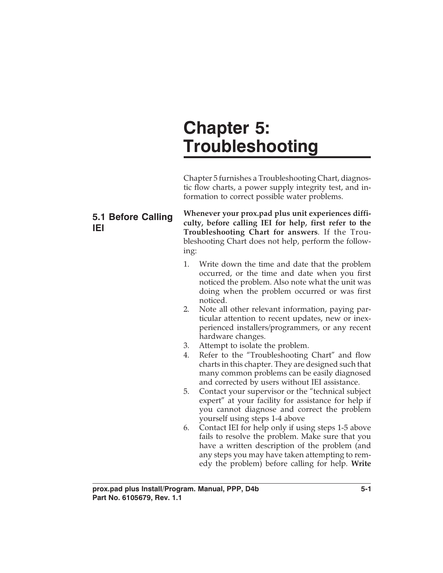# **Chapter 5: Troubleshooting**

Chapter 5 furnishes a Troubleshooting Chart, diagnostic flow charts, a power supply integrity test, and information to correct possible water problems.

# **5.1 Before Calling IEI**

**Whenever your prox.pad plus unit experiences difficulty, before calling IEI for help, first refer to the Troubleshooting Chart for answers**. If the Troubleshooting Chart does not help, perform the following:

- 1. Write down the time and date that the problem occurred, or the time and date when you first noticed the problem. Also note what the unit was doing when the problem occurred or was first noticed.
- 2. Note all other relevant information, paying particular attention to recent updates, new or inexperienced installers/programmers, or any recent hardware changes.
- 3. Attempt to isolate the problem.
- 4. Refer to the "Troubleshooting Chart" and flow charts in this chapter. They are designed such that many common problems can be easily diagnosed and corrected by users without IEI assistance.
- 5. Contact your supervisor or the "technical subject expert" at your facility for assistance for help if you cannot diagnose and correct the problem yourself using steps 1-4 above
- 6. Contact IEI for help only if using steps 1-5 above fails to resolve the problem. Make sure that you have a written description of the problem (and any steps you may have taken attempting to remedy the problem) before calling for help. **Write**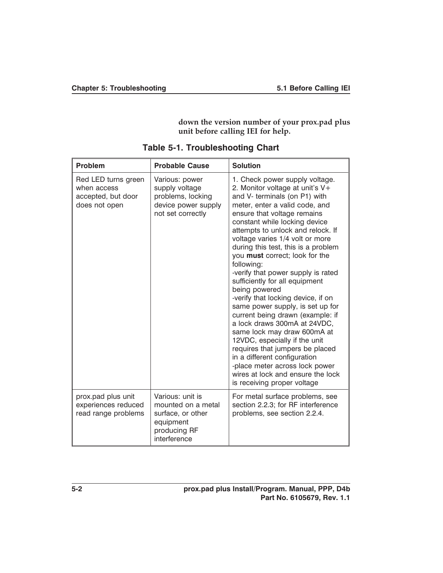**down the version number of your prox.pad plus unit before calling IEI for help.**

| <b>Problem</b>                                                            | <b>Probable Cause</b>                                                                                    | <b>Solution</b>                                                                                                                                                                                                                                                                                                                                                                                                                                                                                                                                                                                                                                                                                                                                                                                                                                     |  |
|---------------------------------------------------------------------------|----------------------------------------------------------------------------------------------------------|-----------------------------------------------------------------------------------------------------------------------------------------------------------------------------------------------------------------------------------------------------------------------------------------------------------------------------------------------------------------------------------------------------------------------------------------------------------------------------------------------------------------------------------------------------------------------------------------------------------------------------------------------------------------------------------------------------------------------------------------------------------------------------------------------------------------------------------------------------|--|
| Red LED turns green<br>when access<br>accepted, but door<br>does not open | Various: power<br>supply voltage<br>problems, locking<br>device power supply<br>not set correctly        | 1. Check power supply voltage.<br>2. Monitor voltage at unit's V+<br>and V- terminals (on P1) with<br>meter, enter a valid code, and<br>ensure that voltage remains<br>constant while locking device<br>attempts to unlock and relock. If<br>voltage varies 1/4 volt or more<br>during this test, this is a problem<br>you must correct; look for the<br>following:<br>-verify that power supply is rated<br>sufficiently for all equipment<br>being powered<br>-verify that locking device, if on<br>same power supply, is set up for<br>current being drawn (example: if<br>a lock draws 300mA at 24VDC,<br>same lock may draw 600mA at<br>12VDC, especially if the unit<br>requires that jumpers be placed<br>in a different configuration<br>-place meter across lock power<br>wires at lock and ensure the lock<br>is receiving proper voltage |  |
| prox.pad plus unit<br>experiences reduced<br>read range problems          | Various: unit is<br>mounted on a metal<br>surface, or other<br>equipment<br>producing RF<br>interference | For metal surface problems, see<br>section 2.2.3; for RF interference<br>problems, see section 2.2.4.                                                                                                                                                                                                                                                                                                                                                                                                                                                                                                                                                                                                                                                                                                                                               |  |

**Table 5-1. Troubleshooting Chart**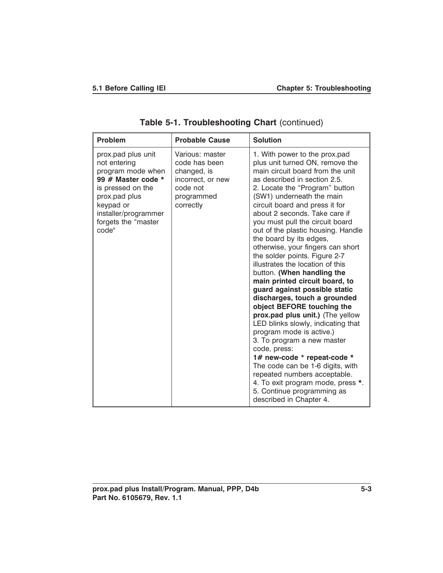| <b>Problem</b>                                                                                                                                                                           | <b>Probable Cause</b>                                                                                       | <b>Solution</b>                                                                                                                                                                                                                                                                                                                                                                                                                                                                                                                                                                                                                                                                                                                                                                                                                                                                                                                                                                                          |
|------------------------------------------------------------------------------------------------------------------------------------------------------------------------------------------|-------------------------------------------------------------------------------------------------------------|----------------------------------------------------------------------------------------------------------------------------------------------------------------------------------------------------------------------------------------------------------------------------------------------------------------------------------------------------------------------------------------------------------------------------------------------------------------------------------------------------------------------------------------------------------------------------------------------------------------------------------------------------------------------------------------------------------------------------------------------------------------------------------------------------------------------------------------------------------------------------------------------------------------------------------------------------------------------------------------------------------|
| prox.pad plus unit<br>not entering<br>program mode when<br>99 # Master code *<br>is pressed on the<br>prox.pad plus<br>keypad or<br>installer/programmer<br>forgets the "master<br>code" | Various: master<br>code has been<br>changed, is<br>incorrect, or new<br>code not<br>programmed<br>correctly | 1. With power to the prox.pad<br>plus unit turned ON, remove the<br>main circuit board from the unit<br>as described in section 2.5.<br>2. Locate the "Program" button<br>(SW1) underneath the main<br>circuit board and press it for<br>about 2 seconds. Take care if<br>you must pull the circuit board<br>out of the plastic housing. Handle<br>the board by its edges,<br>otherwise, your fingers can short<br>the solder points. Figure 2-7<br>illustrates the location of this<br>button. (When handling the<br>main printed circuit board, to<br>guard against possible static<br>discharges, touch a grounded<br>object BEFORE touching the<br>prox.pad plus unit.) (The yellow<br>LED blinks slowly, indicating that<br>program mode is active.)<br>3. To program a new master<br>code, press:<br>1# new-code * repeat-code *<br>The code can be 1-6 digits, with<br>repeated numbers acceptable.<br>4. To exit program mode, press *.<br>5. Continue programming as<br>described in Chapter 4. |

**Table 5-1. Troubleshooting Chart** (continued)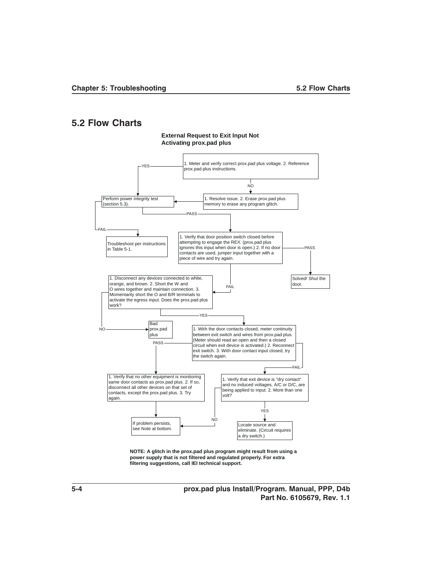#### **5.2 Flow Charts**



**External Request to Exit Input Not**

## **power supply that is not filtered and regulated properly. For extra filtering suggestions, call IEI technical support.**

**5-4 prox.pad plus Install/Program. Manual, PPP, D4b Part No. 6105679, Rev. 1.1**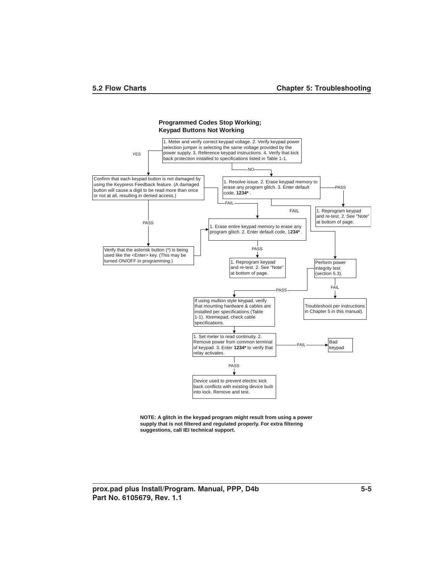



**NOTE: A glitch in the keypad program might result from using a power supply that is not filtered and regulated properly. For extra filtering suggestions, call IEI technical support.**

**prox.pad plus Install/Program. Manual, PPP, D4b 5-5 Part No. 6105679, Rev. 1.1**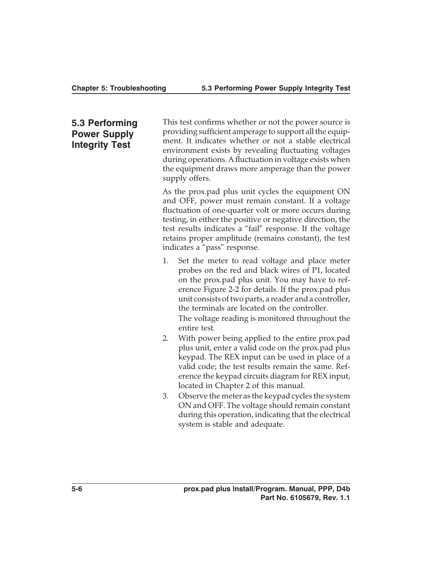# **5.3 Performing Power Supply Integrity Test**

This test confirms whether or not the power source is providing sufficient amperage to support all the equipment. It indicates whether or not a stable electrical environment exists by revealing fluctuating voltages during operations. A fluctuation in voltage exists when the equipment draws more amperage than the power supply offers.

As the prox.pad plus unit cycles the equipment ON and OFF, power must remain constant. If a voltage fluctuation of one-quarter volt or more occurs during testing, in either the positive or negative direction, the test results indicates a "fail" response. If the voltage retains proper amplitude (remains constant), the test indicates a "pass" response.

- 1. Set the meter to read voltage and place meter probes on the red and black wires of P1, located on the prox.pad plus unit. You may have to reference Figure 2-2 for details. If the prox.pad plus unit consists of two parts, a reader and a controller, the terminals are located on the controller. The voltage reading is monitored throughout the entire test.
- 2. With power being applied to the entire prox.pad plus unit, enter a valid code on the prox.pad plus keypad. The REX input can be used in place of a valid code; the test results remain the same. Reference the keypad circuits diagram for REX input, located in Chapter 2 of this manual.
- 3. Observe the meter as the keypad cycles the system ON and OFF. The voltage should remain constant during this operation, indicating that the electrical system is stable and adequate.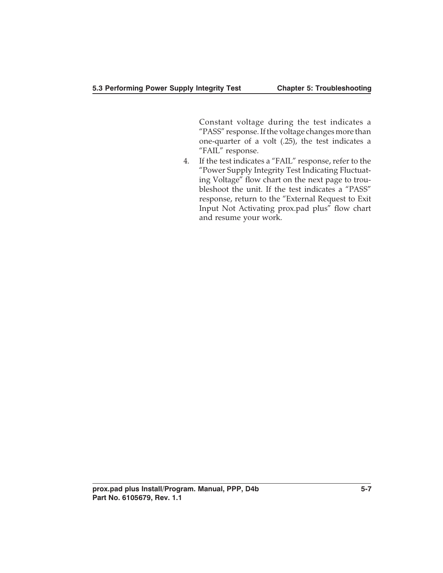Constant voltage during the test indicates a "PASS" response. If the voltage changes more than one-quarter of a volt (.25), the test indicates a "FAIL" response.

4. If the test indicates a "FAIL" response, refer to the "Power Supply Integrity Test Indicating Fluctuating Voltage" flow chart on the next page to troubleshoot the unit. If the test indicates a "PASS" response, return to the "External Request to Exit Input Not Activating prox.pad plus" flow chart and resume your work.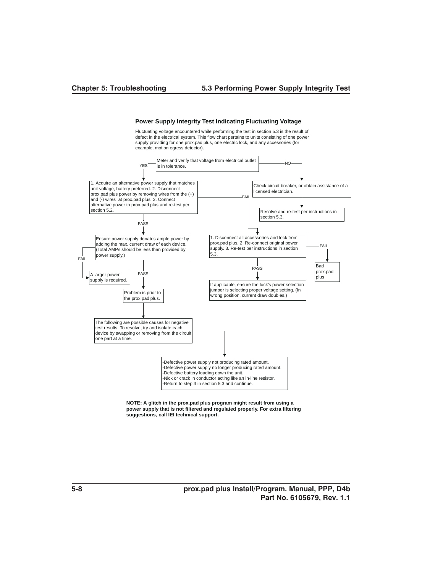

#### **Power Supply Integrity Test Indicating Fluctuating Voltage**

Fluctuating voltage encountered while performing the test in section 5.3 is the result of defect in the electrical system. This flow chart pertains to units consisting of one power supply providing for one prox.pad plus, one electric lock, and any accessories (for example, motion egress detector).

**NOTE: A glitch in the prox.pad plus program might result from using a power supply that is not filtered and regulated properly. For extra filtering suggestions, call IEI technical support.**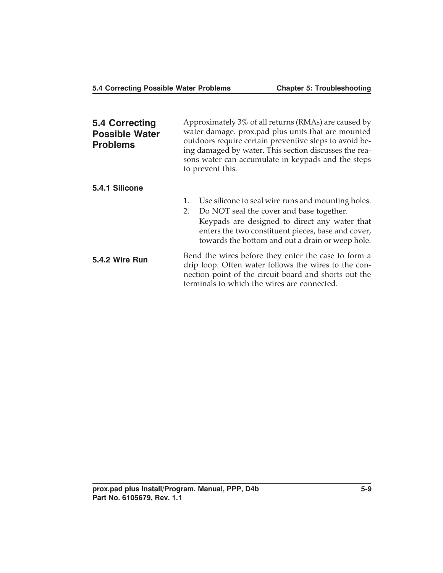| 5.4 Correcting<br><b>Possible Water</b><br><b>Problems</b> | Approximately 3% of all returns (RMAs) are caused by<br>water damage. prox.pad plus units that are mounted<br>outdoors require certain preventive steps to avoid be-<br>ing damaged by water. This section discusses the rea-<br>sons water can accumulate in keypads and the steps<br>to prevent this. |  |
|------------------------------------------------------------|---------------------------------------------------------------------------------------------------------------------------------------------------------------------------------------------------------------------------------------------------------------------------------------------------------|--|
| 5.4.1 Silicone                                             | Use silicone to seal wire runs and mounting holes.<br>1.                                                                                                                                                                                                                                                |  |
|                                                            | Do NOT seal the cover and base together.<br>2.<br>Keypads are designed to direct any water that<br>enters the two constituent pieces, base and cover,<br>towards the bottom and out a drain or weep hole.                                                                                               |  |
| 5.4.2 Wire Run                                             | Bend the wires before they enter the case to form a<br>drip loop. Often water follows the wires to the con-<br>nection point of the circuit board and shorts out the<br>terminals to which the wires are connected.                                                                                     |  |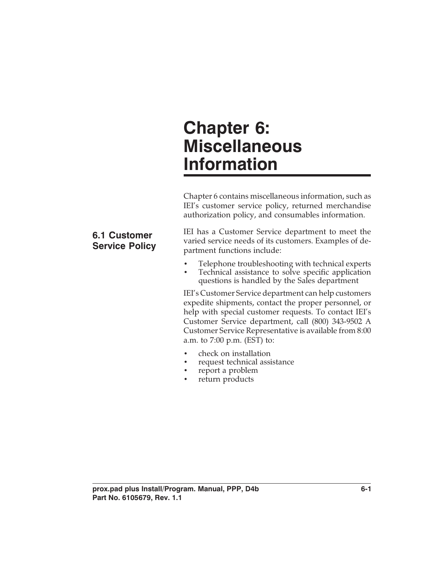# **Chapter 6: Miscellaneous Information**

Chapter 6 contains miscellaneous information, such as IEI's customer service policy, returned merchandise authorization policy, and consumables information.

# IEI has a Customer Service department to meet the varied service needs of its customers. Examples of department functions include:

- Telephone troubleshooting with technical experts
- Technical assistance to solve specific application questions is handled by the Sales department

IEI's Customer Service department can help customers expedite shipments, contact the proper personnel, or help with special customer requests. To contact IEI's Customer Service department, call (800) 343-9502 A Customer Service Representative is available from 8:00 a.m. to 7:00 p.m. (EST) to:

- check on installation
- request technical assistance
- report a problem
- return products

#### **prox.pad plus Install/Program. Manual, PPP, D4b 6-1 Part No. 6105679, Rev. 1.1**

# **6.1 Customer Service Policy**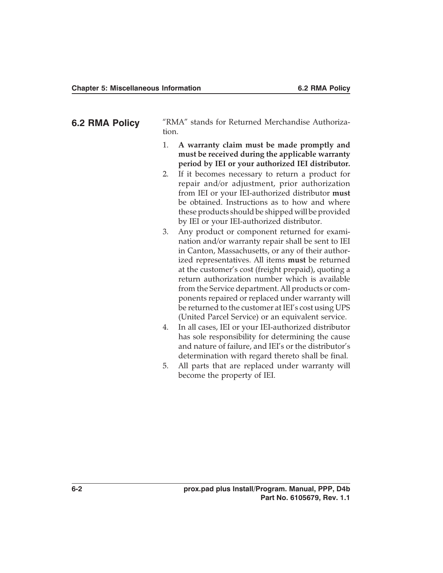| 6.2 RMA Policy | "RMA" stands for Returned Merchandise Authoriza-<br>tion.                                        |
|----------------|--------------------------------------------------------------------------------------------------|
|                | 1. A warranty claim must be made promptly and<br>must be received during the applicable warranty |

- **period by IEI or your authorized IEI distributor.** 2. If it becomes necessary to return a product for repair and/or adjustment, prior authorization from IEI or your IEI-authorized distributor **must** be obtained. Instructions as to how and where these products should be shipped will be provided
- by IEI or your IEI-authorized distributor. 3. Any product or component returned for examination and/or warranty repair shall be sent to IEI in Canton, Massachusetts, or any of their authorized representatives. All items **must** be returned at the customer's cost (freight prepaid), quoting a return authorization number which is available from the Service department. All products or components repaired or replaced under warranty will be returned to the customer at IEI's cost using UPS (United Parcel Service) or an equivalent service.
- 4. In all cases, IEI or your IEI-authorized distributor has sole responsibility for determining the cause and nature of failure, and IEI's or the distributor's determination with regard thereto shall be final.
- 5. All parts that are replaced under warranty will become the property of IEI.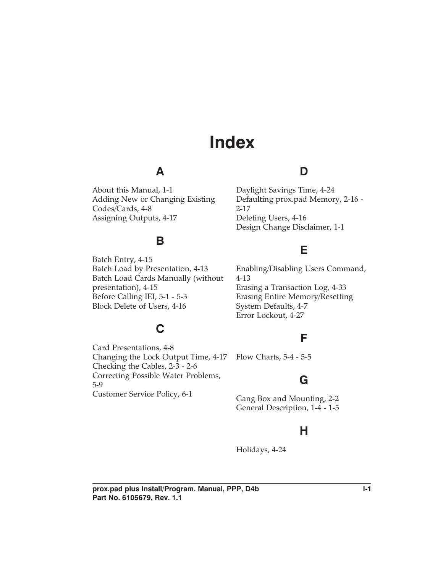# **Index**

# **A**

About this Manual, 1-1 Adding New or Changing Existing Codes/Cards, 4-8 Assigning Outputs, 4-17

# **D**

Daylight Savings Time, 4-24 Defaulting prox.pad Memory, 2-16 - 2-17 Deleting Users, 4-16 Design Change Disclaimer, 1-1

# **B**

Batch Entry, 4-15 Batch Load by Presentation, 4-13 Batch Load Cards Manually (without presentation), 4-15 Before Calling IEI, 5-1 - 5-3 Block Delete of Users, 4-16

**C**

# **E**

Enabling/Disabling Users Command, 4-13 Erasing a Transaction Log, 4-33 Erasing Entire Memory/Resetting System Defaults, 4-7 Error Lockout, 4-27

# **F**

Card Presentations, 4-8 Changing the Lock Output Time, 4-17 Checking the Cables, 2-3 - 2-6 Correcting Possible Water Problems, 5-9 Customer Service Policy, 6-1 Flow Charts, 5-4 - 5-5

# **G**

Gang Box and Mounting, 2-2 General Description, 1-4 - 1-5

# **H**

Holidays, 4-24

prox.pad plus Install/Program. Manual, PPP, D4b **I-1 Part No. 6105679, Rev. 1.1**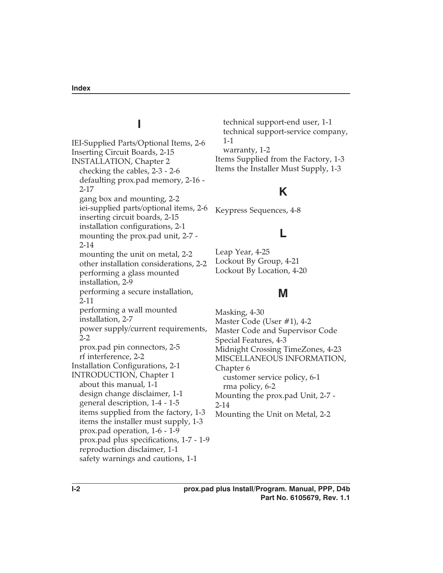# **I**

IEI-Supplied Parts/Optional Items, 2-6 Inserting Circuit Boards, 2-15 INSTALLATION, Chapter 2 checking the cables, 2-3 - 2-6 defaulting prox.pad memory, 2-16 - 2-17 gang box and mounting, 2-2 iei-supplied parts/optional items, 2-6 inserting circuit boards, 2-15 installation configurations, 2-1 mounting the prox.pad unit, 2-7 - 2-14 mounting the unit on metal, 2-2 other installation considerations, 2-2 performing a glass mounted installation, 2-9 performing a secure installation, 2-11 performing a wall mounted installation, 2-7 power supply/current requirements, 2-2 prox.pad pin connectors, 2-5 rf interference, 2-2 Installation Configurations, 2-1 INTRODUCTION, Chapter 1 about this manual, 1-1 design change disclaimer, 1-1 general description, 1-4 - 1-5 items supplied from the factory, 1-3 items the installer must supply, 1-3 prox.pad operation, 1-6 - 1-9 prox.pad plus specifications, 1-7 - 1-9 reproduction disclaimer, 1-1 safety warnings and cautions, 1-1

technical support-end user, 1-1 technical support-service company, 1-1 warranty, 1-2 Items Supplied from the Factory, 1-3 Items the Installer Must Supply, 1-3

# **K**

Keypress Sequences, 4-8

# **L**

Leap Year, 4-25 Lockout By Group, 4-21 Lockout By Location, 4-20

# **M**

Masking, 4-30 Master Code (User #1), 4-2 Master Code and Supervisor Code Special Features, 4-3 Midnight Crossing TimeZones, 4-23 MISCELLANEOUS INFORMATION, Chapter 6 customer service policy, 6-1 rma policy, 6-2 Mounting the prox.pad Unit, 2-7 - 2-14 Mounting the Unit on Metal, 2-2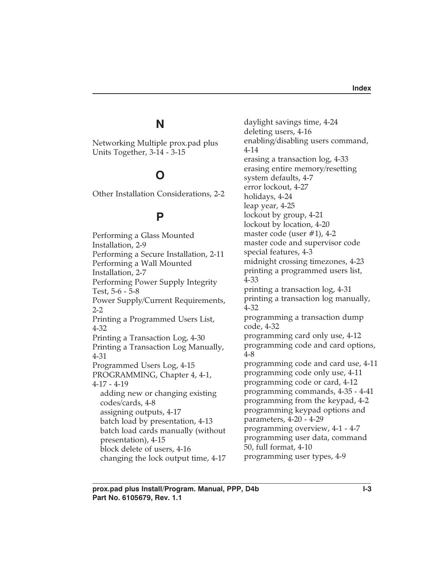## **N**

Networking Multiple prox.pad plus Units Together, 3-14 - 3-15

## **O**

Other Installation Considerations, 2-2

## **P**

Performing a Glass Mounted Installation, 2-9 Performing a Secure Installation, 2-11 Performing a Wall Mounted Installation, 2-7 Performing Power Supply Integrity Test, 5-6 - 5-8 Power Supply/Current Requirements, 2-2 Printing a Programmed Users List, 4-32 Printing a Transaction Log, 4-30 Printing a Transaction Log Manually, 4-31 Programmed Users Log, 4-15 PROGRAMMING, Chapter 4, 4-1, 4-17 - 4-19 adding new or changing existing codes/cards, 4-8 assigning outputs, 4-17 batch load by presentation, 4-13 batch load cards manually (without presentation), 4-15 block delete of users, 4-16 changing the lock output time, 4-17 daylight savings time, 4-24 deleting users, 4-16 enabling/disabling users command, 4-14 erasing a transaction log, 4-33 erasing entire memory/resetting system defaults, 4-7 error lockout, 4-27 holidays, 4-24 leap year, 4-25 lockout by group, 4-21 lockout by location, 4-20 master code (user  $\#1$ ), 4-2 master code and supervisor code special features, 4-3 midnight crossing timezones, 4-23 printing a programmed users list, 4-33 printing a transaction log, 4-31 printing a transaction log manually, 4-32 programming a transaction dump code, 4-32 programming card only use, 4-12 programming code and card options, 4-8 programming code and card use, 4-11 programming code only use, 4-11 programming code or card, 4-12 programming commands, 4-35 - 4-41 programming from the keypad, 4-2 programming keypad options and parameters, 4-20 - 4-29 programming overview, 4-1 - 4-7 programming user data, command 50, full format, 4-10 programming user types, 4-9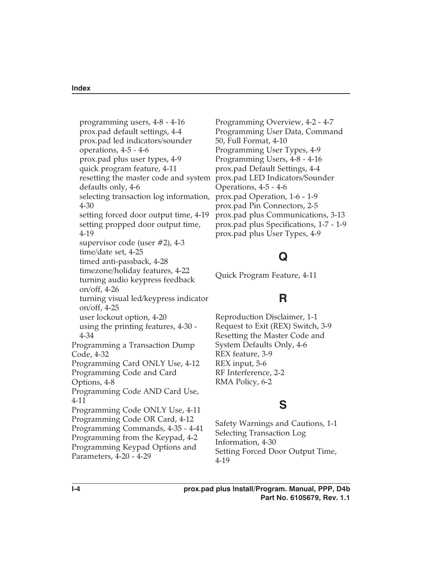programming users, 4-8 - 4-16 prox.pad default settings, 4-4 prox.pad led indicators/sounder operations, 4-5 - 4-6 prox.pad plus user types, 4-9 quick program feature, 4-11 resetting the master code and system prox.pad LED Indicators/Sounder defaults only, 4-6 selecting transaction log information, prox.pad Operation, 1-6 - 1-9 4-30 setting forced door output time, 4-19 setting propped door output time, 4-19 supervisor code (user #2), 4-3 time/date set, 4-25 timed anti-passback, 4-28 timezone/holiday features, 4-22 turning audio keypress feedback on/off, 4-26 turning visual led/keypress indicator on/off, 4-25 user lockout option, 4-20 using the printing features, 4-30 - 4-34 Programming a Transaction Dump Code, 4-32 Programming Card ONLY Use, 4-12 Programming Code and Card Options, 4-8 Programming Code AND Card Use, 4-11 Programming Code ONLY Use, 4-11 Programming Code OR Card, 4-12 Programming Commands, 4-35 - 4-41 Programming from the Keypad, 4-2 Programming Keypad Options and Parameters, 4-20 - 4-29

Programming Overview, 4-2 - 4-7 Programming User Data, Command 50, Full Format, 4-10 Programming User Types, 4-9 Programming Users, 4-8 - 4-16 prox.pad Default Settings, 4-4 Operations, 4-5 - 4-6 prox.pad Pin Connectors, 2-5 prox.pad plus Communications, 3-13 prox.pad plus Specifications, 1-7 - 1-9 prox.pad plus User Types, 4-9

## **Q**

Quick Program Feature, 4-11

#### **R**

Reproduction Disclaimer, 1-1 Request to Exit (REX) Switch, 3-9 Resetting the Master Code and System Defaults Only, 4-6 REX feature, 3-9 REX input, 5-6 RF Interference, 2-2 RMA Policy, 6-2

## **S**

Safety Warnings and Cautions, 1-1 Selecting Transaction Log Information, 4-30 Setting Forced Door Output Time, 4-19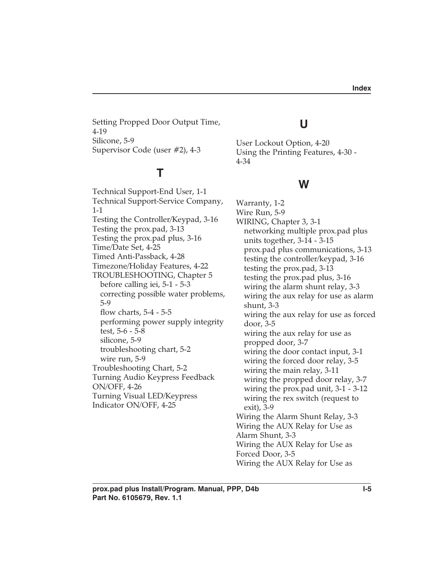Setting Propped Door Output Time, 4-19 Silicone, 5-9 Supervisor Code (user #2), 4-3

# **T**

Technical Support-End User, 1-1 Technical Support-Service Company, 1-1 Testing the Controller/Keypad, 3-16 Testing the prox.pad, 3-13 Testing the prox.pad plus, 3-16 Time/Date Set, 4-25 Timed Anti-Passback, 4-28 Timezone/Holiday Features, 4-22 TROUBLESHOOTING, Chapter 5 before calling iei, 5-1 - 5-3 correcting possible water problems, 5-9 flow charts, 5-4 - 5-5 performing power supply integrity test, 5-6 - 5-8 silicone, 5-9 troubleshooting chart, 5-2 wire run, 5-9 Troubleshooting Chart, 5-2 Turning Audio Keypress Feedback ON/OFF, 4-26 Turning Visual LED/Keypress Indicator ON/OFF, 4-25

# **U**

User Lockout Option, 4-20 Using the Printing Features, 4-30 - 4-34

#### **W**

Warranty, 1-2 Wire Run, 5-9 WIRING, Chapter 3, 3-1 networking multiple prox.pad plus units together, 3-14 - 3-15 prox.pad plus communications, 3-13 testing the controller/keypad, 3-16 testing the prox.pad, 3-13 testing the prox.pad plus, 3-16 wiring the alarm shunt relay, 3-3 wiring the aux relay for use as alarm shunt, 3-3 wiring the aux relay for use as forced door, 3-5 wiring the aux relay for use as propped door, 3-7 wiring the door contact input, 3-1 wiring the forced door relay, 3-5 wiring the main relay, 3-11 wiring the propped door relay, 3-7 wiring the prox.pad unit, 3-1 - 3-12 wiring the rex switch (request to exit), 3-9 Wiring the Alarm Shunt Relay, 3-3 Wiring the AUX Relay for Use as Alarm Shunt, 3-3 Wiring the AUX Relay for Use as Forced Door, 3-5 Wiring the AUX Relay for Use as